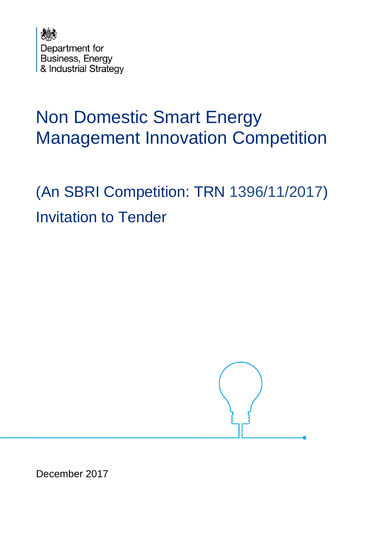

# Non Domestic Smart Energy Management Innovation Competition

(An SBRI Competition: TRN 1396/11/2017) Invitation to Tender



December 2017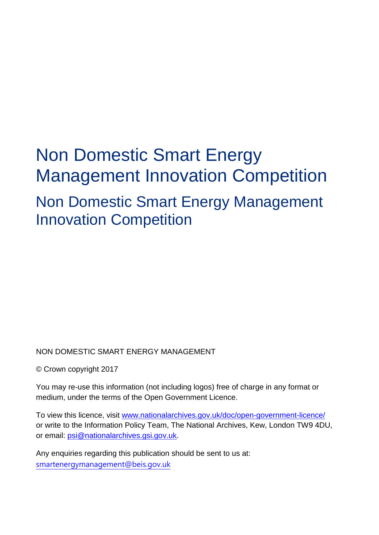# Non Domestic Smart Energy Management Innovation Competition Non Domestic Smart Energy Management Innovation Competition

### NON DOMESTIC SMART ENERGY MANAGEMENT

© Crown copyright 2017

You may re-use this information (not including logos) free of charge in any format or medium, under the terms of the Open Government Licence.

To view this licence, visit [www.nationalarchives.gov.uk/doc/open-government-licence/](http://www.nationalarchives.gov.uk/doc/open-government-licence/) or write to the Information Policy Team, The National Archives, Kew, London TW9 4DU, or email: [psi@nationalarchives.gsi.gov.uk.](mailto:psi@nationalarchives.gsi.gov.uk)

Any enquiries regarding this publication should be sent to us at: [smartenergymanagement@beis.gov.uk](mailto:smartenergymanagement@beis.gov.uk)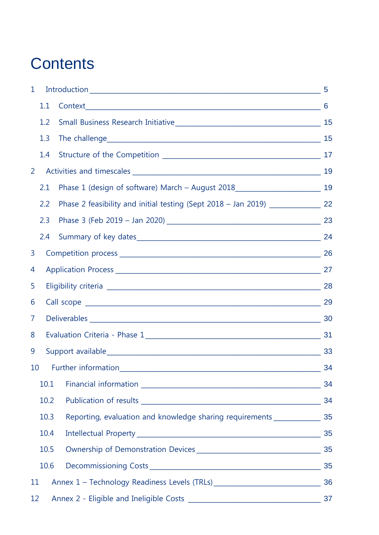## **Contents**

| $\mathbf{1}$ |      |                                                                                     |    |
|--------------|------|-------------------------------------------------------------------------------------|----|
|              | 1.1  |                                                                                     |    |
|              | 1.2  |                                                                                     |    |
|              | 1.3  |                                                                                     | 15 |
|              | 1.4  |                                                                                     |    |
| 2            |      |                                                                                     |    |
|              | 2.1  | Phase 1 (design of software) March - August 2018________________________________ 19 |    |
|              | 2.2  | Phase 2 feasibility and initial testing (Sept 2018 – Jan 2019) ________________ 22  |    |
|              | 2.3  |                                                                                     |    |
|              | 2.4  |                                                                                     |    |
| 3            |      |                                                                                     |    |
| 4            |      |                                                                                     |    |
| 5            |      |                                                                                     |    |
| 6            |      |                                                                                     |    |
| 7            |      |                                                                                     |    |
| 8            |      |                                                                                     | 31 |
| 9            |      |                                                                                     | 33 |
|              |      | 10 Further information                                                              | 34 |
|              | 10.1 |                                                                                     | 34 |
|              | 10.2 |                                                                                     | 34 |
|              | 10.3 | Reporting, evaluation and knowledge sharing requirements _________________ 35       |    |
|              | 10.4 |                                                                                     |    |
|              | 10.5 |                                                                                     |    |
|              | 10.6 |                                                                                     |    |
| 11           |      | Annex 1 - Technology Readiness Levels (TRLs) ___________________________________ 36 |    |
| 12           |      |                                                                                     |    |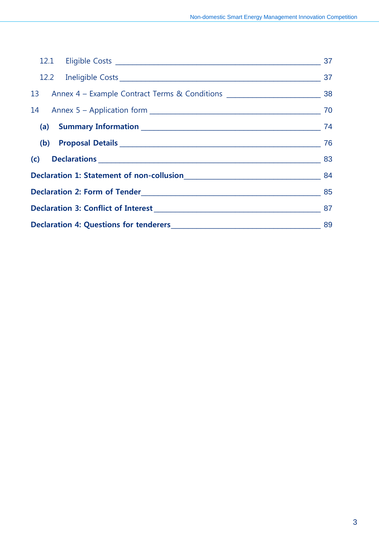| 13 Annex 4 - Example Contract Terms & Conditions ________________________________ 38 |  |  |
|--------------------------------------------------------------------------------------|--|--|
|                                                                                      |  |  |
|                                                                                      |  |  |
|                                                                                      |  |  |
|                                                                                      |  |  |
|                                                                                      |  |  |
|                                                                                      |  |  |
|                                                                                      |  |  |
|                                                                                      |  |  |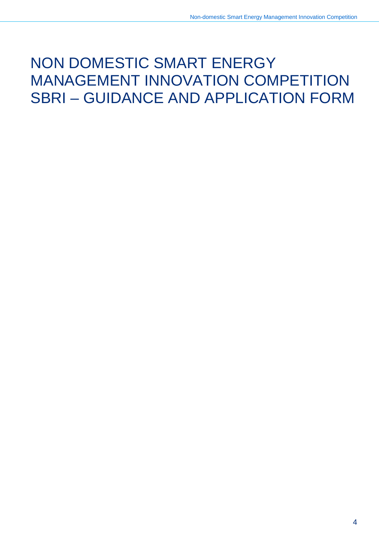## NON DOMESTIC SMART ENERGY MANAGEMENT INNOVATION COMPETITION SBRI – GUIDANCE AND APPLICATION FORM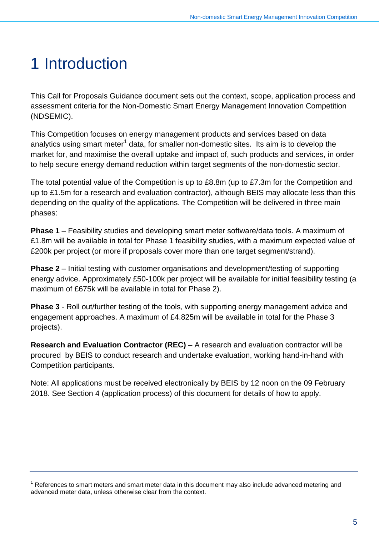# <span id="page-5-0"></span>1 Introduction

This Call for Proposals Guidance document sets out the context, scope, application process and assessment criteria for the Non-Domestic Smart Energy Management Innovation Competition (NDSEMIC).

This Competition focuses on energy management products and services based on data analytics using smart meter<sup>[1](#page-5-1)</sup> data, for smaller non-domestic sites. Its aim is to develop the market for, and maximise the overall uptake and impact of, such products and services, in order to help secure energy demand reduction within target segments of the non-domestic sector.

The total potential value of the Competition is up to £8.8m (up to £7.3m for the Competition and up to £1.5m for a research and evaluation contractor), although BEIS may allocate less than this depending on the quality of the applications. The Competition will be delivered in three main phases:

**Phase 1** – Feasibility studies and developing smart meter software/data tools. A maximum of £1.8m will be available in total for Phase 1 feasibility studies, with a maximum expected value of £200k per project (or more if proposals cover more than one target segment/strand).

**Phase 2** – Initial testing with customer organisations and development/testing of supporting energy advice. Approximately £50-100k per project will be available for initial feasibility testing (a maximum of £675k will be available in total for Phase 2).

**Phase 3** - Roll out/further testing of the tools, with supporting energy management advice and engagement approaches. A maximum of £4.825m will be available in total for the Phase 3 projects).

**Research and Evaluation Contractor (REC)** – A research and evaluation contractor will be procured by BEIS to conduct research and undertake evaluation, working hand-in-hand with Competition participants.

Note: All applications must be received electronically by BEIS by 12 noon on the 09 February 2018. See Section 4 (application process) of this document for details of how to apply.

<span id="page-5-1"></span> $1$  References to smart meters and smart meter data in this document may also include advanced metering and advanced meter data, unless otherwise clear from the context.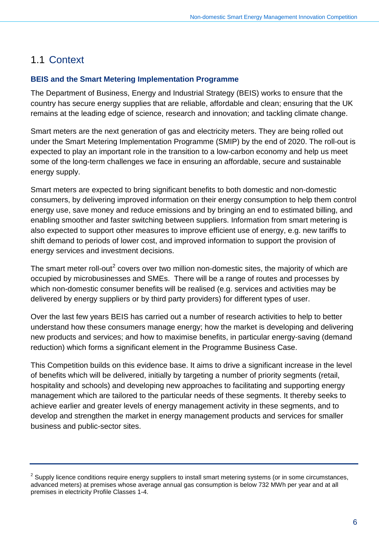## <span id="page-6-0"></span>1.1 Context

### **BEIS and the Smart Metering Implementation Programme**

The Department of Business, Energy and Industrial Strategy (BEIS) works to ensure that the country has secure energy supplies that are reliable, affordable and clean; ensuring that the UK remains at the leading edge of science, research and innovation; and tackling climate change.

Smart meters are the next generation of gas and electricity meters. They are being rolled out under the Smart Metering Implementation Programme (SMIP) by the end of 2020. The roll-out is expected to play an important role in the transition to a low-carbon economy and help us meet some of the long-term challenges we face in ensuring an affordable, secure and sustainable energy supply.

Smart meters are expected to bring significant benefits to both domestic and non-domestic consumers, by delivering improved information on their energy consumption to help them control energy use, save money and reduce emissions and by bringing an end to estimated billing, and enabling smoother and faster switching between suppliers. Information from smart metering is also expected to support other measures to improve efficient use of energy, e.g. new tariffs to shift demand to periods of lower cost, and improved information to support the provision of energy services and investment decisions.

The smart meter roll-out<sup>[2](#page-6-1)</sup> covers over two million non-domestic sites, the majority of which are occupied by microbusinesses and SMEs. There will be a range of routes and processes by which non-domestic consumer benefits will be realised (e.g. services and activities may be delivered by energy suppliers or by third party providers) for different types of user.

Over the last few years BEIS has carried out a number of research activities to help to better understand how these consumers manage energy; how the market is developing and delivering new products and services; and how to maximise benefits, in particular energy-saving (demand reduction) which forms a significant element in the Programme Business Case.

This Competition builds on this evidence base. It aims to drive a significant increase in the level of benefits which will be delivered, initially by targeting a number of priority segments (retail, hospitality and schools) and developing new approaches to facilitating and supporting energy management which are tailored to the particular needs of these segments. It thereby seeks to achieve earlier and greater levels of energy management activity in these segments, and to develop and strengthen the market in energy management products and services for smaller business and public-sector sites.

<span id="page-6-1"></span> $2$  Supply licence conditions require energy suppliers to install smart metering systems (or in some circumstances, advanced meters) at premises whose average annual gas consumption is below 732 MWh per year and at all premises in electricity Profile Classes 1-4.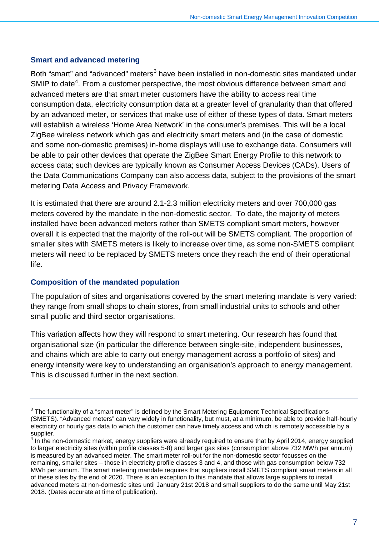#### **Smart and advanced metering**

Both "smart" and "advanced" meters<sup>[3](#page-7-0)</sup> have been installed in non-domestic sites mandated under SMIP to date<sup>[4](#page-7-1)</sup>. From a customer perspective, the most obvious difference between smart and advanced meters are that smart meter customers have the ability to access real time consumption data, electricity consumption data at a greater level of granularity than that offered by an advanced meter, or services that make use of either of these types of data. Smart meters will establish a wireless 'Home Area Network' in the consumer's premises. This will be a local ZigBee wireless network which gas and electricity smart meters and (in the case of domestic and some non-domestic premises) in-home displays will use to exchange data. Consumers will be able to pair other devices that operate the ZigBee Smart Energy Profile to this network to access data; such devices are typically known as Consumer Access Devices (CADs). Users of the Data Communications Company can also access data, subject to the provisions of the smart metering Data Access and Privacy Framework.

It is estimated that there are around 2.1-2.3 million electricity meters and over 700,000 gas meters covered by the mandate in the non-domestic sector. To date, the majority of meters installed have been advanced meters rather than SMETS compliant smart meters, however overall it is expected that the majority of the roll-out will be SMETS compliant. The proportion of smaller sites with SMETS meters is likely to increase over time, as some non-SMETS compliant meters will need to be replaced by SMETS meters once they reach the end of their operational life.

### **Composition of the mandated population**

The population of sites and organisations covered by the smart metering mandate is very varied: they range from small shops to chain stores, from small industrial units to schools and other small public and third sector organisations.

This variation affects how they will respond to smart metering. Our research has found that organisational size (in particular the difference between single-site, independent businesses, and chains which are able to carry out energy management across a portfolio of sites) and energy intensity were key to understanding an organisation's approach to energy management. This is discussed further in the next section.

<span id="page-7-0"></span> $3$  The functionality of a "smart meter" is defined by the Smart Metering Equipment Technical Specifications (SMETS). "Advanced meters" can vary widely in functionality, but must, at a minimum, be able to provide half-hourly electricity or hourly gas data to which the customer can have timely access and which is remotely accessible by a supplier.

<span id="page-7-1"></span>In the non-domestic market, energy suppliers were already required to ensure that by April 2014, energy supplied to larger electricity sites (within profile classes 5-8) and larger gas sites (consumption above 732 MWh per annum) is measured by an advanced meter. The smart meter roll-out for the non-domestic sector focusses on the remaining, smaller sites – those in electricity profile classes 3 and 4, and those with gas consumption below 732 MWh per annum. The smart metering mandate requires that suppliers install SMETS compliant smart meters in all of these sites by the end of 2020. There is an exception to this mandate that allows large suppliers to install advanced meters at non-domestic sites until January 21st 2018 and small suppliers to do the same until May 21st 2018. (Dates accurate at time of publication).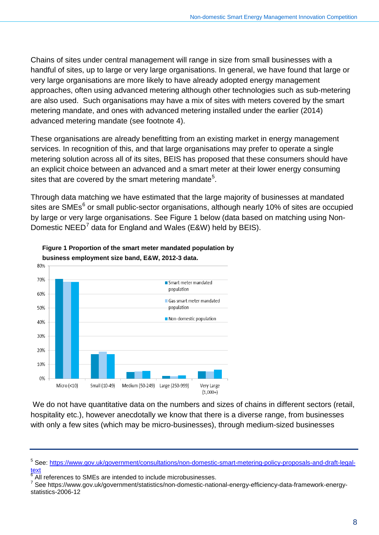Chains of sites under central management will range in size from small businesses with a handful of sites, up to large or very large organisations. In general, we have found that large or very large organisations are more likely to have already adopted energy management approaches, often using advanced metering although other technologies such as sub-metering are also used. Such organisations may have a mix of sites with meters covered by the smart metering mandate, and ones with advanced metering installed under the earlier (2014) advanced metering mandate (see footnote 4).

These organisations are already benefitting from an existing market in energy management services. In recognition of this, and that large organisations may prefer to operate a single metering solution across all of its sites, BEIS has proposed that these consumers should have an explicit choice between an advanced and a smart meter at their lower energy consuming sites that are covered by the smart metering mandate<sup>[5](#page-8-0)</sup>.

Through data matching we have estimated that the large majority of businesses at mandated sites are SMEs<sup>[6](#page-8-1)</sup> or small public-sector organisations, although nearly 10% of sites are occupied by large or very large organisations. See Figure 1 below (data based on matching using Non-Domestic NEED<sup>[7](#page-8-2)</sup> data for England and Wales (E&W) held by BEIS).



**Figure 1 Proportion of the smart meter mandated population by business employment size band, E&W, 2012-3 data.**

We do not have quantitative data on the numbers and sizes of chains in different sectors (retail, hospitality etc.), however anecdotally we know that there is a diverse range, from businesses with only a few sites (which may be micro-businesses), through medium-sized businesses

<span id="page-8-0"></span><sup>&</sup>lt;sup>5</sup> See: [https://www.gov.uk/government/consultations/non-domestic-smart-metering-policy-proposals-and-draft-legal](https://www.gov.uk/government/consultations/non-domestic-smart-metering-policy-proposals-and-draft-legal-text)[text](https://www.gov.uk/government/consultations/non-domestic-smart-metering-policy-proposals-and-draft-legal-text)

<span id="page-8-1"></span> $^6$  All references to SMEs are intended to include microbusinesses.<br>  $^7$  See https://www.gov.uk/government/ctatistics/pop-demostic patient

<span id="page-8-2"></span><sup>7</sup> See https://www.gov.uk/government/statistics/non-domestic-national-energy-efficiency-data-framework-energystatistics-2006-12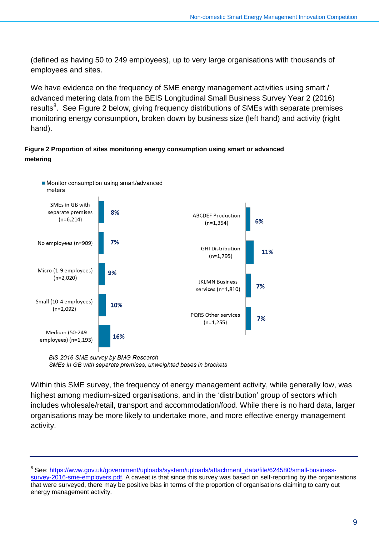(defined as having 50 to 249 employees), up to very large organisations with thousands of employees and sites.

We have evidence on the frequency of SME energy management activities using smart / advanced metering data from the BEIS Longitudinal Small Business Survey Year 2 (2016) results<sup>[8](#page-9-0)</sup>. See Figure 2 below, giving frequency distributions of SMEs with separate premises monitoring energy consumption, broken down by business size (left hand) and activity (right hand).

#### **Figure 2 Proportion of sites monitoring energy consumption using smart or advanced metering**



BIS 2016 SME survey by BMG Research SMEs in GB with separate premises, unweighted bases in brackets

Within this SME survey, the frequency of energy management activity, while generally low, was highest among medium-sized organisations, and in the 'distribution' group of sectors which includes wholesale/retail, transport and accommodation/food. While there is no hard data, larger organisations may be more likely to undertake more, and more effective energy management activity.

<span id="page-9-0"></span><sup>&</sup>lt;sup>8</sup> See: [https://www.gov.uk/government/uploads/system/uploads/attachment\\_data/file/624580/small-business](https://www.gov.uk/government/uploads/system/uploads/attachment_data/file/624580/small-business-survey-2016-sme-employers.pdf)[survey-2016-sme-employers.pdf.](https://www.gov.uk/government/uploads/system/uploads/attachment_data/file/624580/small-business-survey-2016-sme-employers.pdf) A caveat is that since this survey was based on self-reporting by the organisations that were surveyed, there may be positive bias in terms of the proportion of organisations claiming to carry out energy management activity.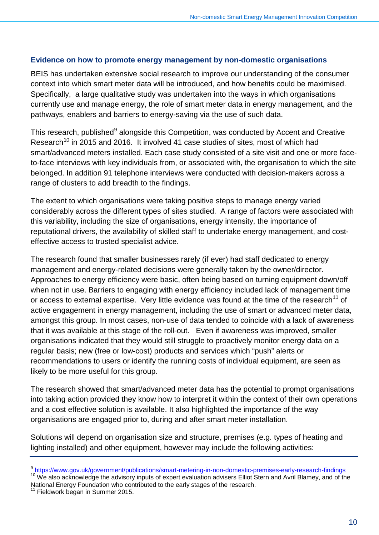#### **Evidence on how to promote energy management by non-domestic organisations**

BEIS has undertaken extensive social research to improve our understanding of the consumer context into which smart meter data will be introduced, and how benefits could be maximised. Specifically, a large qualitative study was undertaken into the ways in which organisations currently use and manage energy, the role of smart meter data in energy management, and the pathways, enablers and barriers to energy-saving via the use of such data.

This research, published $9$  alongside this Competition, was conducted by Accent and Creative Research<sup>[10](#page-10-1)</sup> in 2015 and 2016. It involved 41 case studies of sites, most of which had smart/advanced meters installed. Each case study consisted of a site visit and one or more faceto-face interviews with key individuals from, or associated with, the organisation to which the site belonged. In addition 91 telephone interviews were conducted with decision-makers across a range of clusters to add breadth to the findings.

The extent to which organisations were taking positive steps to manage energy varied considerably across the different types of sites studied. A range of factors were associated with this variability, including the size of organisations, energy intensity, the importance of reputational drivers, the availability of skilled staff to undertake energy management, and costeffective access to trusted specialist advice.

The research found that smaller businesses rarely (if ever) had staff dedicated to energy management and energy-related decisions were generally taken by the owner/director. Approaches to energy efficiency were basic, often being based on turning equipment down/off when not in use. Barriers to engaging with energy efficiency included lack of management time or access to external expertise. Very little evidence was found at the time of the research<sup>[11](#page-10-2)</sup> of active engagement in energy management, including the use of smart or advanced meter data, amongst this group. In most cases, non-use of data tended to coincide with a lack of awareness that it was available at this stage of the roll-out. Even if awareness was improved, smaller organisations indicated that they would still struggle to proactively monitor energy data on a regular basis; new (free or low-cost) products and services which "push" alerts or recommendations to users or identify the running costs of individual equipment, are seen as likely to be more useful for this group.

The research showed that smart/advanced meter data has the potential to prompt organisations into taking action provided they know how to interpret it within the context of their own operations and a cost effective solution is available. It also highlighted the importance of the way organisations are engaged prior to, during and after smart meter installation.

Solutions will depend on organisation size and structure, premises (e.g. types of heating and lighting installed) and other equipment, however may include the following activities:

<span id="page-10-1"></span>National Energy Foundation who contributed to the early stages of the research.

<span id="page-10-2"></span>Fieldwork began in Summer 2015.

<span id="page-10-0"></span><sup>&</sup>lt;sup>9</sup> <https://www.gov.uk/government/publications/smart-metering-in-non-domestic-premises-early-research-findings><br><sup>10</sup> We also acknowledge the advisory inputs of expert evaluation advisers Elliot Stern and Avril Blamey, and o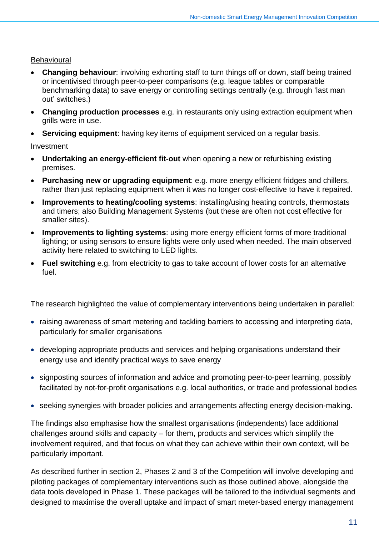### Behavioural

- **Changing behaviour:** involving exhorting staff to turn things off or down, staff being trained or incentivised through peer-to-peer comparisons (e.g. league tables or comparable benchmarking data) to save energy or controlling settings centrally (e.g. through 'last man out' switches.)
- **Changing production processes** e.g. in restaurants only using extraction equipment when grills were in use.
- **Servicing equipment:** having key items of equipment serviced on a regular basis.

### Investment

- **Undertaking an energy-efficient fit-out** when opening a new or refurbishing existing premises.
- **Purchasing new or upgrading equipment**: e.g. more energy efficient fridges and chillers, rather than just replacing equipment when it was no longer cost-effective to have it repaired.
- **Improvements to heating/cooling systems**: installing/using heating controls, thermostats and timers; also Building Management Systems (but these are often not cost effective for smaller sites).
- **Improvements to lighting systems**: using more energy efficient forms of more traditional lighting; or using sensors to ensure lights were only used when needed. The main observed activity here related to switching to LED lights.
- **Fuel switching** e.g. from electricity to gas to take account of lower costs for an alternative fuel.

The research highlighted the value of complementary interventions being undertaken in parallel:

- raising awareness of smart metering and tackling barriers to accessing and interpreting data, particularly for smaller organisations
- developing appropriate products and services and helping organisations understand their energy use and identify practical ways to save energy
- signposting sources of information and advice and promoting peer-to-peer learning, possibly facilitated by not-for-profit organisations e.g. local authorities, or trade and professional bodies
- seeking synergies with broader policies and arrangements affecting energy decision-making.

The findings also emphasise how the smallest organisations (independents) face additional challenges around skills and capacity – for them, products and services which simplify the involvement required, and that focus on what they can achieve within their own context, will be particularly important.

As described further in section 2, Phases 2 and 3 of the Competition will involve developing and piloting packages of complementary interventions such as those outlined above, alongside the data tools developed in Phase 1. These packages will be tailored to the individual segments and designed to maximise the overall uptake and impact of smart meter-based energy management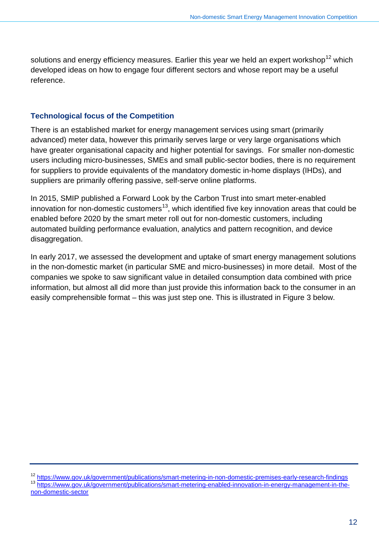solutions and energy efficiency measures. Earlier this year we held an expert workshop<sup>[12](#page-12-0)</sup> which developed ideas on how to engage four different sectors and whose report may be a useful reference.

### **Technological focus of the Competition**

There is an established market for energy management services using smart (primarily advanced) meter data, however this primarily serves large or very large organisations which have greater organisational capacity and higher potential for savings. For smaller non-domestic users including micro-businesses, SMEs and small public-sector bodies, there is no requirement for suppliers to provide equivalents of the mandatory domestic in-home displays (IHDs), and suppliers are primarily offering passive, self-serve online platforms.

In 2015, SMIP published a Forward Look by the Carbon Trust into smart meter-enabled innovation for non-domestic customers<sup>13</sup>, which identified five key innovation areas that could be enabled before 2020 by the smart meter roll out for non-domestic customers, including automated building performance evaluation, analytics and pattern recognition, and device disaggregation.

In early 2017, we assessed the development and uptake of smart energy management solutions in the non-domestic market (in particular SME and micro-businesses) in more detail. Most of the companies we spoke to saw significant value in detailed consumption data combined with price information, but almost all did more than just provide this information back to the consumer in an easily comprehensible format – this was just step one. This is illustrated in Figure 3 below.

<span id="page-12-1"></span><span id="page-12-0"></span><sup>&</sup>lt;sup>12</sup> <https://www.gov.uk/government/publications/smart-metering-in-non-domestic-premises-early-research-findings><br><sup>13</sup> [https://www.gov.uk/government/publications/smart-metering-enabled-innovation-in-energy-management-in-the](https://www.gov.uk/government/publications/smart-metering-enabled-innovation-in-energy-management-in-the-non-domestic-sector)[non-domestic-sector](https://www.gov.uk/government/publications/smart-metering-enabled-innovation-in-energy-management-in-the-non-domestic-sector)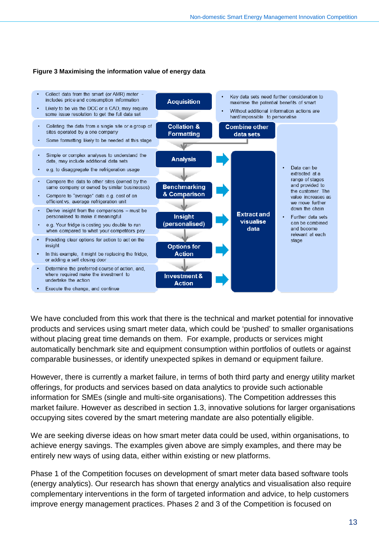#### **Figure 3 Maximising the information value of energy data**



We have concluded from this work that there is the technical and market potential for innovative products and services using smart meter data, which could be 'pushed' to smaller organisations without placing great time demands on them. For example, products or services might automatically benchmark site and equipment consumption within portfolios of outlets or against comparable businesses, or identify unexpected spikes in demand or equipment failure.

However, there is currently a market failure, in terms of both third party and energy utility market offerings, for products and services based on data analytics to provide such actionable information for SMEs (single and multi-site organisations). The Competition addresses this market failure. However as described in section 1.3, innovative solutions for larger organisations occupying sites covered by the smart metering mandate are also potentially eligible.

We are seeking diverse ideas on how smart meter data could be used, within organisations, to achieve energy savings. The examples given above are simply examples, and there may be entirely new ways of using data, either within existing or new platforms.

Phase 1 of the Competition focuses on development of smart meter data based software tools (energy analytics). Our research has shown that energy analytics and visualisation also require complementary interventions in the form of targeted information and advice, to help customers improve energy management practices. Phases 2 and 3 of the Competition is focused on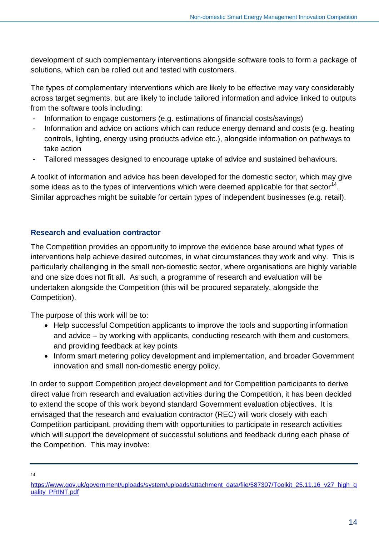development of such complementary interventions alongside software tools to form a package of solutions, which can be rolled out and tested with customers.

The types of complementary interventions which are likely to be effective may vary considerably across target segments, but are likely to include tailored information and advice linked to outputs from the software tools including:

- Information to engage customers (e.g. estimations of financial costs/savings)
- Information and advice on actions which can reduce energy demand and costs (e.g. heating controls, lighting, energy using products advice etc.), alongside information on pathways to take action
- Tailored messages designed to encourage uptake of advice and sustained behaviours.

A toolkit of information and advice has been developed for the domestic sector, which may give some ideas as to the types of interventions which were deemed applicable for that sector<sup>[14](#page-14-0)</sup>. Similar approaches might be suitable for certain types of independent businesses (e.g. retail).

### **Research and evaluation contractor**

The Competition provides an opportunity to improve the evidence base around what types of interventions help achieve desired outcomes, in what circumstances they work and why. This is particularly challenging in the small non-domestic sector, where organisations are highly variable and one size does not fit all. As such, a programme of research and evaluation will be undertaken alongside the Competition (this will be procured separately, alongside the Competition).

The purpose of this work will be to:

- Help successful Competition applicants to improve the tools and supporting information and advice – by working with applicants, conducting research with them and customers, and providing feedback at key points
- Inform smart metering policy development and implementation, and broader Government innovation and small non-domestic energy policy.

In order to support Competition project development and for Competition participants to derive direct value from research and evaluation activities during the Competition, it has been decided to extend the scope of this work beyond standard Government evaluation objectives. It is envisaged that the research and evaluation contractor (REC) will work closely with each Competition participant, providing them with opportunities to participate in research activities which will support the development of successful solutions and feedback during each phase of the Competition. This may involve:

 $14$ 

<span id="page-14-0"></span>[https://www.gov.uk/government/uploads/system/uploads/attachment\\_data/file/587307/Toolkit\\_25.11.16\\_v27\\_high\\_q](https://www.gov.uk/government/uploads/system/uploads/attachment_data/file/587307/Toolkit_25.11.16_v27_high_quality_PRINT.pdf) [uality\\_PRINT.pdf](https://www.gov.uk/government/uploads/system/uploads/attachment_data/file/587307/Toolkit_25.11.16_v27_high_quality_PRINT.pdf)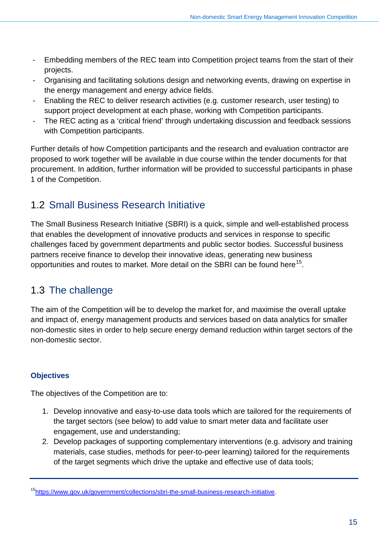- Embedding members of the REC team into Competition project teams from the start of their projects.
- Organising and facilitating solutions design and networking events, drawing on expertise in the energy management and energy advice fields.
- Enabling the REC to deliver research activities (e.g. customer research, user testing) to support project development at each phase, working with Competition participants.
- The REC acting as a 'critical friend' through undertaking discussion and feedback sessions with Competition participants.

Further details of how Competition participants and the research and evaluation contractor are proposed to work together will be available in due course within the tender documents for that procurement. In addition, further information will be provided to successful participants in phase 1 of the Competition.

## <span id="page-15-0"></span>1.2 Small Business Research Initiative

The Small Business Research Initiative (SBRI) is a quick, simple and well-established process that enables the development of innovative products and services in response to specific challenges faced by government departments and public sector bodies. Successful business partners receive finance to develop their innovative ideas, generating new business opportunities and routes to market. More detail on the SBRI can be found here<sup>[15](#page-15-2)</sup>.

## <span id="page-15-1"></span>1.3 The challenge

The aim of the Competition will be to develop the market for, and maximise the overall uptake and impact of, energy management products and services based on data analytics for smaller non-domestic sites in order to help secure energy demand reduction within target sectors of the non-domestic sector.

### **Objectives**

The objectives of the Competition are to:

- 1. Develop innovative and easy-to-use data tools which are tailored for the requirements of the target sectors (see below) to add value to smart meter data and facilitate user engagement, use and understanding;
- 2. Develop packages of supporting complementary interventions (e.g. advisory and training materials, case studies, methods for peer-to-peer learning) tailored for the requirements of the target segments which drive the uptake and effective use of data tools;

<span id="page-15-2"></span>[<sup>15</sup>https://www.gov.uk/government/collections/sbri-the-small-business-research-initiative.](https://www.gov.uk/government/collections/sbri-the-small-business-research-initiative)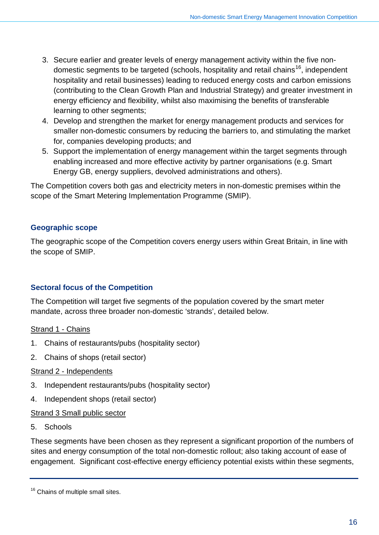- 3. Secure earlier and greater levels of energy management activity within the five non-domestic segments to be targeted (schools, hospitality and retail chains<sup>[16](#page-16-0)</sup>, independent hospitality and retail businesses) leading to reduced energy costs and carbon emissions (contributing to the Clean Growth Plan and Industrial Strategy) and greater investment in energy efficiency and flexibility, whilst also maximising the benefits of transferable learning to other segments;
- 4. Develop and strengthen the market for energy management products and services for smaller non-domestic consumers by reducing the barriers to, and stimulating the market for, companies developing products; and
- 5. Support the implementation of energy management within the target segments through enabling increased and more effective activity by partner organisations (e.g. Smart Energy GB, energy suppliers, devolved administrations and others).

The Competition covers both gas and electricity meters in non-domestic premises within the scope of the Smart Metering Implementation Programme (SMIP).

### **Geographic scope**

The geographic scope of the Competition covers energy users within Great Britain, in line with the scope of SMIP.

### **Sectoral focus of the Competition**

The Competition will target five segments of the population covered by the smart meter mandate, across three broader non-domestic 'strands', detailed below.

### Strand 1 - Chains

- 1. Chains of restaurants/pubs (hospitality sector)
- 2. Chains of shops (retail sector)

### Strand 2 - Independents

- 3. Independent restaurants/pubs (hospitality sector)
- 4. Independent shops (retail sector)

### Strand 3 Small public sector

5. Schools

These segments have been chosen as they represent a significant proportion of the numbers of sites and energy consumption of the total non-domestic rollout; also taking account of ease of engagement. Significant cost-effective energy efficiency potential exists within these segments,

<span id="page-16-0"></span><sup>&</sup>lt;sup>16</sup> Chains of multiple small sites.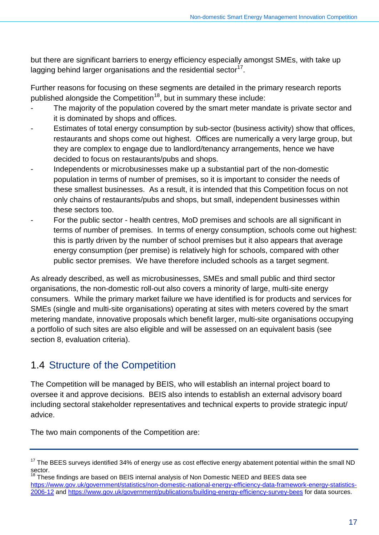but there are significant barriers to energy efficiency especially amongst SMEs, with take up lagging behind larger organisations and the residential sector $17$ .

Further reasons for focusing on these segments are detailed in the primary research reports published alongside the Competition<sup>[18](#page-17-2)</sup>, but in summary these include:

- The majority of the population covered by the smart meter mandate is private sector and it is dominated by shops and offices.
- Estimates of total energy consumption by sub-sector (business activity) show that offices, restaurants and shops come out highest. Offices are numerically a very large group, but they are complex to engage due to landlord/tenancy arrangements, hence we have decided to focus on restaurants/pubs and shops.
- Independents or microbusinesses make up a substantial part of the non-domestic population in terms of number of premises, so it is important to consider the needs of these smallest businesses. As a result, it is intended that this Competition focus on not only chains of restaurants/pubs and shops, but small, independent businesses within these sectors too.
- For the public sector health centres, MoD premises and schools are all significant in terms of number of premises. In terms of energy consumption, schools come out highest: this is partly driven by the number of school premises but it also appears that average energy consumption (per premise) is relatively high for schools, compared with other public sector premises. We have therefore included schools as a target segment.

As already described, as well as microbusinesses, SMEs and small public and third sector organisations, the non-domestic roll-out also covers a minority of large, multi-site energy consumers. While the primary market failure we have identified is for products and services for SMEs (single and multi-site organisations) operating at sites with meters covered by the smart metering mandate, innovative proposals which benefit larger, multi-site organisations occupying a portfolio of such sites are also eligible and will be assessed on an equivalent basis (see section 8, evaluation criteria).

## <span id="page-17-0"></span>1.4 Structure of the Competition

The Competition will be managed by BEIS, who will establish an internal project board to oversee it and approve decisions. BEIS also intends to establish an external advisory board including sectoral stakeholder representatives and technical experts to provide strategic input/ advice.

The two main components of the Competition are:

<span id="page-17-1"></span> $17$  The BEES surveys identified 34% of energy use as cost effective energy abatement potential within the small ND sector.

<span id="page-17-2"></span> $18$  These findings are based on BEIS internal analysis of Non Domestic NEED and BEES data see [https://www.gov.uk/government/statistics/non-domestic-national-energy-efficiency-data-framework-energy-statistics-](https://www.gov.uk/government/statistics/non-domestic-national-energy-efficiency-data-framework-energy-statistics-2006-12)[2006-12](https://www.gov.uk/government/statistics/non-domestic-national-energy-efficiency-data-framework-energy-statistics-2006-12) and<https://www.gov.uk/government/publications/building-energy-efficiency-survey-bees> for data sources.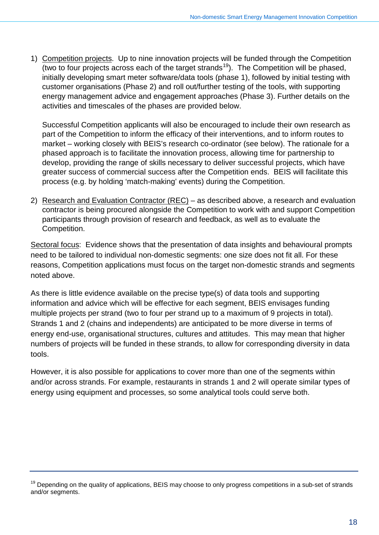1) Competition projects. Up to nine innovation projects will be funded through the Competition (two to four projects across each of the target strands<sup>[19](#page-18-0)</sup>). The Competition will be phased, initially developing smart meter software/data tools (phase 1), followed by initial testing with customer organisations (Phase 2) and roll out/further testing of the tools, with supporting energy management advice and engagement approaches (Phase 3). Further details on the activities and timescales of the phases are provided below.

Successful Competition applicants will also be encouraged to include their own research as part of the Competition to inform the efficacy of their interventions, and to inform routes to market – working closely with BEIS's research co-ordinator (see below). The rationale for a phased approach is to facilitate the innovation process, allowing time for partnership to develop, providing the range of skills necessary to deliver successful projects, which have greater success of commercial success after the Competition ends. BEIS will facilitate this process (e.g. by holding 'match-making' events) during the Competition.

2) Research and Evaluation Contractor (REC) – as described above, a research and evaluation contractor is being procured alongside the Competition to work with and support Competition participants through provision of research and feedback, as well as to evaluate the Competition.

Sectoral focus: Evidence shows that the presentation of data insights and behavioural prompts need to be tailored to individual non-domestic segments: one size does not fit all. For these reasons, Competition applications must focus on the target non-domestic strands and segments noted above.

As there is little evidence available on the precise type(s) of data tools and supporting information and advice which will be effective for each segment, BEIS envisages funding multiple projects per strand (two to four per strand up to a maximum of 9 projects in total). Strands 1 and 2 (chains and independents) are anticipated to be more diverse in terms of energy end-use, organisational structures, cultures and attitudes. This may mean that higher numbers of projects will be funded in these strands, to allow for corresponding diversity in data tools.

However, it is also possible for applications to cover more than one of the segments within and/or across strands. For example, restaurants in strands 1 and 2 will operate similar types of energy using equipment and processes, so some analytical tools could serve both.

<span id="page-18-0"></span> $19$  Depending on the quality of applications, BEIS may choose to only progress competitions in a sub-set of strands and/or segments.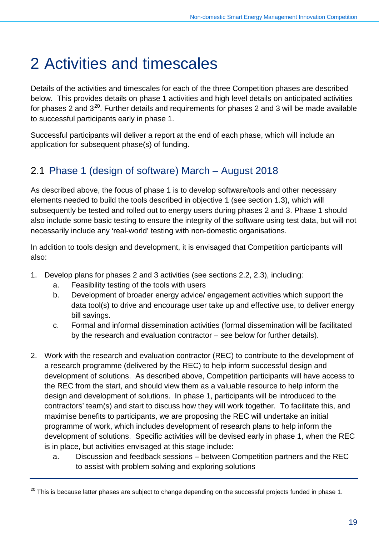## <span id="page-19-0"></span>2 Activities and timescales

Details of the activities and timescales for each of the three Competition phases are described below. This provides details on phase 1 activities and high level details on anticipated activities for phases 2 and  $3^{20}$  $3^{20}$  $3^{20}$ . Further details and requirements for phases 2 and 3 will be made available to successful participants early in phase 1.

Successful participants will deliver a report at the end of each phase, which will include an application for subsequent phase(s) of funding.

## <span id="page-19-1"></span>2.1 Phase 1 (design of software) March – August 2018

As described above, the focus of phase 1 is to develop software/tools and other necessary elements needed to build the tools described in objective 1 (see section [1.3\)](#page-15-1), which will subsequently be tested and rolled out to energy users during phases 2 and 3. Phase 1 should also include some basic testing to ensure the integrity of the software using test data, but will not necessarily include any 'real-world' testing with non-domestic organisations.

In addition to tools design and development, it is envisaged that Competition participants will also:

- 1. Develop plans for phases 2 and 3 activities (see sections [2.2,](#page-22-0) [2.3\)](#page-23-1), including:
	- a. Feasibility testing of the tools with users
	- b. Development of broader energy advice/ engagement activities which support the data tool(s) to drive and encourage user take up and effective use, to deliver energy bill savings.
	- c. Formal and informal dissemination activities (formal dissemination will be facilitated by the research and evaluation contractor – see below for further details).
- 2. Work with the research and evaluation contractor (REC) to contribute to the development of a research programme (delivered by the REC) to help inform successful design and development of solutions. As described above, Competition participants will have access to the REC from the start, and should view them as a valuable resource to help inform the design and development of solutions. In phase 1, participants will be introduced to the contractors' team(s) and start to discuss how they will work together. To facilitate this, and maximise benefits to participants, we are proposing the REC will undertake an initial programme of work, which includes development of research plans to help inform the development of solutions. Specific activities will be devised early in phase 1, when the REC is in place, but activities envisaged at this stage include:
	- a. Discussion and feedback sessions between Competition partners and the REC to assist with problem solving and exploring solutions

<span id="page-19-2"></span> $20$  This is because latter phases are subject to change depending on the successful projects funded in phase 1.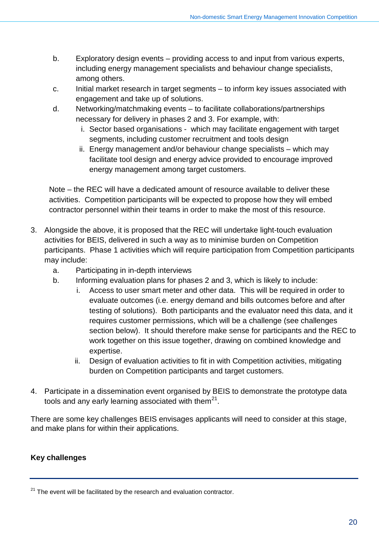- b. Exploratory design events providing access to and input from various experts, including energy management specialists and behaviour change specialists, among others.
- c. Initial market research in target segments to inform key issues associated with engagement and take up of solutions.
- d. Networking/matchmaking events to facilitate collaborations/partnerships necessary for delivery in phases 2 and 3. For example, with:
	- i. Sector based organisations which may facilitate engagement with target segments, including customer recruitment and tools design
	- ii. Energy management and/or behaviour change specialists which may facilitate tool design and energy advice provided to encourage improved energy management among target customers.

Note – the REC will have a dedicated amount of resource available to deliver these activities. Competition participants will be expected to propose how they will embed contractor personnel within their teams in order to make the most of this resource.

- 3. Alongside the above, it is proposed that the REC will undertake light-touch evaluation activities for BEIS, delivered in such a way as to minimise burden on Competition participants. Phase 1 activities which will require participation from Competition participants may include:
	- a. Participating in in-depth interviews
	- b. Informing evaluation plans for phases 2 and 3, which is likely to include:
		- i. Access to user smart meter and other data. This will be required in order to evaluate outcomes (i.e. energy demand and bills outcomes before and after testing of solutions). Both participants and the evaluator need this data, and it requires customer permissions, which will be a challenge (see challenges section below). It should therefore make sense for participants and the REC to work together on this issue together, drawing on combined knowledge and expertise.
		- ii. Design of evaluation activities to fit in with Competition activities, mitigating burden on Competition participants and target customers.
- 4. Participate in a dissemination event organised by BEIS to demonstrate the prototype data tools and any early learning associated with them<sup>[21](#page-20-0)</sup>.

There are some key challenges BEIS envisages applicants will need to consider at this stage, and make plans for within their applications.

### **Key challenges**

<span id="page-20-0"></span> $21$  The event will be facilitated by the research and evaluation contractor.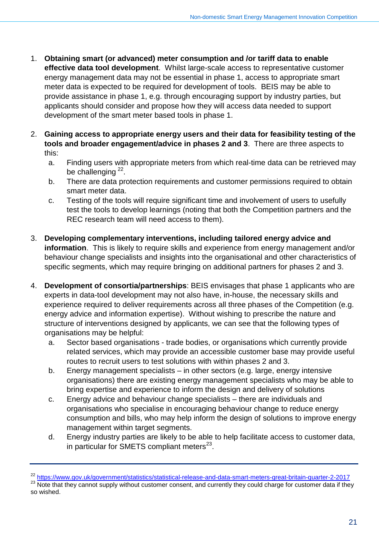- 1. **Obtaining smart (or advanced) meter consumption and /or tariff data to enable effective data tool development**. Whilst large-scale access to representative customer energy management data may not be essential in phase 1, access to appropriate smart meter data is expected to be required for development of tools. BEIS may be able to provide assistance in phase 1, e.g. through encouraging support by industry parties, but applicants should consider and propose how they will access data needed to support development of the smart meter based tools in phase 1.
- 2. **Gaining access to appropriate energy users and their data for feasibility testing of the tools and broader engagement/advice in phases 2 and 3**. There are three aspects to this:
	- a. Finding users with appropriate meters from which real-time data can be retrieved may be challenging <sup>22</sup>.
	- b. There are data protection requirements and customer permissions required to obtain smart meter data.
	- c. Testing of the tools will require significant time and involvement of users to usefully test the tools to develop learnings (noting that both the Competition partners and the REC research team will need access to them).
- 3. **Developing complementary interventions, including tailored energy advice and information**. This is likely to require skills and experience from energy management and/or behaviour change specialists and insights into the organisational and other characteristics of specific segments, which may require bringing on additional partners for phases 2 and 3.
- 4. **Development of consortia/partnerships**: BEIS envisages that phase 1 applicants who are experts in data-tool development may not also have, in-house, the necessary skills and experience required to deliver requirements across all three phases of the Competition (e.g. energy advice and information expertise). Without wishing to prescribe the nature and structure of interventions designed by applicants, we can see that the following types of organisations may be helpful:
	- a. Sector based organisations trade bodies, or organisations which currently provide related services, which may provide an accessible customer base may provide useful routes to recruit users to test solutions with within phases 2 and 3.
	- b. Energy management specialists in other sectors (e.g. large, energy intensive organisations) there are existing energy management specialists who may be able to bring expertise and experience to inform the design and delivery of solutions
	- c. Energy advice and behaviour change specialists there are individuals and organisations who specialise in encouraging behaviour change to reduce energy consumption and bills, who may help inform the design of solutions to improve energy management within target segments.
	- d. Energy industry parties are likely to be able to help facilitate access to customer data, in particular for SMETS compliant meters $^{23}$  $^{23}$  $^{23}$ .

<span id="page-21-0"></span><sup>&</sup>lt;sup>22</sup> <https://www.gov.uk/government/statistics/statistical-release-and-data-smart-meters-great-britain-quarter-2-2017>

<span id="page-21-1"></span><sup>23</sup> Note that they cannot supply without customer consent, and currently they could charge for customer data if they so wished.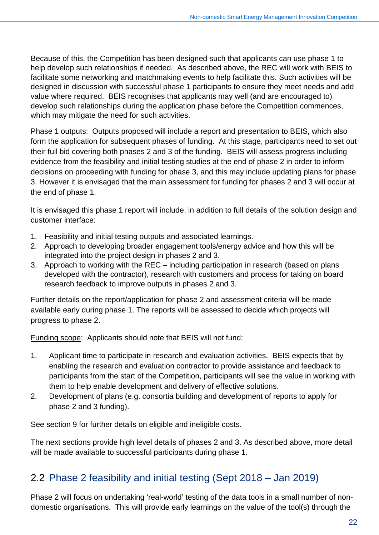Because of this, the Competition has been designed such that applicants can use phase 1 to help develop such relationships if needed. As described above, the REC will work with BEIS to facilitate some networking and matchmaking events to help facilitate this. Such activities will be designed in discussion with successful phase 1 participants to ensure they meet needs and add value where required. BEIS recognises that applicants may well (and are encouraged to) develop such relationships during the application phase before the Competition commences, which may mitigate the need for such activities.

Phase 1 outputs: Outputs proposed will include a report and presentation to BEIS, which also form the application for subsequent phases of funding. At this stage, participants need to set out their full bid covering both phases 2 and 3 of the funding. BEIS will assess progress including evidence from the feasibility and initial testing studies at the end of phase 2 in order to inform decisions on proceeding with funding for phase 3, and this may include updating plans for phase 3. However it is envisaged that the main assessment for funding for phases 2 and 3 will occur at the end of phase 1.

It is envisaged this phase 1 report will include, in addition to full details of the solution design and customer interface:

- 1. Feasibility and initial testing outputs and associated learnings.
- 2. Approach to developing broader engagement tools/energy advice and how this will be integrated into the project design in phases 2 and 3.
- 3. Approach to working with the REC including participation in research (based on plans developed with the contractor), research with customers and process for taking on board research feedback to improve outputs in phases 2 and 3.

Further details on the report/application for phase 2 and assessment criteria will be made available early during phase 1. The reports will be assessed to decide which projects will progress to phase 2.

Funding scope: Applicants should note that BEIS will not fund:

- 1. Applicant time to participate in research and evaluation activities. BEIS expects that by enabling the research and evaluation contractor to provide assistance and feedback to participants from the start of the Competition, participants will see the value in working with them to help enable development and delivery of effective solutions.
- 2. Development of plans (e.g. consortia building and development of reports to apply for phase 2 and 3 funding).

See section [9](#page-33-0) for further details on eligible and ineligible costs.

The next sections provide high level details of phases 2 and 3. As described above, more detail will be made available to successful participants during phase 1.

## <span id="page-22-0"></span>2.2 Phase 2 feasibility and initial testing (Sept 2018 – Jan 2019)

Phase 2 will focus on undertaking 'real-world' testing of the data tools in a small number of nondomestic organisations. This will provide early learnings on the value of the tool(s) through the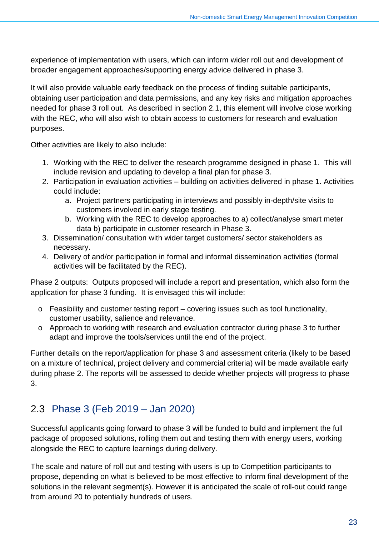experience of implementation with users, which can inform wider roll out and development of broader engagement approaches/supporting energy advice delivered in phase 3.

It will also provide valuable early feedback on the process of finding suitable participants, obtaining user participation and data permissions, and any key risks and mitigation approaches needed for phase 3 roll out. As described in section [2.1,](#page-19-1) this element will involve close working with the REC, who will also wish to obtain access to customers for research and evaluation purposes.

Other activities are likely to also include:

- 1. Working with the REC to deliver the research programme designed in phase 1. This will include revision and updating to develop a final plan for phase 3.
- 2. Participation in evaluation activities building on activities delivered in phase 1. Activities could include:
	- a. Project partners participating in interviews and possibly in-depth/site visits to customers involved in early stage testing.
	- b. Working with the REC to develop approaches to a) collect/analyse smart meter data b) participate in customer research in Phase 3.
- 3. Dissemination/ consultation with wider target customers/ sector stakeholders as necessary.
- 4. Delivery of and/or participation in formal and informal dissemination activities (formal activities will be facilitated by the REC).

Phase 2 outputs: Outputs proposed will include a report and presentation, which also form the application for phase 3 funding. It is envisaged this will include:

- o Feasibility and customer testing report covering issues such as tool functionality, customer usability, salience and relevance.
- o Approach to working with research and evaluation contractor during phase 3 to further adapt and improve the tools/services until the end of the project.

Further details on the report/application for phase 3 and assessment criteria (likely to be based on a mixture of technical, project delivery and commercial criteria) will be made available early during phase 2. The reports will be assessed to decide whether projects will progress to phase 3.

## <span id="page-23-1"></span><span id="page-23-0"></span>2.3 Phase 3 (Feb 2019 – Jan 2020)

Successful applicants going forward to phase 3 will be funded to build and implement the full package of proposed solutions, rolling them out and testing them with energy users, working alongside the REC to capture learnings during delivery.

The scale and nature of roll out and testing with users is up to Competition participants to propose, depending on what is believed to be most effective to inform final development of the solutions in the relevant segment(s). However it is anticipated the scale of roll-out could range from around 20 to potentially hundreds of users.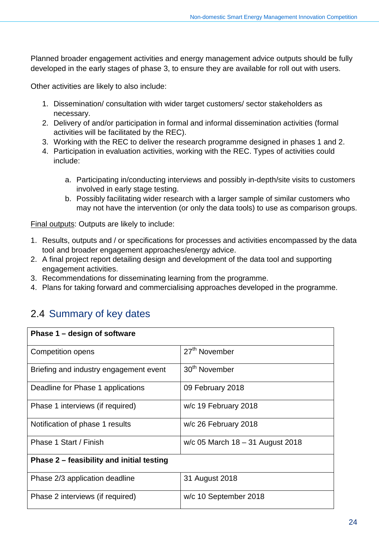Planned broader engagement activities and energy management advice outputs should be fully developed in the early stages of phase 3, to ensure they are available for roll out with users.

Other activities are likely to also include:

- 1. Dissemination/ consultation with wider target customers/ sector stakeholders as necessary.
- 2. Delivery of and/or participation in formal and informal dissemination activities (formal activities will be facilitated by the REC).
- 3. Working with the REC to deliver the research programme designed in phases 1 and 2.
- 4. Participation in evaluation activities, working with the REC. Types of activities could include:
	- a. Participating in/conducting interviews and possibly in-depth/site visits to customers involved in early stage testing.
	- b. Possibly facilitating wider research with a larger sample of similar customers who may not have the intervention (or only the data tools) to use as comparison groups.

Final outputs: Outputs are likely to include:

- 1. Results, outputs and / or specifications for processes and activities encompassed by the data tool and broader engagement approaches/energy advice.
- 2. A final project report detailing design and development of the data tool and supporting engagement activities.
- 3. Recommendations for disseminating learning from the programme.
- 4. Plans for taking forward and commercialising approaches developed in the programme.

## <span id="page-24-0"></span>2.4 Summary of key dates

| Phase 1 – design of software              |                                    |  |  |
|-------------------------------------------|------------------------------------|--|--|
| Competition opens                         | 27 <sup>th</sup> November          |  |  |
| Briefing and industry engagement event    | 30 <sup>th</sup> November          |  |  |
| Deadline for Phase 1 applications         | 09 February 2018                   |  |  |
| Phase 1 interviews (if required)          | w/c 19 February 2018               |  |  |
| Notification of phase 1 results           | w/c 26 February 2018               |  |  |
| Phase 1 Start / Finish                    | $w/c$ 05 March 18 – 31 August 2018 |  |  |
| Phase 2 – feasibility and initial testing |                                    |  |  |
| Phase 2/3 application deadline            | 31 August 2018                     |  |  |
| Phase 2 interviews (if required)          | w/c 10 September 2018              |  |  |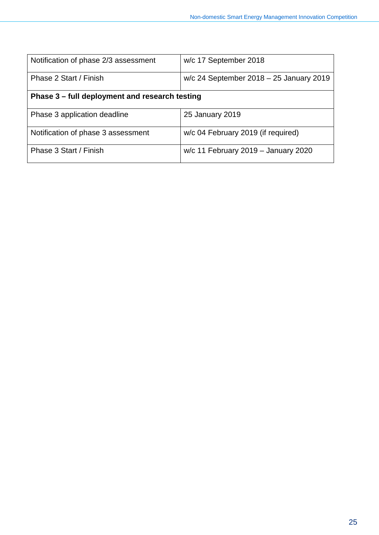| Notification of phase 2/3 assessment           | w/c 17 September 2018                     |  |
|------------------------------------------------|-------------------------------------------|--|
| Phase 2 Start / Finish                         | $w/c$ 24 September 2018 – 25 January 2019 |  |
| Phase 3 – full deployment and research testing |                                           |  |
| Phase 3 application deadline                   | 25 January 2019                           |  |
| Notification of phase 3 assessment             | w/c 04 February 2019 (if required)        |  |
| Phase 3 Start / Finish                         | w/c 11 February 2019 - January 2020       |  |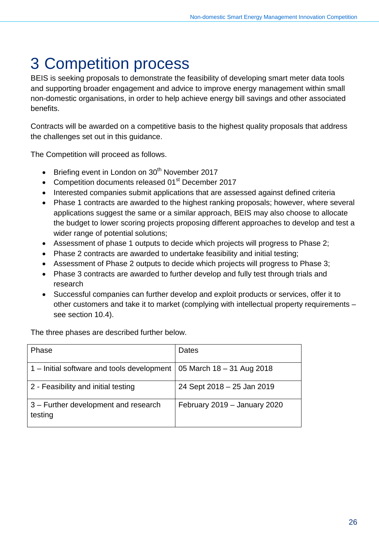# <span id="page-26-0"></span>3 Competition process

BEIS is seeking proposals to demonstrate the feasibility of developing smart meter data tools and supporting broader engagement and advice to improve energy management within small non-domestic organisations, in order to help achieve energy bill savings and other associated benefits.

Contracts will be awarded on a competitive basis to the highest quality proposals that address the challenges set out in this guidance.

The Competition will proceed as follows.

- Briefing event in London on  $30<sup>th</sup>$  November 2017
- Competition documents released 01<sup>st</sup> December 2017
- Interested companies submit applications that are assessed against defined criteria
- Phase 1 contracts are awarded to the highest ranking proposals; however, where several applications suggest the same or a similar approach, BEIS may also choose to allocate the budget to lower scoring projects proposing different approaches to develop and test a wider range of potential solutions;
- Assessment of phase 1 outputs to decide which projects will progress to Phase 2;
- Phase 2 contracts are awarded to undertake feasibility and initial testing;
- Assessment of Phase 2 outputs to decide which projects will progress to Phase 3;
- Phase 3 contracts are awarded to further develop and fully test through trials and research
- Successful companies can further develop and exploit products or services, offer it to other customers and take it to market (complying with intellectual property requirements – see section [10.4\)](#page-35-1).

The three phases are described further below.

| Phase                                           | Dates                        |
|-------------------------------------------------|------------------------------|
| 1 – Initial software and tools development      | 05 March 18 - 31 Aug 2018    |
| 2 - Feasibility and initial testing             | 24 Sept 2018 - 25 Jan 2019   |
| 3 – Further development and research<br>testing | February 2019 - January 2020 |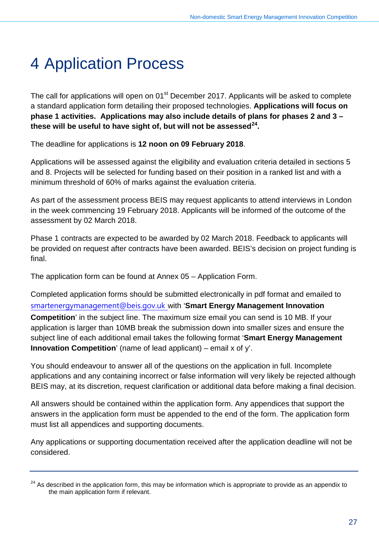# <span id="page-27-0"></span>4 Application Process

The call for applications will open on 01<sup>st</sup> December 2017. Applicants will be asked to complete a standard application form detailing their proposed technologies. **Applications will focus on phase 1 activities. Applications may also include details of plans for phases 2 and 3 – these will be useful to have sight of, but will not be assessed[24](#page-27-1).** 

The deadline for applications is **12 noon on 09 February 2018**.

Applications will be assessed against the eligibility and evaluation criteria detailed in sections 5 and 8. Projects will be selected for funding based on their position in a ranked list and with a minimum threshold of 60% of marks against the evaluation criteria.

As part of the assessment process BEIS may request applicants to attend interviews in London in the week commencing 19 February 2018. Applicants will be informed of the outcome of the assessment by 02 March 2018.

Phase 1 contracts are expected to be awarded by 02 March 2018. Feedback to applicants will be provided on request after contracts have been awarded. BEIS's decision on project funding is final.

The application form can be found at Annex 05 – Application Form.

Completed application forms should be submitted electronically in pdf format and emailed to [smartenergymanagement@beis.gov.uk](mailto:smartenergymanagement@beis.gov.uk) with '**Smart Energy Management Innovation** 

**Competition**' in the subject line. The maximum size email you can send is 10 MB. If your application is larger than 10MB break the submission down into smaller sizes and ensure the subject line of each additional email takes the following format '**Smart Energy Management Innovation Competition**' (name of lead applicant) – email x of y'.

You should endeavour to answer all of the questions on the application in full. Incomplete applications and any containing incorrect or false information will very likely be rejected although BEIS may, at its discretion, request clarification or additional data before making a final decision.

All answers should be contained within the application form. Any appendices that support the answers in the application form must be appended to the end of the form. The application form must list all appendices and supporting documents.

Any applications or supporting documentation received after the application deadline will not be considered.

<span id="page-27-1"></span><sup>&</sup>lt;sup>24</sup> As described in the application form, this may be information which is appropriate to provide as an appendix to the main application form if relevant.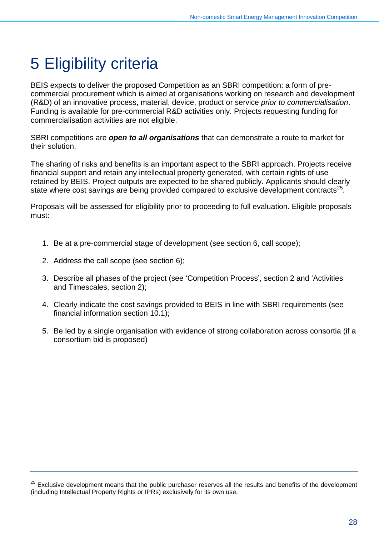# <span id="page-28-0"></span>5 Eligibility criteria

BEIS expects to deliver the proposed Competition as an SBRI competition: a form of precommercial procurement which is aimed at organisations working on research and development (R&D) of an innovative process, material, device, product or service *prior to commercialisation*. Funding is available for pre-commercial R&D activities only. Projects requesting funding for commercialisation activities are not eligible.

SBRI competitions are *open to all organisations* that can demonstrate a route to market for their solution.

The sharing of risks and benefits is an important aspect to the SBRI approach. Projects receive financial support and retain any intellectual property generated, with certain rights of use retained by BEIS. Project outputs are expected to be shared publicly. Applicants should clearly state where cost savings are being provided compared to exclusive development contracts $^{25}$ .

Proposals will be assessed for eligibility prior to proceeding to full evaluation. Eligible proposals must:

- 1. Be at a pre-commercial stage of development (see section [6,](#page-29-0) call scope);
- 2. Address the call scope (see section [6\)](#page-29-0);
- 3. Describe all phases of the project (see 'Competition Process', section [2](#page-19-0) and 'Activities and Timescales, section [2\)](#page-19-0);
- 4. Clearly indicate the cost savings provided to BEIS in line with SBRI requirements (see financial information section [10.](#page-34-0)1);
- 5. Be led by a single organisation with evidence of strong collaboration across consortia (if a consortium bid is proposed)

<span id="page-28-1"></span><sup>25</sup> Exclusive development means that the public purchaser reserves all the results and benefits of the development (including Intellectual Property Rights or IPRs) exclusively for its own use.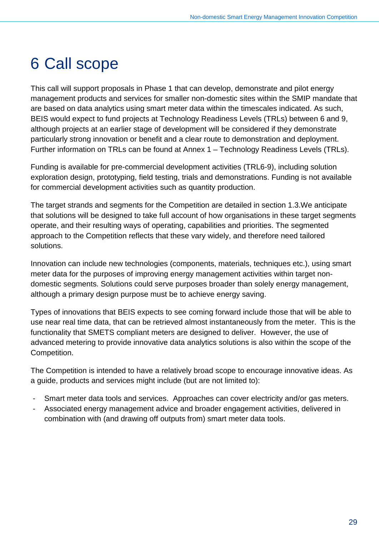# <span id="page-29-0"></span>6 Call scope

This call will support proposals in Phase 1 that can develop, demonstrate and pilot energy management products and services for smaller non-domestic sites within the SMIP mandate that are based on data analytics using smart meter data within the timescales indicated. As such, BEIS would expect to fund projects at Technology Readiness Levels (TRLs) between 6 and 9, although projects at an earlier stage of development will be considered if they demonstrate particularly strong innovation or benefit and a clear route to demonstration and deployment. Further information on TRLs can be found at Annex 1 – Technology Readiness Levels (TRLs).

Funding is available for pre-commercial development activities (TRL6-9), including solution exploration design, prototyping, field testing, trials and demonstrations. Funding is not available for commercial development activities such as quantity production.

The target strands and segments for the Competition are detailed in section [1.3.](#page-15-1)We anticipate that solutions will be designed to take full account of how organisations in these target segments operate, and their resulting ways of operating, capabilities and priorities. The segmented approach to the Competition reflects that these vary widely, and therefore need tailored solutions.

Innovation can include new technologies (components, materials, techniques etc.), using smart meter data for the purposes of improving energy management activities within target nondomestic segments. Solutions could serve purposes broader than solely energy management, although a primary design purpose must be to achieve energy saving.

Types of innovations that BEIS expects to see coming forward include those that will be able to use near real time data, that can be retrieved almost instantaneously from the meter. This is the functionality that SMETS compliant meters are designed to deliver. However, the use of advanced metering to provide innovative data analytics solutions is also within the scope of the Competition.

The Competition is intended to have a relatively broad scope to encourage innovative ideas. As a guide, products and services might include (but are not limited to):

- Smart meter data tools and services. Approaches can cover electricity and/or gas meters.
- Associated energy management advice and broader engagement activities, delivered in combination with (and drawing off outputs from) smart meter data tools.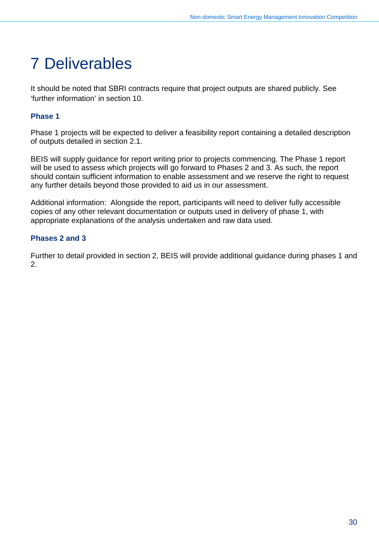# <span id="page-30-0"></span>7 Deliverables

It should be noted that SBRI contracts require that project outputs are shared publicly. See 'further information' in section [10.](#page-34-0)

### **Phase 1**

Phase 1 projects will be expected to deliver a feasibility report containing a detailed description of outputs detailed in section [2.1.](#page-19-1)

BEIS will supply guidance for report writing prior to projects commencing. The Phase 1 report will be used to assess which projects will go forward to Phases 2 and 3. As such, the report should contain sufficient information to enable assessment and we reserve the right to request any further details beyond those provided to aid us in our assessment.

Additional information: Alongside the report, participants will need to deliver fully accessible copies of any other relevant documentation or outputs used in delivery of phase 1, with appropriate explanations of the analysis undertaken and raw data used.

### **Phases 2 and 3**

Further to detail provided in section [2,](#page-19-0) BEIS will provide additional guidance during phases 1 and 2.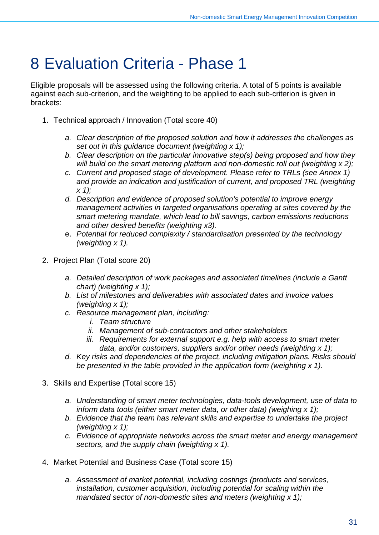## <span id="page-31-0"></span>8 Evaluation Criteria - Phase 1

Eligible proposals will be assessed using the following criteria. A total of 5 points is available against each sub-criterion, and the weighting to be applied to each sub-criterion is given in brackets:

- 1. Technical approach / Innovation (Total score 40)
	- *a. Clear description of the proposed solution and how it addresses the challenges as set out in this guidance document (weighting x 1);*
	- *b. Clear description on the particular innovative step(s) being proposed and how they will build on the smart metering platform and non-domestic roll out (weighting x 2);*
	- *c. Current and proposed stage of development. Please refer to TRLs (see Annex 1)*  and provide an indication and justification of current, and proposed TRL (weighting *x 1);*
	- *d. Description and evidence of proposed solution's potential to improve energy management activities in targeted organisations operating at sites covered by the smart metering mandate, which lead to bill savings, carbon emissions reductions and other desired benefits (weighting x3).*
	- e. *Potential for reduced complexity / standardisation presented by the technology (weighting x 1).*
- 2. Project Plan (Total score 20)
	- *a. Detailed description of work packages and associated timelines (include a Gantt chart) (weighting x 1);*
	- *b. List of milestones and deliverables with associated dates and invoice values (weighting x 1);*
	- *c. Resource management plan, including:* 
		- *i. Team structure*
		- *ii. Management of sub-contractors and other stakeholders*
		- *iii. Requirements for external support e.g. help with access to smart meter data, and/or customers, suppliers and/or other needs (weighting x 1);*
	- *d. Key risks and dependencies of the project, including mitigation plans. Risks should be presented in the table provided in the application form (weighting x 1).*
- 3. Skills and Expertise (Total score 15)
	- *a. Understanding of smart meter technologies, data-tools development, use of data to inform data tools (either smart meter data, or other data) (weighing x 1);*
	- *b. Evidence that the team has relevant skills and expertise to undertake the project (weighting x 1);*
	- *c. Evidence of appropriate networks across the smart meter and energy management sectors, and the supply chain (weighting x 1).*
- 4. Market Potential and Business Case (Total score 15)
	- *a. Assessment of market potential, including costings (products and services, installation, customer acquisition, including potential for scaling within the mandated sector of non-domestic sites and meters (weighting x 1);*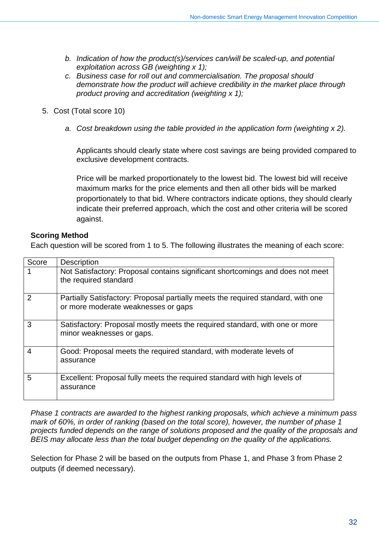- *b. Indication of how the product(s)/services can/will be scaled-up, and potential exploitation across GB (weighting x 1);*
- *c. Business case for roll out and commercialisation. The proposal should demonstrate how the product will achieve credibility in the market place through product proving and accreditation (weighting x 1);*
- 5. Cost (Total score 10)
	- *a. Cost breakdown using the table provided in the application form (weighting x 2).*

Applicants should clearly state where cost savings are being provided compared to exclusive development contracts.

Price will be marked proportionately to the lowest bid. The lowest bid will receive maximum marks for the price elements and then all other bids will be marked proportionately to that bid. Where contractors indicate options, they should clearly indicate their preferred approach, which the cost and other criteria will be scored against.

### **Scoring Method**

Each question will be scored from 1 to 5. The following illustrates the meaning of each score:

| Score         | <b>Description</b>                                                                                                      |
|---------------|-------------------------------------------------------------------------------------------------------------------------|
|               | Not Satisfactory: Proposal contains significant shortcomings and does not meet<br>the required standard                 |
| $\mathcal{P}$ | Partially Satisfactory: Proposal partially meets the required standard, with one<br>or more moderate weaknesses or gaps |
| 3             | Satisfactory: Proposal mostly meets the required standard, with one or more<br>minor weaknesses or gaps.                |
| 4             | Good: Proposal meets the required standard, with moderate levels of<br>assurance                                        |
| 5             | Excellent: Proposal fully meets the required standard with high levels of<br>assurance                                  |

*Phase 1 contracts are awarded to the highest ranking proposals, which achieve a minimum pass mark of 60%, in order of ranking (based on the total score), however, the number of phase 1 projects funded depends on the range of solutions proposed and the quality of the proposals and BEIS may allocate less than the total budget depending on the quality of the applications.* 

Selection for Phase 2 will be based on the outputs from Phase 1, and Phase 3 from Phase 2 outputs (if deemed necessary).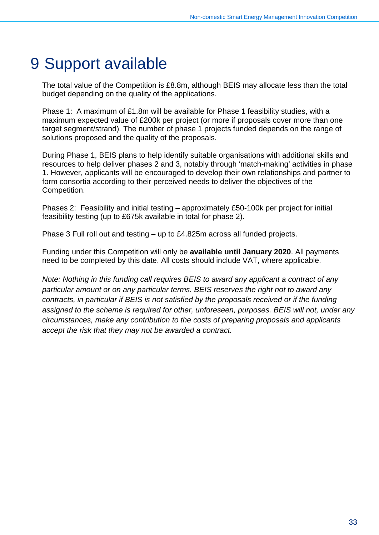## <span id="page-33-0"></span>9 Support available

The total value of the Competition is £8.8m, although BEIS may allocate less than the total budget depending on the quality of the applications.

Phase 1: A maximum of £1.8m will be available for Phase 1 feasibility studies, with a maximum expected value of £200k per project (or more if proposals cover more than one target segment/strand). The number of phase 1 projects funded depends on the range of solutions proposed and the quality of the proposals.

During Phase 1, BEIS plans to help identify suitable organisations with additional skills and resources to help deliver phases 2 and 3, notably through 'match-making' activities in phase 1. However, applicants will be encouraged to develop their own relationships and partner to form consortia according to their perceived needs to deliver the objectives of the Competition.

Phases 2: Feasibility and initial testing – approximately £50-100k per project for initial feasibility testing (up to £675k available in total for phase 2).

Phase 3 Full roll out and testing – up to £4.825m across all funded projects.

Funding under this Competition will only be **available until January 2020**. All payments need to be completed by this date. All costs should include VAT, where applicable.

*Note: Nothing in this funding call requires BEIS to award any applicant a contract of any particular amount or on any particular terms. BEIS reserves the right not to award any contracts, in particular if BEIS is not satisfied by the proposals received or if the funding assigned to the scheme is required for other, unforeseen, purposes. BEIS will not, under any circumstances, make any contribution to the costs of preparing proposals and applicants accept the risk that they may not be awarded a contract.*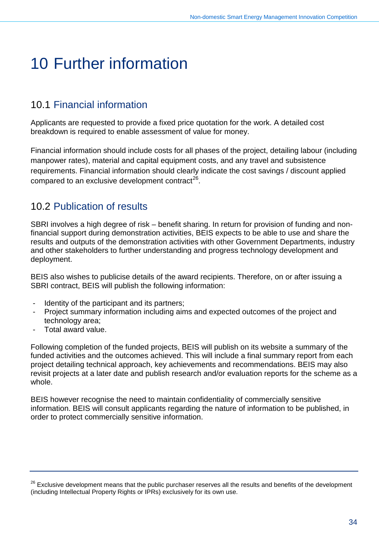## <span id="page-34-0"></span>10 Further information

## <span id="page-34-1"></span>10.1 Financial information

Applicants are requested to provide a fixed price quotation for the work. A detailed cost breakdown is required to enable assessment of value for money.

Financial information should include costs for all phases of the project, detailing labour (including manpower rates), material and capital equipment costs, and any travel and subsistence requirements. Financial information should clearly indicate the cost savings / discount applied compared to an exclusive development contract<sup>26</sup>.

## <span id="page-34-2"></span>10.2 Publication of results

SBRI involves a high degree of risk – benefit sharing. In return for provision of funding and nonfinancial support during demonstration activities, BEIS expects to be able to use and share the results and outputs of the demonstration activities with other Government Departments, industry and other stakeholders to further understanding and progress technology development and deployment.

BEIS also wishes to publicise details of the award recipients. Therefore, on or after issuing a SBRI contract, BEIS will publish the following information:

- Identity of the participant and its partners;
- Project summary information including aims and expected outcomes of the project and technology area;
- Total award value.

Following completion of the funded projects, BEIS will publish on its website a summary of the funded activities and the outcomes achieved. This will include a final summary report from each project detailing technical approach, key achievements and recommendations. BEIS may also revisit projects at a later date and publish research and/or evaluation reports for the scheme as a whole.

BEIS however recognise the need to maintain confidentiality of commercially sensitive information. BEIS will consult applicants regarding the nature of information to be published, in order to protect commercially sensitive information.

<span id="page-34-3"></span><sup>26</sup> Exclusive development means that the public purchaser reserves all the results and benefits of the development (including Intellectual Property Rights or IPRs) exclusively for its own use.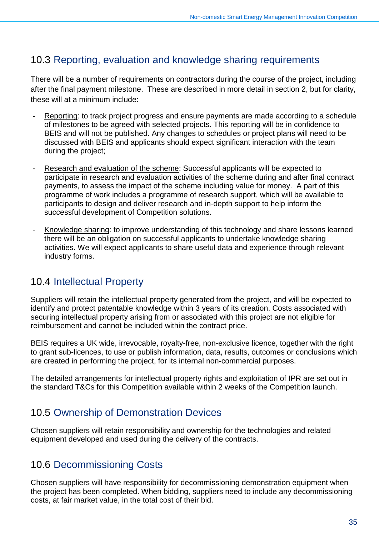## <span id="page-35-0"></span>10.3 Reporting, evaluation and knowledge sharing requirements

There will be a number of requirements on contractors during the course of the project, including after the final payment milestone. These are described in more detail in section [2,](#page-19-0) but for clarity, these will at a minimum include:

- Reporting: to track project progress and ensure payments are made according to a schedule of milestones to be agreed with selected projects. This reporting will be in confidence to BEIS and will not be published. Any changes to schedules or project plans will need to be discussed with BEIS and applicants should expect significant interaction with the team during the project;
- Research and evaluation of the scheme: Successful applicants will be expected to participate in research and evaluation activities of the scheme during and after final contract payments, to assess the impact of the scheme including value for money. A part of this programme of work includes a programme of research support, which will be available to participants to design and deliver research and in-depth support to help inform the successful development of Competition solutions.
- Knowledge sharing: to improve understanding of this technology and share lessons learned there will be an obligation on successful applicants to undertake knowledge sharing activities. We will expect applicants to share useful data and experience through relevant industry forms.

## <span id="page-35-1"></span>10.4 Intellectual Property

Suppliers will retain the intellectual property generated from the project, and will be expected to identify and protect patentable knowledge within 3 years of its creation. Costs associated with securing intellectual property arising from or associated with this project are not eligible for reimbursement and cannot be included within the contract price.

BEIS requires a UK wide, irrevocable, royalty-free, non-exclusive licence, together with the right to grant sub-licences, to use or publish information, data, results, outcomes or conclusions which are created in performing the project, for its internal non-commercial purposes.

The detailed arrangements for intellectual property rights and exploitation of IPR are set out in the standard T&Cs for this Competition available within 2 weeks of the Competition launch.

## <span id="page-35-2"></span>10.5 Ownership of Demonstration Devices

Chosen suppliers will retain responsibility and ownership for the technologies and related equipment developed and used during the delivery of the contracts.

## <span id="page-35-3"></span>10.6 Decommissioning Costs

Chosen suppliers will have responsibility for decommissioning demonstration equipment when the project has been completed. When bidding, suppliers need to include any decommissioning costs, at fair market value, in the total cost of their bid.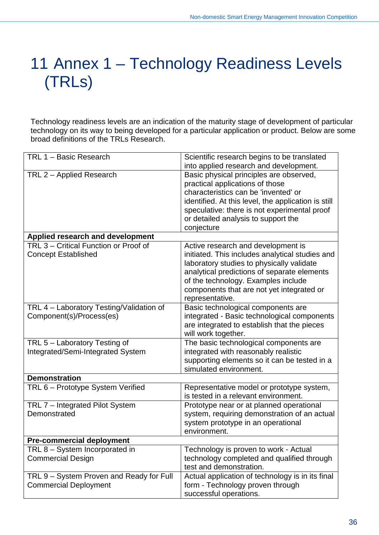# 11 Annex 1 – Technology Readiness Levels (TRLs)

Technology readiness levels are an indication of the maturity stage of development of particular technology on its way to being developed for a particular application or product. Below are some broad definitions of the TRLs Research.

| TRL 1 - Basic Research                   | Scientific research begins to be translated         |
|------------------------------------------|-----------------------------------------------------|
|                                          | into applied research and development.              |
| TRL 2 - Applied Research                 | Basic physical principles are observed,             |
|                                          | practical applications of those                     |
|                                          | characteristics can be 'invented' or                |
|                                          | identified. At this level, the application is still |
|                                          | speculative: there is not experimental proof        |
|                                          | or detailed analysis to support the                 |
|                                          | conjecture                                          |
| Applied research and development         |                                                     |
| TRL 3 - Critical Function or Proof of    | Active research and development is                  |
| <b>Concept Established</b>               | initiated. This includes analytical studies and     |
|                                          | laboratory studies to physically validate           |
|                                          | analytical predictions of separate elements         |
|                                          | of the technology. Examples include                 |
|                                          | components that are not yet integrated or           |
|                                          | representative.                                     |
| TRL 4 - Laboratory Testing/Validation of | Basic technological components are                  |
| Component(s)/Process(es)                 | integrated - Basic technological components         |
|                                          | are integrated to establish that the pieces         |
|                                          | will work together.                                 |
| TRL 5 - Laboratory Testing of            | The basic technological components are              |
| Integrated/Semi-Integrated System        | integrated with reasonably realistic                |
|                                          | supporting elements so it can be tested in a        |
|                                          | simulated environment.                              |
| <b>Demonstration</b>                     |                                                     |
| TRL 6 - Prototype System Verified        | Representative model or prototype system,           |
|                                          | is tested in a relevant environment.                |
| TRL 7 - Integrated Pilot System          | Prototype near or at planned operational            |
| Demonstrated                             | system, requiring demonstration of an actual        |
|                                          | system prototype in an operational                  |
|                                          | environment.                                        |
| <b>Pre-commercial deployment</b>         |                                                     |
| TRL 8 – System Incorporated in           | Technology is proven to work - Actual               |
| <b>Commercial Design</b>                 | technology completed and qualified through          |
|                                          | test and demonstration.                             |
| TRL 9 - System Proven and Ready for Full | Actual application of technology is in its final    |
| <b>Commercial Deployment</b>             | form - Technology proven through                    |
|                                          | successful operations.                              |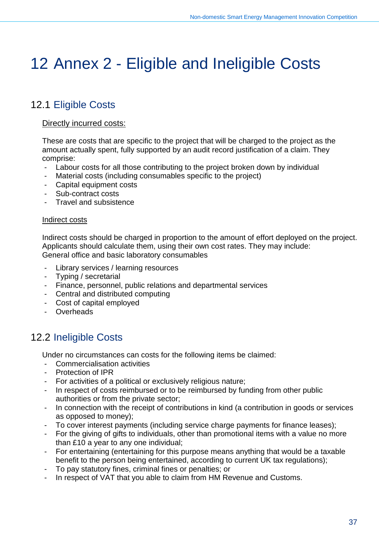## 12 Annex 2 - Eligible and Ineligible Costs

## 12.1 Eligible Costs

#### Directly incurred costs:

These are costs that are specific to the project that will be charged to the project as the amount actually spent, fully supported by an audit record justification of a claim. They comprise:

- Labour costs for all those contributing to the project broken down by individual
- Material costs (including consumables specific to the project)
- Capital equipment costs
- Sub-contract costs
- Travel and subsistence

#### Indirect costs

Indirect costs should be charged in proportion to the amount of effort deployed on the project. Applicants should calculate them, using their own cost rates. They may include: General office and basic laboratory consumables

- Library services / learning resources
- Typing / secretarial
- Finance, personnel, public relations and departmental services
- Central and distributed computing
- Cost of capital employed
- Overheads

## 12.2 Ineligible Costs

Under no circumstances can costs for the following items be claimed:

- Commercialisation activities
- Protection of IPR
- For activities of a political or exclusively religious nature;
- In respect of costs reimbursed or to be reimbursed by funding from other public authorities or from the private sector;
- In connection with the receipt of contributions in kind (a contribution in goods or services as opposed to money);
- To cover interest payments (including service charge payments for finance leases);
- For the giving of gifts to individuals, other than promotional items with a value no more than £10 a year to any one individual;
- For entertaining (entertaining for this purpose means anything that would be a taxable benefit to the person being entertained, according to current UK tax regulations);
- To pay statutory fines, criminal fines or penalties; or
- In respect of VAT that you able to claim from HM Revenue and Customs.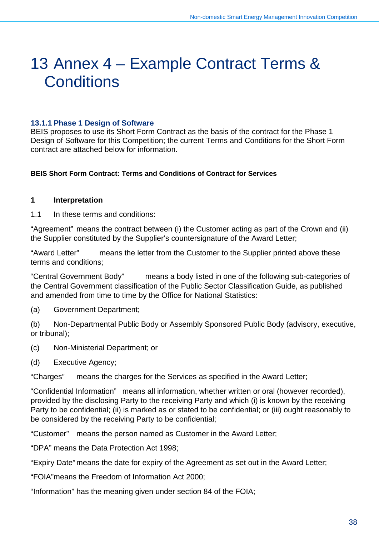## 13 Annex 4 – Example Contract Terms & **Conditions**

#### **13.1.1 Phase 1 Design of Software**

BEIS proposes to use its Short Form Contract as the basis of the contract for the Phase 1 Design of Software for this Competition; the current Terms and Conditions for the Short Form contract are attached below for information.

#### **BEIS Short Form Contract: Terms and Conditions of Contract for Services**

#### **1 Interpretation**

1.1 In these terms and conditions:

"Agreement" means the contract between (i) the Customer acting as part of the Crown and (ii) the Supplier constituted by the Supplier's countersignature of the Award Letter;

"Award Letter" means the letter from the Customer to the Supplier printed above these terms and conditions;

"Central Government Body" means a body listed in one of the following sub-categories of the Central Government classification of the Public Sector Classification Guide, as published and amended from time to time by the Office for National Statistics:

(a) Government Department;

(b) Non-Departmental Public Body or Assembly Sponsored Public Body (advisory, executive, or tribunal);

- (c) Non-Ministerial Department; or
- (d) Executive Agency;

"Charges" means the charges for the Services as specified in the Award Letter;

"Confidential Information" means all information, whether written or oral (however recorded), provided by the disclosing Party to the receiving Party and which (i) is known by the receiving Party to be confidential; (ii) is marked as or stated to be confidential; or (iii) ought reasonably to be considered by the receiving Party to be confidential;

"Customer" means the person named as Customer in the Award Letter;

"DPA" means the Data Protection Act 1998;

"Expiry Date" means the date for expiry of the Agreement as set out in the Award Letter;

"FOIA"means the Freedom of Information Act 2000;

"Information" has the meaning given under section 84 of the FOIA;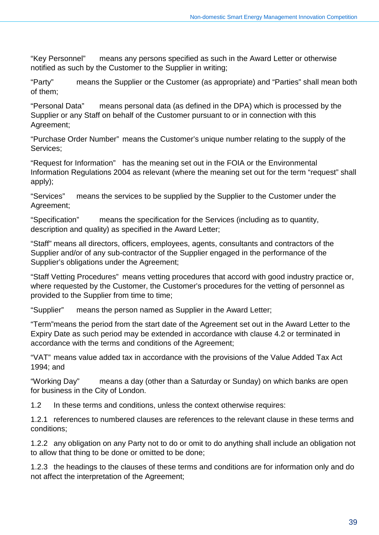"Key Personnel" means any persons specified as such in the Award Letter or otherwise notified as such by the Customer to the Supplier in writing;

"Party" means the Supplier or the Customer (as appropriate) and "Parties" shall mean both of them;

"Personal Data" means personal data (as defined in the DPA) which is processed by the Supplier or any Staff on behalf of the Customer pursuant to or in connection with this Agreement;

"Purchase Order Number" means the Customer's unique number relating to the supply of the Services;

"Request for Information" has the meaning set out in the FOIA or the Environmental Information Regulations 2004 as relevant (where the meaning set out for the term "request" shall apply);

"Services" means the services to be supplied by the Supplier to the Customer under the Agreement;

"Specification" means the specification for the Services (including as to quantity, description and quality) as specified in the Award Letter;

"Staff" means all directors, officers, employees, agents, consultants and contractors of the Supplier and/or of any sub-contractor of the Supplier engaged in the performance of the Supplier's obligations under the Agreement;

"Staff Vetting Procedures" means vetting procedures that accord with good industry practice or, where requested by the Customer, the Customer's procedures for the vetting of personnel as provided to the Supplier from time to time;

"Supplier" means the person named as Supplier in the Award Letter;

"Term"means the period from the start date of the Agreement set out in the Award Letter to the Expiry Date as such period may be extended in accordance with clause 4.2 or terminated in accordance with the terms and conditions of the Agreement;

"VAT" means value added tax in accordance with the provisions of the Value Added Tax Act 1994; and

"Working Day" means a day (other than a Saturday or Sunday) on which banks are open for business in the City of London.

1.2 In these terms and conditions, unless the context otherwise requires:

1.2.1 references to numbered clauses are references to the relevant clause in these terms and conditions;

1.2.2 any obligation on any Party not to do or omit to do anything shall include an obligation not to allow that thing to be done or omitted to be done;

1.2.3 the headings to the clauses of these terms and conditions are for information only and do not affect the interpretation of the Agreement;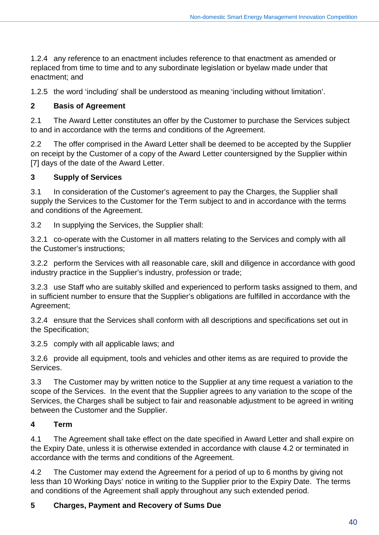1.2.4 any reference to an enactment includes reference to that enactment as amended or replaced from time to time and to any subordinate legislation or byelaw made under that enactment; and

1.2.5 the word 'including' shall be understood as meaning 'including without limitation'.

## **2 Basis of Agreement**

2.1 The Award Letter constitutes an offer by the Customer to purchase the Services subject to and in accordance with the terms and conditions of the Agreement.

2.2 The offer comprised in the Award Letter shall be deemed to be accepted by the Supplier on receipt by the Customer of a copy of the Award Letter countersigned by the Supplier within [7] days of the date of the Award Letter.

## **3 Supply of Services**

3.1 In consideration of the Customer's agreement to pay the Charges, the Supplier shall supply the Services to the Customer for the Term subject to and in accordance with the terms and conditions of the Agreement.

3.2 In supplying the Services, the Supplier shall:

3.2.1 co-operate with the Customer in all matters relating to the Services and comply with all the Customer's instructions;

3.2.2 perform the Services with all reasonable care, skill and diligence in accordance with good industry practice in the Supplier's industry, profession or trade;

3.2.3 use Staff who are suitably skilled and experienced to perform tasks assigned to them, and in sufficient number to ensure that the Supplier's obligations are fulfilled in accordance with the Agreement;

3.2.4 ensure that the Services shall conform with all descriptions and specifications set out in the Specification;

3.2.5 comply with all applicable laws; and

3.2.6 provide all equipment, tools and vehicles and other items as are required to provide the Services.

3.3 The Customer may by written notice to the Supplier at any time request a variation to the scope of the Services. In the event that the Supplier agrees to any variation to the scope of the Services, the Charges shall be subject to fair and reasonable adjustment to be agreed in writing between the Customer and the Supplier.

## **4 Term**

4.1 The Agreement shall take effect on the date specified in Award Letter and shall expire on the Expiry Date, unless it is otherwise extended in accordance with clause 4.2 or terminated in accordance with the terms and conditions of the Agreement.

4.2 The Customer may extend the Agreement for a period of up to 6 months by giving not less than 10 Working Days' notice in writing to the Supplier prior to the Expiry Date. The terms and conditions of the Agreement shall apply throughout any such extended period.

## **5 Charges, Payment and Recovery of Sums Due**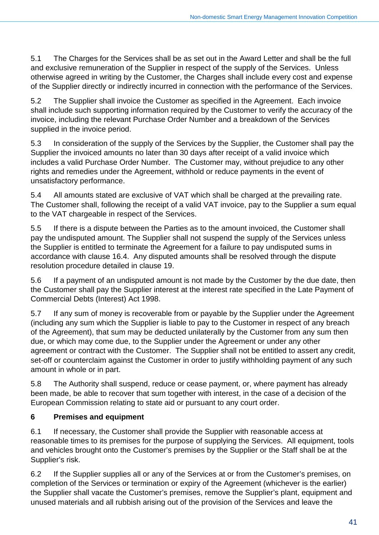5.1 The Charges for the Services shall be as set out in the Award Letter and shall be the full and exclusive remuneration of the Supplier in respect of the supply of the Services. Unless otherwise agreed in writing by the Customer, the Charges shall include every cost and expense of the Supplier directly or indirectly incurred in connection with the performance of the Services.

5.2 The Supplier shall invoice the Customer as specified in the Agreement. Each invoice shall include such supporting information required by the Customer to verify the accuracy of the invoice, including the relevant Purchase Order Number and a breakdown of the Services supplied in the invoice period.

5.3 In consideration of the supply of the Services by the Supplier, the Customer shall pay the Supplier the invoiced amounts no later than 30 days after receipt of a valid invoice which includes a valid Purchase Order Number. The Customer may, without prejudice to any other rights and remedies under the Agreement, withhold or reduce payments in the event of unsatisfactory performance.

5.4 All amounts stated are exclusive of VAT which shall be charged at the prevailing rate. The Customer shall, following the receipt of a valid VAT invoice, pay to the Supplier a sum equal to the VAT chargeable in respect of the Services.

5.5 If there is a dispute between the Parties as to the amount invoiced, the Customer shall pay the undisputed amount. The Supplier shall not suspend the supply of the Services unless the Supplier is entitled to terminate the Agreement for a failure to pay undisputed sums in accordance with clause 16.4. Any disputed amounts shall be resolved through the dispute resolution procedure detailed in clause 19.

5.6 If a payment of an undisputed amount is not made by the Customer by the due date, then the Customer shall pay the Supplier interest at the interest rate specified in the Late Payment of Commercial Debts (Interest) Act 1998.

5.7 If any sum of money is recoverable from or payable by the Supplier under the Agreement (including any sum which the Supplier is liable to pay to the Customer in respect of any breach of the Agreement), that sum may be deducted unilaterally by the Customer from any sum then due, or which may come due, to the Supplier under the Agreement or under any other agreement or contract with the Customer. The Supplier shall not be entitled to assert any credit, set-off or counterclaim against the Customer in order to justify withholding payment of any such amount in whole or in part.

5.8 The Authority shall suspend, reduce or cease payment, or, where payment has already been made, be able to recover that sum together with interest, in the case of a decision of the European Commission relating to state aid or pursuant to any court order.

## **6 Premises and equipment**

6.1 If necessary, the Customer shall provide the Supplier with reasonable access at reasonable times to its premises for the purpose of supplying the Services. All equipment, tools and vehicles brought onto the Customer's premises by the Supplier or the Staff shall be at the Supplier's risk.

6.2 If the Supplier supplies all or any of the Services at or from the Customer's premises, on completion of the Services or termination or expiry of the Agreement (whichever is the earlier) the Supplier shall vacate the Customer's premises, remove the Supplier's plant, equipment and unused materials and all rubbish arising out of the provision of the Services and leave the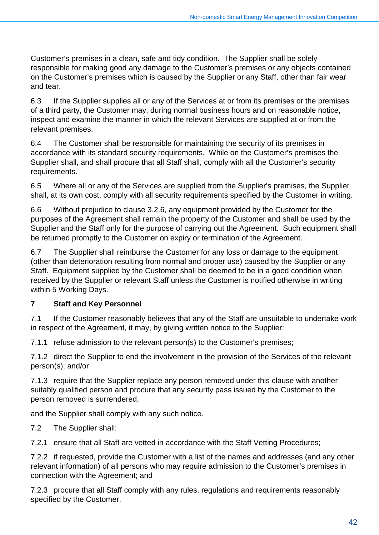Customer's premises in a clean, safe and tidy condition. The Supplier shall be solely responsible for making good any damage to the Customer's premises or any objects contained on the Customer's premises which is caused by the Supplier or any Staff, other than fair wear and tear.

6.3 If the Supplier supplies all or any of the Services at or from its premises or the premises of a third party, the Customer may, during normal business hours and on reasonable notice, inspect and examine the manner in which the relevant Services are supplied at or from the relevant premises.

6.4 The Customer shall be responsible for maintaining the security of its premises in accordance with its standard security requirements. While on the Customer's premises the Supplier shall, and shall procure that all Staff shall, comply with all the Customer's security requirements.

6.5 Where all or any of the Services are supplied from the Supplier's premises, the Supplier shall, at its own cost, comply with all security requirements specified by the Customer in writing.

6.6 Without prejudice to clause 3.2.6, any equipment provided by the Customer for the purposes of the Agreement shall remain the property of the Customer and shall be used by the Supplier and the Staff only for the purpose of carrying out the Agreement. Such equipment shall be returned promptly to the Customer on expiry or termination of the Agreement.

6.7 The Supplier shall reimburse the Customer for any loss or damage to the equipment (other than deterioration resulting from normal and proper use) caused by the Supplier or any Staff. Equipment supplied by the Customer shall be deemed to be in a good condition when received by the Supplier or relevant Staff unless the Customer is notified otherwise in writing within 5 Working Days.

## **7 Staff and Key Personnel**

7.1 If the Customer reasonably believes that any of the Staff are unsuitable to undertake work in respect of the Agreement, it may, by giving written notice to the Supplier:

7.1.1 refuse admission to the relevant person(s) to the Customer's premises;

7.1.2 direct the Supplier to end the involvement in the provision of the Services of the relevant person(s); and/or

7.1.3 require that the Supplier replace any person removed under this clause with another suitably qualified person and procure that any security pass issued by the Customer to the person removed is surrendered,

and the Supplier shall comply with any such notice.

7.2 The Supplier shall:

7.2.1 ensure that all Staff are vetted in accordance with the Staff Vetting Procedures;

7.2.2 if requested, provide the Customer with a list of the names and addresses (and any other relevant information) of all persons who may require admission to the Customer's premises in connection with the Agreement; and

7.2.3 procure that all Staff comply with any rules, regulations and requirements reasonably specified by the Customer.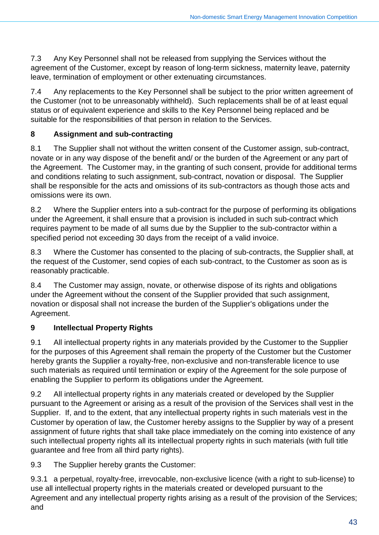7.3 Any Key Personnel shall not be released from supplying the Services without the agreement of the Customer, except by reason of long-term sickness, maternity leave, paternity leave, termination of employment or other extenuating circumstances.

7.4 Any replacements to the Key Personnel shall be subject to the prior written agreement of the Customer (not to be unreasonably withheld). Such replacements shall be of at least equal status or of equivalent experience and skills to the Key Personnel being replaced and be suitable for the responsibilities of that person in relation to the Services.

## **8 Assignment and sub-contracting**

8.1 The Supplier shall not without the written consent of the Customer assign, sub-contract, novate or in any way dispose of the benefit and/ or the burden of the Agreement or any part of the Agreement. The Customer may, in the granting of such consent, provide for additional terms and conditions relating to such assignment, sub-contract, novation or disposal. The Supplier shall be responsible for the acts and omissions of its sub-contractors as though those acts and omissions were its own.

8.2 Where the Supplier enters into a sub-contract for the purpose of performing its obligations under the Agreement, it shall ensure that a provision is included in such sub-contract which requires payment to be made of all sums due by the Supplier to the sub-contractor within a specified period not exceeding 30 days from the receipt of a valid invoice.

8.3 Where the Customer has consented to the placing of sub-contracts, the Supplier shall, at the request of the Customer, send copies of each sub-contract, to the Customer as soon as is reasonably practicable.

8.4 The Customer may assign, novate, or otherwise dispose of its rights and obligations under the Agreement without the consent of the Supplier provided that such assignment, novation or disposal shall not increase the burden of the Supplier's obligations under the Agreement.

## **9 Intellectual Property Rights**

9.1 All intellectual property rights in any materials provided by the Customer to the Supplier for the purposes of this Agreement shall remain the property of the Customer but the Customer hereby grants the Supplier a royalty-free, non-exclusive and non-transferable licence to use such materials as required until termination or expiry of the Agreement for the sole purpose of enabling the Supplier to perform its obligations under the Agreement.

9.2 All intellectual property rights in any materials created or developed by the Supplier pursuant to the Agreement or arising as a result of the provision of the Services shall vest in the Supplier. If, and to the extent, that any intellectual property rights in such materials vest in the Customer by operation of law, the Customer hereby assigns to the Supplier by way of a present assignment of future rights that shall take place immediately on the coming into existence of any such intellectual property rights all its intellectual property rights in such materials (with full title guarantee and free from all third party rights).

9.3 The Supplier hereby grants the Customer:

9.3.1 a perpetual, royalty-free, irrevocable, non-exclusive licence (with a right to sub-license) to use all intellectual property rights in the materials created or developed pursuant to the Agreement and any intellectual property rights arising as a result of the provision of the Services; and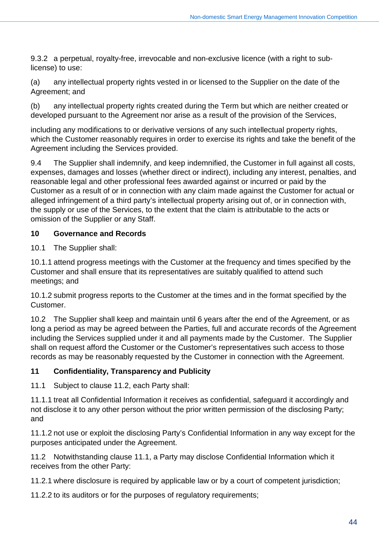9.3.2 a perpetual, royalty-free, irrevocable and non-exclusive licence (with a right to sublicense) to use:

(a) any intellectual property rights vested in or licensed to the Supplier on the date of the Agreement; and

(b) any intellectual property rights created during the Term but which are neither created or developed pursuant to the Agreement nor arise as a result of the provision of the Services,

including any modifications to or derivative versions of any such intellectual property rights, which the Customer reasonably requires in order to exercise its rights and take the benefit of the Agreement including the Services provided.

9.4 The Supplier shall indemnify, and keep indemnified, the Customer in full against all costs, expenses, damages and losses (whether direct or indirect), including any interest, penalties, and reasonable legal and other professional fees awarded against or incurred or paid by the Customer as a result of or in connection with any claim made against the Customer for actual or alleged infringement of a third party's intellectual property arising out of, or in connection with, the supply or use of the Services, to the extent that the claim is attributable to the acts or omission of the Supplier or any Staff.

## **10 Governance and Records**

10.1 The Supplier shall:

10.1.1 attend progress meetings with the Customer at the frequency and times specified by the Customer and shall ensure that its representatives are suitably qualified to attend such meetings; and

10.1.2 submit progress reports to the Customer at the times and in the format specified by the Customer.

10.2 The Supplier shall keep and maintain until 6 years after the end of the Agreement, or as long a period as may be agreed between the Parties, full and accurate records of the Agreement including the Services supplied under it and all payments made by the Customer. The Supplier shall on request afford the Customer or the Customer's representatives such access to those records as may be reasonably requested by the Customer in connection with the Agreement.

## **11 Confidentiality, Transparency and Publicity**

11.1 Subject to clause 11.2, each Party shall:

11.1.1 treat all Confidential Information it receives as confidential, safeguard it accordingly and not disclose it to any other person without the prior written permission of the disclosing Party; and

11.1.2 not use or exploit the disclosing Party's Confidential Information in any way except for the purposes anticipated under the Agreement.

11.2 Notwithstanding clause 11.1, a Party may disclose Confidential Information which it receives from the other Party:

11.2.1 where disclosure is required by applicable law or by a court of competent jurisdiction;

11.2.2 to its auditors or for the purposes of regulatory requirements;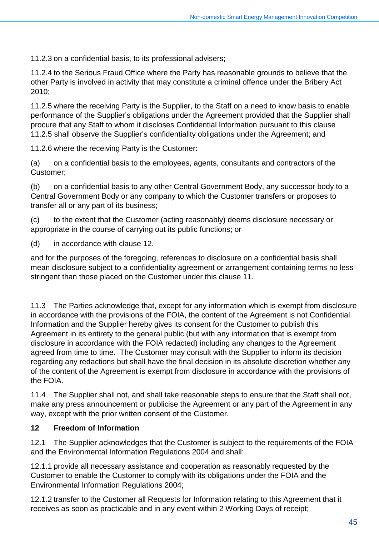11.2.3 on a confidential basis, to its professional advisers;

11.2.4 to the Serious Fraud Office where the Party has reasonable grounds to believe that the other Party is involved in activity that may constitute a criminal offence under the Bribery Act 2010;

11.2.5 where the receiving Party is the Supplier, to the Staff on a need to know basis to enable performance of the Supplier's obligations under the Agreement provided that the Supplier shall procure that any Staff to whom it discloses Confidential Information pursuant to this clause 11.2.5 shall observe the Supplier's confidentiality obligations under the Agreement; and

11.2.6 where the receiving Party is the Customer:

(a) on a confidential basis to the employees, agents, consultants and contractors of the Customer;

(b) on a confidential basis to any other Central Government Body, any successor body to a Central Government Body or any company to which the Customer transfers or proposes to transfer all or any part of its business;

(c) to the extent that the Customer (acting reasonably) deems disclosure necessary or appropriate in the course of carrying out its public functions; or

(d) in accordance with clause 12.

and for the purposes of the foregoing, references to disclosure on a confidential basis shall mean disclosure subject to a confidentiality agreement or arrangement containing terms no less stringent than those placed on the Customer under this clause 11.

11.3 The Parties acknowledge that, except for any information which is exempt from disclosure in accordance with the provisions of the FOIA, the content of the Agreement is not Confidential Information and the Supplier hereby gives its consent for the Customer to publish this Agreement in its entirety to the general public (but with any information that is exempt from disclosure in accordance with the FOIA redacted) including any changes to the Agreement agreed from time to time. The Customer may consult with the Supplier to inform its decision regarding any redactions but shall have the final decision in its absolute discretion whether any of the content of the Agreement is exempt from disclosure in accordance with the provisions of the FOIA.

11.4 The Supplier shall not, and shall take reasonable steps to ensure that the Staff shall not, make any press announcement or publicise the Agreement or any part of the Agreement in any way, except with the prior written consent of the Customer.

### **12 Freedom of Information**

12.1 The Supplier acknowledges that the Customer is subject to the requirements of the FOIA and the Environmental Information Regulations 2004 and shall:

12.1.1 provide all necessary assistance and cooperation as reasonably requested by the Customer to enable the Customer to comply with its obligations under the FOIA and the Environmental Information Regulations 2004;

12.1.2 transfer to the Customer all Requests for Information relating to this Agreement that it receives as soon as practicable and in any event within 2 Working Days of receipt;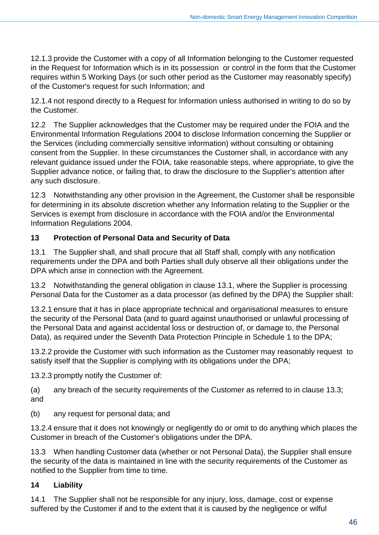12.1.3 provide the Customer with a copy of all Information belonging to the Customer requested in the Request for Information which is in its possession or control in the form that the Customer requires within 5 Working Days (or such other period as the Customer may reasonably specify) of the Customer's request for such Information; and

12.1.4 not respond directly to a Request for Information unless authorised in writing to do so by the Customer.

12.2 The Supplier acknowledges that the Customer may be required under the FOIA and the Environmental Information Regulations 2004 to disclose Information concerning the Supplier or the Services (including commercially sensitive information) without consulting or obtaining consent from the Supplier. In these circumstances the Customer shall, in accordance with any relevant guidance issued under the FOIA, take reasonable steps, where appropriate, to give the Supplier advance notice, or failing that, to draw the disclosure to the Supplier's attention after any such disclosure.

12.3 Notwithstanding any other provision in the Agreement, the Customer shall be responsible for determining in its absolute discretion whether any Information relating to the Supplier or the Services is exempt from disclosure in accordance with the FOIA and/or the Environmental Information Regulations 2004.

## **13 Protection of Personal Data and Security of Data**

13.1 The Supplier shall, and shall procure that all Staff shall, comply with any notification requirements under the DPA and both Parties shall duly observe all their obligations under the DPA which arise in connection with the Agreement.

13.2 Notwithstanding the general obligation in clause 13.1, where the Supplier is processing Personal Data for the Customer as a data processor (as defined by the DPA) the Supplier shall:

13.2.1 ensure that it has in place appropriate technical and organisational measures to ensure the security of the Personal Data (and to guard against unauthorised or unlawful processing of the Personal Data and against accidental loss or destruction of, or damage to, the Personal Data), as required under the Seventh Data Protection Principle in Schedule 1 to the DPA;

13.2.2 provide the Customer with such information as the Customer may reasonably request to satisfy itself that the Supplier is complying with its obligations under the DPA;

13.2.3 promptly notify the Customer of:

(a) any breach of the security requirements of the Customer as referred to in clause 13.3; and

(b) any request for personal data; and

13.2.4 ensure that it does not knowingly or negligently do or omit to do anything which places the Customer in breach of the Customer's obligations under the DPA.

13.3 When handling Customer data (whether or not Personal Data), the Supplier shall ensure the security of the data is maintained in line with the security requirements of the Customer as notified to the Supplier from time to time.

## **14 Liability**

14.1 The Supplier shall not be responsible for any injury, loss, damage, cost or expense suffered by the Customer if and to the extent that it is caused by the negligence or wilful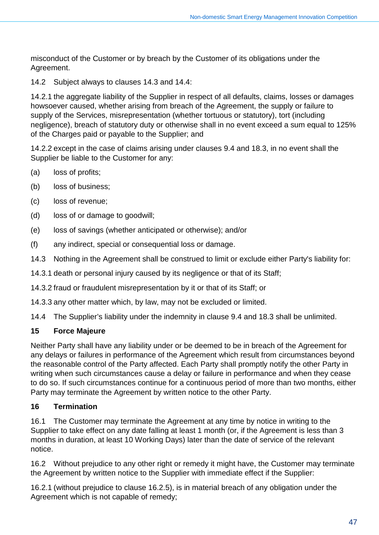misconduct of the Customer or by breach by the Customer of its obligations under the Agreement.

14.2 Subject always to clauses 14.3 and 14.4:

14.2.1 the aggregate liability of the Supplier in respect of all defaults, claims, losses or damages howsoever caused, whether arising from breach of the Agreement, the supply or failure to supply of the Services, misrepresentation (whether tortuous or statutory), tort (including negligence), breach of statutory duty or otherwise shall in no event exceed a sum equal to 125% of the Charges paid or payable to the Supplier; and

14.2.2 except in the case of claims arising under clauses 9.4 and 18.3, in no event shall the Supplier be liable to the Customer for any:

- (a) loss of profits;
- (b) loss of business;
- (c) loss of revenue;
- (d) loss of or damage to goodwill;
- (e) loss of savings (whether anticipated or otherwise); and/or
- (f) any indirect, special or consequential loss or damage.
- 14.3 Nothing in the Agreement shall be construed to limit or exclude either Party's liability for:
- 14.3.1 death or personal injury caused by its negligence or that of its Staff;

14.3.2 fraud or fraudulent misrepresentation by it or that of its Staff; or

14.3.3 any other matter which, by law, may not be excluded or limited.

14.4 The Supplier's liability under the indemnity in clause 9.4 and 18.3 shall be unlimited.

## **15 Force Majeure**

Neither Party shall have any liability under or be deemed to be in breach of the Agreement for any delays or failures in performance of the Agreement which result from circumstances beyond the reasonable control of the Party affected. Each Party shall promptly notify the other Party in writing when such circumstances cause a delay or failure in performance and when they cease to do so. If such circumstances continue for a continuous period of more than two months, either Party may terminate the Agreement by written notice to the other Party.

## **16 Termination**

16.1 The Customer may terminate the Agreement at any time by notice in writing to the Supplier to take effect on any date falling at least 1 month (or, if the Agreement is less than 3 months in duration, at least 10 Working Days) later than the date of service of the relevant notice.

16.2 Without prejudice to any other right or remedy it might have, the Customer may terminate the Agreement by written notice to the Supplier with immediate effect if the Supplier:

16.2.1 (without prejudice to clause 16.2.5), is in material breach of any obligation under the Agreement which is not capable of remedy;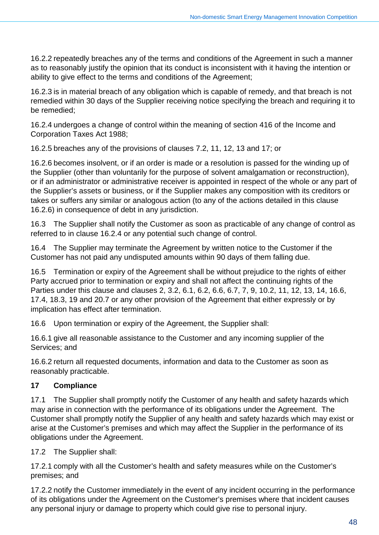16.2.2 repeatedly breaches any of the terms and conditions of the Agreement in such a manner as to reasonably justify the opinion that its conduct is inconsistent with it having the intention or ability to give effect to the terms and conditions of the Agreement;

16.2.3 is in material breach of any obligation which is capable of remedy, and that breach is not remedied within 30 days of the Supplier receiving notice specifying the breach and requiring it to be remedied;

16.2.4 undergoes a change of control within the meaning of section 416 of the Income and Corporation Taxes Act 1988;

16.2.5 breaches any of the provisions of clauses 7.2, 11, 12, 13 and 17; or

16.2.6 becomes insolvent, or if an order is made or a resolution is passed for the winding up of the Supplier (other than voluntarily for the purpose of solvent amalgamation or reconstruction), or if an administrator or administrative receiver is appointed in respect of the whole or any part of the Supplier's assets or business, or if the Supplier makes any composition with its creditors or takes or suffers any similar or analogous action (to any of the actions detailed in this clause 16.2.6) in consequence of debt in any jurisdiction.

16.3 The Supplier shall notify the Customer as soon as practicable of any change of control as referred to in clause 16.2.4 or any potential such change of control.

16.4 The Supplier may terminate the Agreement by written notice to the Customer if the Customer has not paid any undisputed amounts within 90 days of them falling due.

16.5 Termination or expiry of the Agreement shall be without prejudice to the rights of either Party accrued prior to termination or expiry and shall not affect the continuing rights of the Parties under this clause and clauses 2, 3.2, 6.1, 6.2, 6.6, 6.7, 7, 9, 10.2, 11, 12, 13, 14, 16.6, 17.4, 18.3, 19 and 20.7 or any other provision of the Agreement that either expressly or by implication has effect after termination.

16.6 Upon termination or expiry of the Agreement, the Supplier shall:

16.6.1 give all reasonable assistance to the Customer and any incoming supplier of the Services; and

16.6.2 return all requested documents, information and data to the Customer as soon as reasonably practicable.

## **17 Compliance**

17.1 The Supplier shall promptly notify the Customer of any health and safety hazards which may arise in connection with the performance of its obligations under the Agreement. The Customer shall promptly notify the Supplier of any health and safety hazards which may exist or arise at the Customer's premises and which may affect the Supplier in the performance of its obligations under the Agreement.

17.2 The Supplier shall:

17.2.1 comply with all the Customer's health and safety measures while on the Customer's premises; and

17.2.2 notify the Customer immediately in the event of any incident occurring in the performance of its obligations under the Agreement on the Customer's premises where that incident causes any personal injury or damage to property which could give rise to personal injury.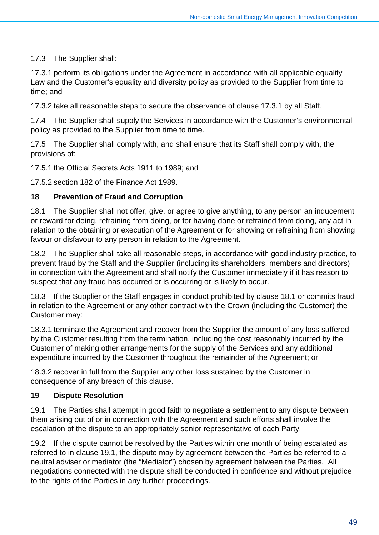## 17.3 The Supplier shall:

17.3.1 perform its obligations under the Agreement in accordance with all applicable equality Law and the Customer's equality and diversity policy as provided to the Supplier from time to time; and

17.3.2 take all reasonable steps to secure the observance of clause 17.3.1 by all Staff.

17.4 The Supplier shall supply the Services in accordance with the Customer's environmental policy as provided to the Supplier from time to time.

17.5 The Supplier shall comply with, and shall ensure that its Staff shall comply with, the provisions of:

17.5.1 the Official Secrets Acts 1911 to 1989; and

17.5.2 section 182 of the Finance Act 1989.

### **18 Prevention of Fraud and Corruption**

18.1 The Supplier shall not offer, give, or agree to give anything, to any person an inducement or reward for doing, refraining from doing, or for having done or refrained from doing, any act in relation to the obtaining or execution of the Agreement or for showing or refraining from showing favour or disfavour to any person in relation to the Agreement.

18.2 The Supplier shall take all reasonable steps, in accordance with good industry practice, to prevent fraud by the Staff and the Supplier (including its shareholders, members and directors) in connection with the Agreement and shall notify the Customer immediately if it has reason to suspect that any fraud has occurred or is occurring or is likely to occur.

18.3 If the Supplier or the Staff engages in conduct prohibited by clause 18.1 or commits fraud in relation to the Agreement or any other contract with the Crown (including the Customer) the Customer may:

18.3.1 terminate the Agreement and recover from the Supplier the amount of any loss suffered by the Customer resulting from the termination, including the cost reasonably incurred by the Customer of making other arrangements for the supply of the Services and any additional expenditure incurred by the Customer throughout the remainder of the Agreement; or

18.3.2 recover in full from the Supplier any other loss sustained by the Customer in consequence of any breach of this clause.

### **19 Dispute Resolution**

19.1 The Parties shall attempt in good faith to negotiate a settlement to any dispute between them arising out of or in connection with the Agreement and such efforts shall involve the escalation of the dispute to an appropriately senior representative of each Party.

19.2 If the dispute cannot be resolved by the Parties within one month of being escalated as referred to in clause 19.1, the dispute may by agreement between the Parties be referred to a neutral adviser or mediator (the "Mediator") chosen by agreement between the Parties. All negotiations connected with the dispute shall be conducted in confidence and without prejudice to the rights of the Parties in any further proceedings.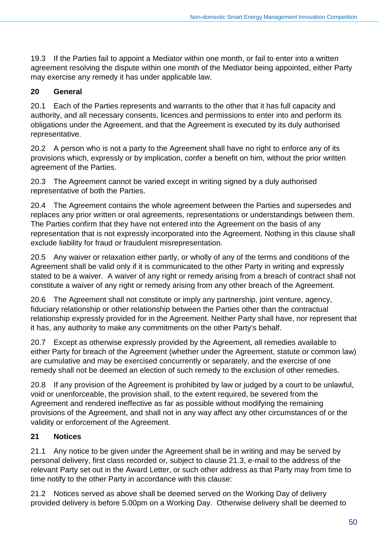19.3 If the Parties fail to appoint a Mediator within one month, or fail to enter into a written agreement resolving the dispute within one month of the Mediator being appointed, either Party may exercise any remedy it has under applicable law.

## **20 General**

20.1 Each of the Parties represents and warrants to the other that it has full capacity and authority, and all necessary consents, licences and permissions to enter into and perform its obligations under the Agreement, and that the Agreement is executed by its duly authorised representative.

20.2 A person who is not a party to the Agreement shall have no right to enforce any of its provisions which, expressly or by implication, confer a benefit on him, without the prior written agreement of the Parties.

20.3 The Agreement cannot be varied except in writing signed by a duly authorised representative of both the Parties.

20.4 The Agreement contains the whole agreement between the Parties and supersedes and replaces any prior written or oral agreements, representations or understandings between them. The Parties confirm that they have not entered into the Agreement on the basis of any representation that is not expressly incorporated into the Agreement. Nothing in this clause shall exclude liability for fraud or fraudulent misrepresentation.

20.5 Any waiver or relaxation either partly, or wholly of any of the terms and conditions of the Agreement shall be valid only if it is communicated to the other Party in writing and expressly stated to be a waiver. A waiver of any right or remedy arising from a breach of contract shall not constitute a waiver of any right or remedy arising from any other breach of the Agreement.

20.6 The Agreement shall not constitute or imply any partnership, joint venture, agency, fiduciary relationship or other relationship between the Parties other than the contractual relationship expressly provided for in the Agreement. Neither Party shall have, nor represent that it has, any authority to make any commitments on the other Party's behalf.

20.7 Except as otherwise expressly provided by the Agreement, all remedies available to either Party for breach of the Agreement (whether under the Agreement, statute or common law) are cumulative and may be exercised concurrently or separately, and the exercise of one remedy shall not be deemed an election of such remedy to the exclusion of other remedies.

20.8 If any provision of the Agreement is prohibited by law or judged by a court to be unlawful, void or unenforceable, the provision shall, to the extent required, be severed from the Agreement and rendered ineffective as far as possible without modifying the remaining provisions of the Agreement, and shall not in any way affect any other circumstances of or the validity or enforcement of the Agreement.

## **21 Notices**

21.1 Any notice to be given under the Agreement shall be in writing and may be served by personal delivery, first class recorded or, subject to clause 21.3, e-mail to the address of the relevant Party set out in the Award Letter, or such other address as that Party may from time to time notify to the other Party in accordance with this clause:

21.2 Notices served as above shall be deemed served on the Working Day of delivery provided delivery is before 5.00pm on a Working Day. Otherwise delivery shall be deemed to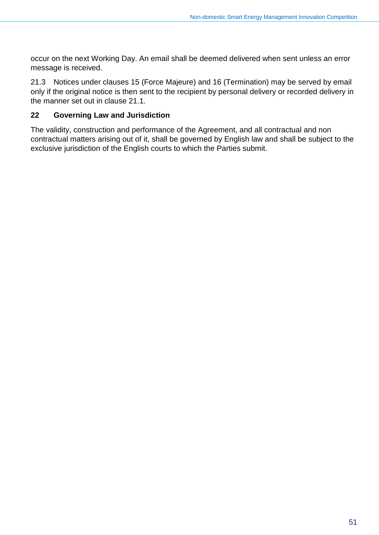occur on the next Working Day. An email shall be deemed delivered when sent unless an error message is received.

21.3 Notices under clauses 15 (Force Majeure) and 16 (Termination) may be served by email only if the original notice is then sent to the recipient by personal delivery or recorded delivery in the manner set out in clause 21.1.

#### **22 Governing Law and Jurisdiction**

The validity, construction and performance of the Agreement, and all contractual and non contractual matters arising out of it, shall be governed by English law and shall be subject to the exclusive jurisdiction of the English courts to which the Parties submit.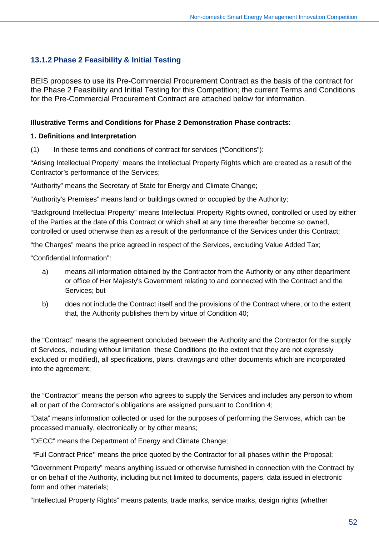## **13.1.2 Phase 2 Feasibility & Initial Testing**

BEIS proposes to use its Pre-Commercial Procurement Contract as the basis of the contract for the Phase 2 Feasibility and Initial Testing for this Competition; the current Terms and Conditions for the Pre-Commercial Procurement Contract are attached below for information.

#### **Illustrative Terms and Conditions for Phase 2 Demonstration Phase contracts:**

#### **1. Definitions and Interpretation**

(1) In these terms and conditions of contract for services ("Conditions"):

"Arising Intellectual Property" means the Intellectual Property Rights which are created as a result of the Contractor's performance of the Services;

"Authority" means the Secretary of State for Energy and Climate Change;

"Authority's Premises" means land or buildings owned or occupied by the Authority;

"Background Intellectual Property" means Intellectual Property Rights owned, controlled or used by either of the Parties at the date of this Contract or which shall at any time thereafter become so owned, controlled or used otherwise than as a result of the performance of the Services under this Contract;

"the Charges" means the price agreed in respect of the Services, excluding Value Added Tax;

"Confidential Information":

- a) means all information obtained by the Contractor from the Authority or any other department or office of Her Majesty's Government relating to and connected with the Contract and the Services; but
- b) does not include the Contract itself and the provisions of the Contract where, or to the extent that, the Authority publishes them by virtue of Condition 40;

the "Contract" means the agreement concluded between the Authority and the Contractor for the supply of Services, including without limitation these Conditions (to the extent that they are not expressly excluded or modified), all specifications, plans, drawings and other documents which are incorporated into the agreement;

the "Contractor" means the person who agrees to supply the Services and includes any person to whom all or part of the Contractor's obligations are assigned pursuant to Condition 4;

"Data" means information collected or used for the purposes of performing the Services, which can be processed manually, electronically or by other means;

"DECC" means the Department of Energy and Climate Change;

"Full Contract Price'' means the price quoted by the Contractor for all phases within the Proposal;

"Government Property" means anything issued or otherwise furnished in connection with the Contract by or on behalf of the Authority, including but not limited to documents, papers, data issued in electronic form and other materials;

"Intellectual Property Rights" means patents, trade marks, service marks, design rights (whether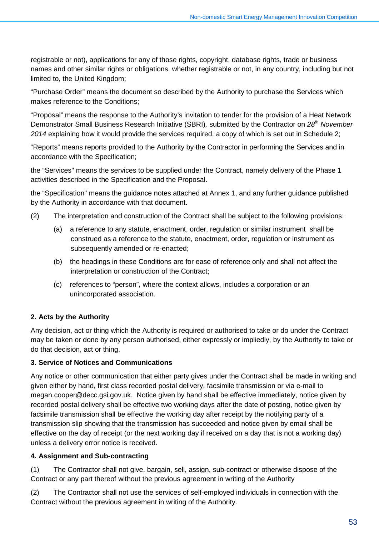registrable or not), applications for any of those rights, copyright, database rights, trade or business names and other similar rights or obligations, whether registrable or not, in any country, including but not limited to, the United Kingdom;

"Purchase Order" means the document so described by the Authority to purchase the Services which makes reference to the Conditions;

"Proposal" means the response to the Authority's invitation to tender for the provision of a Heat Network Demonstrator Small Business Research Initiative (SBRI)*,* submitted by the Contractor on *28th November 2014* explaining how it would provide the services required, a copy of which is set out in Schedule 2;

"Reports" means reports provided to the Authority by the Contractor in performing the Services and in accordance with the Specification;

the "Services" means the services to be supplied under the Contract, namely delivery of the Phase 1 activities described in the Specification and the Proposal.

the "Specification" means the guidance notes attached at Annex 1, and any further guidance published by the Authority in accordance with that document.

- (2) The interpretation and construction of the Contract shall be subject to the following provisions:
	- (a) a reference to any statute, enactment, order, regulation or similar instrument shall be construed as a reference to the statute, enactment, order, regulation or instrument as subsequently amended or re-enacted;
	- (b) the headings in these Conditions are for ease of reference only and shall not affect the interpretation or construction of the Contract;
	- (c) references to "person", where the context allows, includes a corporation or an unincorporated association.

### **2. Acts by the Authority**

Any decision, act or thing which the Authority is required or authorised to take or do under the Contract may be taken or done by any person authorised, either expressly or impliedly, by the Authority to take or do that decision, act or thing.

#### **3. Service of Notices and Communications**

Any notice or other communication that either party gives under the Contract shall be made in writing and given either by hand, first class recorded postal delivery, facsimile transmission or via e-mail to megan.cooper@decc.gsi.gov.uk. Notice given by hand shall be effective immediately, notice given by recorded postal delivery shall be effective two working days after the date of posting, notice given by facsimile transmission shall be effective the working day after receipt by the notifying party of a transmission slip showing that the transmission has succeeded and notice given by email shall be effective on the day of receipt (or the next working day if received on a day that is not a working day) unless a delivery error notice is received.

#### **4. Assignment and Sub-contracting**

(1) The Contractor shall not give, bargain, sell, assign, sub-contract or otherwise dispose of the Contract or any part thereof without the previous agreement in writing of the Authority

(2) The Contractor shall not use the services of self-employed individuals in connection with the Contract without the previous agreement in writing of the Authority.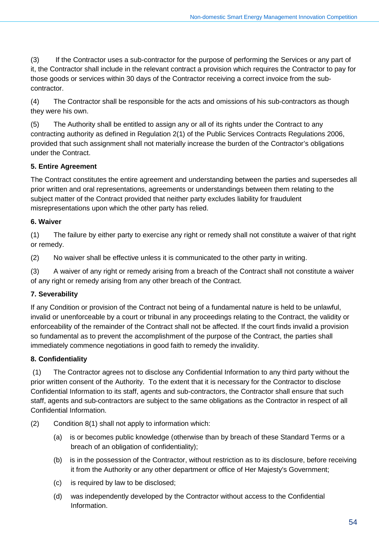(3) If the Contractor uses a sub-contractor for the purpose of performing the Services or any part of it, the Contractor shall include in the relevant contract a provision which requires the Contractor to pay for those goods or services within 30 days of the Contractor receiving a correct invoice from the subcontractor.

(4) The Contractor shall be responsible for the acts and omissions of his sub-contractors as though they were his own.

(5) The Authority shall be entitled to assign any or all of its rights under the Contract to any contracting authority as defined in Regulation 2(1) of the Public Services Contracts Regulations 2006, provided that such assignment shall not materially increase the burden of the Contractor's obligations under the Contract.

### **5. Entire Agreement**

The Contract constitutes the entire agreement and understanding between the parties and supersedes all prior written and oral representations, agreements or understandings between them relating to the subject matter of the Contract provided that neither party excludes liability for fraudulent misrepresentations upon which the other party has relied.

## **6. Waiver**

(1) The failure by either party to exercise any right or remedy shall not constitute a waiver of that right or remedy.

(2) No waiver shall be effective unless it is communicated to the other party in writing.

(3) A waiver of any right or remedy arising from a breach of the Contract shall not constitute a waiver of any right or remedy arising from any other breach of the Contract.

## **7. Severability**

If any Condition or provision of the Contract not being of a fundamental nature is held to be unlawful, invalid or unenforceable by a court or tribunal in any proceedings relating to the Contract, the validity or enforceability of the remainder of the Contract shall not be affected. If the court finds invalid a provision so fundamental as to prevent the accomplishment of the purpose of the Contract, the parties shall immediately commence negotiations in good faith to remedy the invalidity.

## **8. Confidentiality**

(1) The Contractor agrees not to disclose any Confidential Information to any third party without the prior written consent of the Authority. To the extent that it is necessary for the Contractor to disclose Confidential Information to its staff, agents and sub-contractors, the Contractor shall ensure that such staff, agents and sub-contractors are subject to the same obligations as the Contractor in respect of all Confidential Information.

- (2) Condition 8(1) shall not apply to information which:
	- (a) is or becomes public knowledge (otherwise than by breach of these Standard Terms or a breach of an obligation of confidentiality);
	- (b) is in the possession of the Contractor, without restriction as to its disclosure, before receiving it from the Authority or any other department or office of Her Majesty's Government;
	- (c) is required by law to be disclosed;
	- (d) was independently developed by the Contractor without access to the Confidential Information.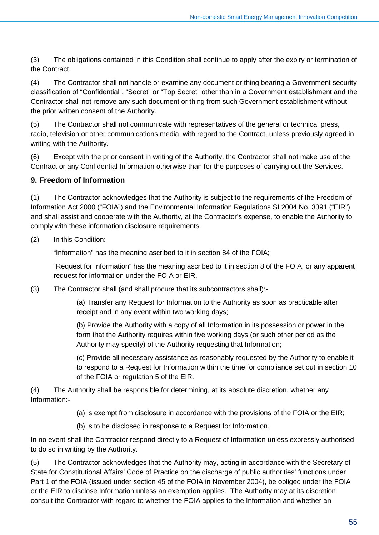(3) The obligations contained in this Condition shall continue to apply after the expiry or termination of the Contract.

(4) The Contractor shall not handle or examine any document or thing bearing a Government security classification of "Confidential", "Secret" or "Top Secret" other than in a Government establishment and the Contractor shall not remove any such document or thing from such Government establishment without the prior written consent of the Authority.

(5) The Contractor shall not communicate with representatives of the general or technical press, radio, television or other communications media, with regard to the Contract, unless previously agreed in writing with the Authority.

(6) Except with the prior consent in writing of the Authority, the Contractor shall not make use of the Contract or any Confidential Information otherwise than for the purposes of carrying out the Services.

## **9. Freedom of Information**

(1) The Contractor acknowledges that the Authority is subject to the requirements of the Freedom of Information Act 2000 ("FOIA") and the Environmental Information Regulations SI 2004 No. 3391 ("EIR") and shall assist and cooperate with the Authority, at the Contractor's expense, to enable the Authority to comply with these information disclosure requirements.

#### (2) In this Condition:-

"Information" has the meaning ascribed to it in section 84 of the FOIA;

"Request for Information" has the meaning ascribed to it in section 8 of the FOIA, or any apparent request for information under the FOIA or EIR.

(3) The Contractor shall (and shall procure that its subcontractors shall):-

(a) Transfer any Request for Information to the Authority as soon as practicable after receipt and in any event within two working days;

(b) Provide the Authority with a copy of all Information in its possession or power in the form that the Authority requires within five working days (or such other period as the Authority may specify) of the Authority requesting that Information;

(c) Provide all necessary assistance as reasonably requested by the Authority to enable it to respond to a Request for Information within the time for compliance set out in section 10 of the FOIA or regulation 5 of the EIR.

(4) The Authority shall be responsible for determining, at its absolute discretion, whether any Information:-

- (a) is exempt from disclosure in accordance with the provisions of the FOIA or the EIR;
- (b) is to be disclosed in response to a Request for Information.

In no event shall the Contractor respond directly to a Request of Information unless expressly authorised to do so in writing by the Authority.

(5) The Contractor acknowledges that the Authority may, acting in accordance with the Secretary of State for Constitutional Affairs' Code of Practice on the discharge of public authorities' functions under Part 1 of the FOIA (issued under section 45 of the FOIA in November 2004), be obliged under the FOIA or the EIR to disclose Information unless an exemption applies. The Authority may at its discretion consult the Contractor with regard to whether the FOIA applies to the Information and whether an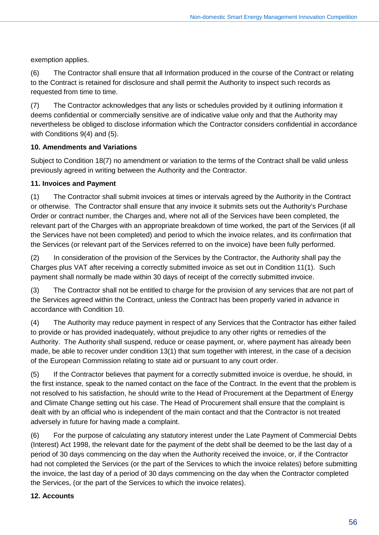exemption applies.

(6) The Contractor shall ensure that all Information produced in the course of the Contract or relating to the Contract is retained for disclosure and shall permit the Authority to inspect such records as requested from time to time.

(7) The Contractor acknowledges that any lists or schedules provided by it outlining information it deems confidential or commercially sensitive are of indicative value only and that the Authority may nevertheless be obliged to disclose information which the Contractor considers confidential in accordance with Conditions 9(4) and (5).

### **10. Amendments and Variations**

Subject to Condition 18(7) no amendment or variation to the terms of the Contract shall be valid unless previously agreed in writing between the Authority and the Contractor.

#### **11. Invoices and Payment**

(1) The Contractor shall submit invoices at times or intervals agreed by the Authority in the Contract or otherwise. The Contractor shall ensure that any invoice it submits sets out the Authority's Purchase Order or contract number, the Charges and, where not all of the Services have been completed, the relevant part of the Charges with an appropriate breakdown of time worked, the part of the Services (if all the Services have not been completed) and period to which the invoice relates, and its confirmation that the Services (or relevant part of the Services referred to on the invoice) have been fully performed.

(2) In consideration of the provision of the Services by the Contractor, the Authority shall pay the Charges plus VAT after receiving a correctly submitted invoice as set out in Condition 11(1). Such payment shall normally be made within 30 days of receipt of the correctly submitted invoice.

(3) The Contractor shall not be entitled to charge for the provision of any services that are not part of the Services agreed within the Contract, unless the Contract has been properly varied in advance in accordance with Condition 10.

(4) The Authority may reduce payment in respect of any Services that the Contractor has either failed to provide or has provided inadequately, without prejudice to any other rights or remedies of the Authority. The Authority shall suspend, reduce or cease payment, or, where payment has already been made, be able to recover under condition 13(1) that sum together with interest, in the case of a decision of the European Commission relating to state aid or pursuant to any court order.

(5) If the Contractor believes that payment for a correctly submitted invoice is overdue, he should, in the first instance, speak to the named contact on the face of the Contract. In the event that the problem is not resolved to his satisfaction, he should write to the Head of Procurement at the Department of Energy and Climate Change setting out his case. The Head of Procurement shall ensure that the complaint is dealt with by an official who is independent of the main contact and that the Contractor is not treated adversely in future for having made a complaint.

(6) For the purpose of calculating any statutory interest under the Late Payment of Commercial Debts (Interest) Act 1998, the relevant date for the payment of the debt shall be deemed to be the last day of a period of 30 days commencing on the day when the Authority received the invoice, or, if the Contractor had not completed the Services (or the part of the Services to which the invoice relates) before submitting the invoice, the last day of a period of 30 days commencing on the day when the Contractor completed the Services, (or the part of the Services to which the invoice relates).

#### **12. Accounts**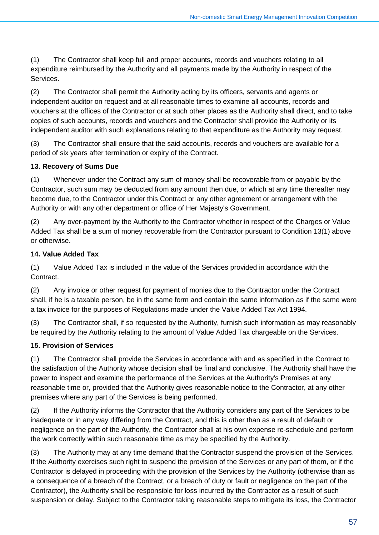(1) The Contractor shall keep full and proper accounts, records and vouchers relating to all expenditure reimbursed by the Authority and all payments made by the Authority in respect of the Services.

(2) The Contractor shall permit the Authority acting by its officers, servants and agents or independent auditor on request and at all reasonable times to examine all accounts, records and vouchers at the offices of the Contractor or at such other places as the Authority shall direct, and to take copies of such accounts, records and vouchers and the Contractor shall provide the Authority or its independent auditor with such explanations relating to that expenditure as the Authority may request.

(3) The Contractor shall ensure that the said accounts, records and vouchers are available for a period of six years after termination or expiry of the Contract.

### **13. Recovery of Sums Due**

(1) Whenever under the Contract any sum of money shall be recoverable from or payable by the Contractor, such sum may be deducted from any amount then due, or which at any time thereafter may become due, to the Contractor under this Contract or any other agreement or arrangement with the Authority or with any other department or office of Her Majesty's Government.

(2) Any over-payment by the Authority to the Contractor whether in respect of the Charges or Value Added Tax shall be a sum of money recoverable from the Contractor pursuant to Condition 13(1) above or otherwise.

## **14. Value Added Tax**

(1) Value Added Tax is included in the value of the Services provided in accordance with the Contract.

(2) Any invoice or other request for payment of monies due to the Contractor under the Contract shall, if he is a taxable person, be in the same form and contain the same information as if the same were a tax invoice for the purposes of Regulations made under the Value Added Tax Act 1994.

(3) The Contractor shall, if so requested by the Authority, furnish such information as may reasonably be required by the Authority relating to the amount of Value Added Tax chargeable on the Services.

## **15. Provision of Services**

(1) The Contractor shall provide the Services in accordance with and as specified in the Contract to the satisfaction of the Authority whose decision shall be final and conclusive. The Authority shall have the power to inspect and examine the performance of the Services at the Authority's Premises at any reasonable time or, provided that the Authority gives reasonable notice to the Contractor, at any other premises where any part of the Services is being performed.

(2) If the Authority informs the Contractor that the Authority considers any part of the Services to be inadequate or in any way differing from the Contract, and this is other than as a result of default or negligence on the part of the Authority, the Contractor shall at his own expense re-schedule and perform the work correctly within such reasonable time as may be specified by the Authority.

(3) The Authority may at any time demand that the Contractor suspend the provision of the Services. If the Authority exercises such right to suspend the provision of the Services or any part of them, or if the Contractor is delayed in proceeding with the provision of the Services by the Authority (otherwise than as a consequence of a breach of the Contract, or a breach of duty or fault or negligence on the part of the Contractor), the Authority shall be responsible for loss incurred by the Contractor as a result of such suspension or delay. Subject to the Contractor taking reasonable steps to mitigate its loss, the Contractor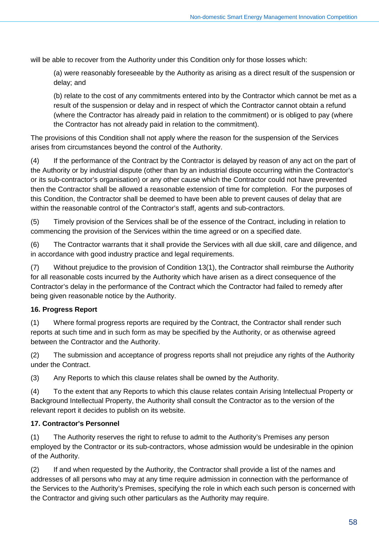will be able to recover from the Authority under this Condition only for those losses which:

(a) were reasonably foreseeable by the Authority as arising as a direct result of the suspension or delay; and

(b) relate to the cost of any commitments entered into by the Contractor which cannot be met as a result of the suspension or delay and in respect of which the Contractor cannot obtain a refund (where the Contractor has already paid in relation to the commitment) or is obliged to pay (where the Contractor has not already paid in relation to the commitment).

The provisions of this Condition shall not apply where the reason for the suspension of the Services arises from circumstances beyond the control of the Authority.

(4) If the performance of the Contract by the Contractor is delayed by reason of any act on the part of the Authority or by industrial dispute (other than by an industrial dispute occurring within the Contractor's or its sub-contractor's organisation) or any other cause which the Contractor could not have prevented then the Contractor shall be allowed a reasonable extension of time for completion. For the purposes of this Condition, the Contractor shall be deemed to have been able to prevent causes of delay that are within the reasonable control of the Contractor's staff, agents and sub-contractors.

(5) Timely provision of the Services shall be of the essence of the Contract, including in relation to commencing the provision of the Services within the time agreed or on a specified date.

(6) The Contractor warrants that it shall provide the Services with all due skill, care and diligence, and in accordance with good industry practice and legal requirements.

(7) Without prejudice to the provision of Condition 13(1), the Contractor shall reimburse the Authority for all reasonable costs incurred by the Authority which have arisen as a direct consequence of the Contractor's delay in the performance of the Contract which the Contractor had failed to remedy after being given reasonable notice by the Authority.

### **16. Progress Report**

(1) Where formal progress reports are required by the Contract, the Contractor shall render such reports at such time and in such form as may be specified by the Authority, or as otherwise agreed between the Contractor and the Authority.

(2) The submission and acceptance of progress reports shall not prejudice any rights of the Authority under the Contract.

(3) Any Reports to which this clause relates shall be owned by the Authority.

(4) To the extent that any Reports to which this clause relates contain Arising Intellectual Property or Background Intellectual Property, the Authority shall consult the Contractor as to the version of the relevant report it decides to publish on its website.

#### **17. Contractor's Personnel**

(1) The Authority reserves the right to refuse to admit to the Authority's Premises any person employed by the Contractor or its sub-contractors, whose admission would be undesirable in the opinion of the Authority.

(2) If and when requested by the Authority, the Contractor shall provide a list of the names and addresses of all persons who may at any time require admission in connection with the performance of the Services to the Authority's Premises, specifying the role in which each such person is concerned with the Contractor and giving such other particulars as the Authority may require.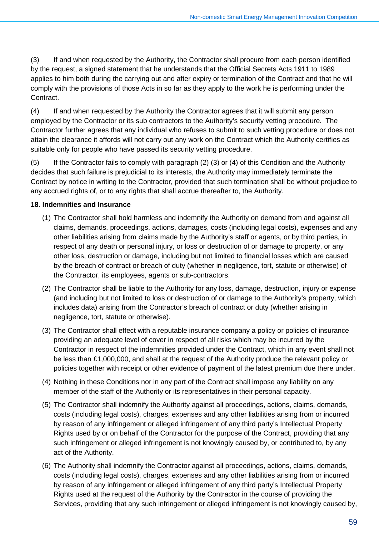(3) If and when requested by the Authority, the Contractor shall procure from each person identified by the request, a signed statement that he understands that the Official Secrets Acts 1911 to 1989 applies to him both during the carrying out and after expiry or termination of the Contract and that he will comply with the provisions of those Acts in so far as they apply to the work he is performing under the Contract.

(4) If and when requested by the Authority the Contractor agrees that it will submit any person employed by the Contractor or its sub contractors to the Authority's security vetting procedure. The Contractor further agrees that any individual who refuses to submit to such vetting procedure or does not attain the clearance it affords will not carry out any work on the Contract which the Authority certifies as suitable only for people who have passed its security vetting procedure.

(5) If the Contractor fails to comply with paragraph (2) (3) or (4) of this Condition and the Authority decides that such failure is prejudicial to its interests, the Authority may immediately terminate the Contract by notice in writing to the Contractor, provided that such termination shall be without prejudice to any accrued rights of, or to any rights that shall accrue thereafter to, the Authority.

#### **18. Indemnities and Insurance**

- (1) The Contractor shall hold harmless and indemnify the Authority on demand from and against all claims, demands, proceedings, actions, damages, costs (including legal costs), expenses and any other liabilities arising from claims made by the Authority's staff or agents, or by third parties, in respect of any death or personal injury, or loss or destruction of or damage to property, or any other loss, destruction or damage, including but not limited to financial losses which are caused by the breach of contract or breach of duty (whether in negligence, tort, statute or otherwise) of the Contractor, its employees, agents or sub-contractors.
- (2) The Contractor shall be liable to the Authority for any loss, damage, destruction, injury or expense (and including but not limited to loss or destruction of or damage to the Authority's property, which includes data) arising from the Contractor's breach of contract or duty (whether arising in negligence, tort, statute or otherwise).
- (3) The Contractor shall effect with a reputable insurance company a policy or policies of insurance providing an adequate level of cover in respect of all risks which may be incurred by the Contractor in respect of the indemnities provided under the Contract, which in any event shall not be less than £1,000,000, and shall at the request of the Authority produce the relevant policy or policies together with receipt or other evidence of payment of the latest premium due there under.
- (4) Nothing in these Conditions nor in any part of the Contract shall impose any liability on any member of the staff of the Authority or its representatives in their personal capacity.
- (5) The Contractor shall indemnify the Authority against all proceedings, actions, claims, demands, costs (including legal costs), charges, expenses and any other liabilities arising from or incurred by reason of any infringement or alleged infringement of any third party's Intellectual Property Rights used by or on behalf of the Contractor for the purpose of the Contract, providing that any such infringement or alleged infringement is not knowingly caused by, or contributed to, by any act of the Authority.
- (6) The Authority shall indemnify the Contractor against all proceedings, actions, claims, demands, costs (including legal costs), charges, expenses and any other liabilities arising from or incurred by reason of any infringement or alleged infringement of any third party's Intellectual Property Rights used at the request of the Authority by the Contractor in the course of providing the Services, providing that any such infringement or alleged infringement is not knowingly caused by,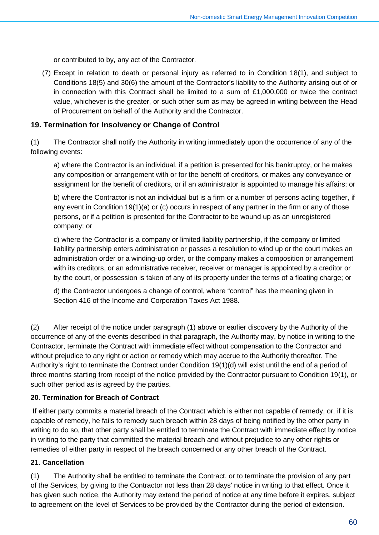or contributed to by, any act of the Contractor.

(7) Except in relation to death or personal injury as referred to in Condition 18(1), and subject to Conditions 18(5) and 30(6) the amount of the Contractor's liability to the Authority arising out of or in connection with this Contract shall be limited to a sum of £1,000,000 or twice the contract value, whichever is the greater, or such other sum as may be agreed in writing between the Head of Procurement on behalf of the Authority and the Contractor.

#### **19. Termination for Insolvency or Change of Control**

(1) The Contractor shall notify the Authority in writing immediately upon the occurrence of any of the following events:

a) where the Contractor is an individual, if a petition is presented for his bankruptcy, or he makes any composition or arrangement with or for the benefit of creditors, or makes any conveyance or assignment for the benefit of creditors, or if an administrator is appointed to manage his affairs; or

b) where the Contractor is not an individual but is a firm or a number of persons acting together, if any event in Condition 19(1)(a) or (c) occurs in respect of any partner in the firm or any of those persons, or if a petition is presented for the Contractor to be wound up as an unregistered company; or

c) where the Contractor is a company or limited liability partnership, if the company or limited liability partnership enters administration or passes a resolution to wind up or the court makes an administration order or a winding-up order, or the company makes a composition or arrangement with its creditors, or an administrative receiver, receiver or manager is appointed by a creditor or by the court, or possession is taken of any of its property under the terms of a floating charge; or

d) the Contractor undergoes a change of control, where "control" has the meaning given in Section 416 of the Income and Corporation Taxes Act 1988.

(2) After receipt of the notice under paragraph (1) above or earlier discovery by the Authority of the occurrence of any of the events described in that paragraph, the Authority may, by notice in writing to the Contractor, terminate the Contract with immediate effect without compensation to the Contractor and without prejudice to any right or action or remedy which may accrue to the Authority thereafter. The Authority's right to terminate the Contract under Condition 19(1)(d) will exist until the end of a period of three months starting from receipt of the notice provided by the Contractor pursuant to Condition 19(1), or such other period as is agreed by the parties.

#### **20. Termination for Breach of Contract**

If either party commits a material breach of the Contract which is either not capable of remedy, or, if it is capable of remedy, he fails to remedy such breach within 28 days of being notified by the other party in writing to do so, that other party shall be entitled to terminate the Contract with immediate effect by notice in writing to the party that committed the material breach and without prejudice to any other rights or remedies of either party in respect of the breach concerned or any other breach of the Contract.

#### **21. Cancellation**

(1) The Authority shall be entitled to terminate the Contract, or to terminate the provision of any part of the Services, by giving to the Contractor not less than 28 days' notice in writing to that effect. Once it has given such notice, the Authority may extend the period of notice at any time before it expires, subject to agreement on the level of Services to be provided by the Contractor during the period of extension.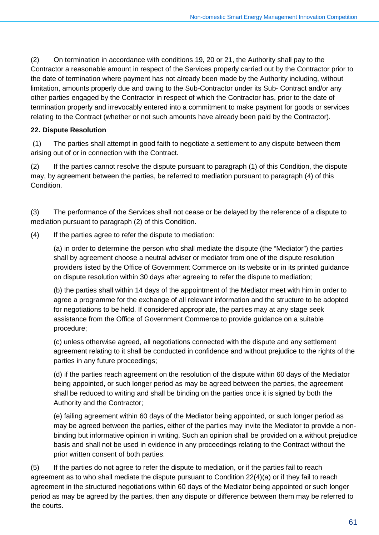(2) On termination in accordance with conditions 19, 20 or 21, the Authority shall pay to the Contractor a reasonable amount in respect of the Services properly carried out by the Contractor prior to the date of termination where payment has not already been made by the Authority including, without limitation, amounts properly due and owing to the Sub-Contractor under its Sub- Contract and/or any other parties engaged by the Contractor in respect of which the Contractor has, prior to the date of termination properly and irrevocably entered into a commitment to make payment for goods or services relating to the Contract (whether or not such amounts have already been paid by the Contractor).

#### **22. Dispute Resolution**

(1) The parties shall attempt in good faith to negotiate a settlement to any dispute between them arising out of or in connection with the Contract.

(2) If the parties cannot resolve the dispute pursuant to paragraph (1) of this Condition, the dispute may, by agreement between the parties, be referred to mediation pursuant to paragraph (4) of this **Condition** 

(3) The performance of the Services shall not cease or be delayed by the reference of a dispute to mediation pursuant to paragraph (2) of this Condition.

(4) If the parties agree to refer the dispute to mediation:

(a) in order to determine the person who shall mediate the dispute (the "Mediator") the parties shall by agreement choose a neutral adviser or mediator from one of the dispute resolution providers listed by the Office of Government Commerce on its website or in its printed guidance on dispute resolution within 30 days after agreeing to refer the dispute to mediation;

(b) the parties shall within 14 days of the appointment of the Mediator meet with him in order to agree a programme for the exchange of all relevant information and the structure to be adopted for negotiations to be held. If considered appropriate, the parties may at any stage seek assistance from the Office of Government Commerce to provide guidance on a suitable procedure;

(c) unless otherwise agreed, all negotiations connected with the dispute and any settlement agreement relating to it shall be conducted in confidence and without prejudice to the rights of the parties in any future proceedings;

(d) if the parties reach agreement on the resolution of the dispute within 60 days of the Mediator being appointed, or such longer period as may be agreed between the parties, the agreement shall be reduced to writing and shall be binding on the parties once it is signed by both the Authority and the Contractor;

(e) failing agreement within 60 days of the Mediator being appointed, or such longer period as may be agreed between the parties, either of the parties may invite the Mediator to provide a nonbinding but informative opinion in writing. Such an opinion shall be provided on a without prejudice basis and shall not be used in evidence in any proceedings relating to the Contract without the prior written consent of both parties.

(5) If the parties do not agree to refer the dispute to mediation, or if the parties fail to reach agreement as to who shall mediate the dispute pursuant to Condition 22(4)(a) or if they fail to reach agreement in the structured negotiations within 60 days of the Mediator being appointed or such longer period as may be agreed by the parties, then any dispute or difference between them may be referred to the courts.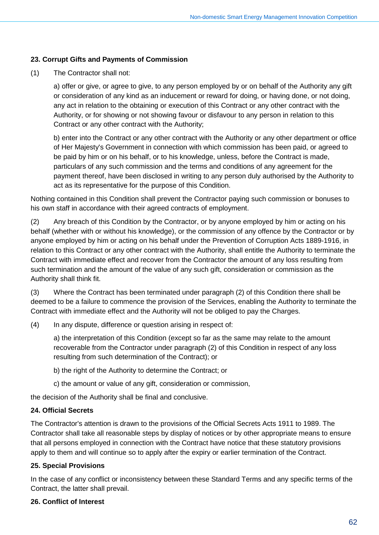#### **23. Corrupt Gifts and Payments of Commission**

(1) The Contractor shall not:

a) offer or give, or agree to give, to any person employed by or on behalf of the Authority any gift or consideration of any kind as an inducement or reward for doing, or having done, or not doing, any act in relation to the obtaining or execution of this Contract or any other contract with the Authority, or for showing or not showing favour or disfavour to any person in relation to this Contract or any other contract with the Authority;

b) enter into the Contract or any other contract with the Authority or any other department or office of Her Majesty's Government in connection with which commission has been paid, or agreed to be paid by him or on his behalf, or to his knowledge, unless, before the Contract is made, particulars of any such commission and the terms and conditions of any agreement for the payment thereof, have been disclosed in writing to any person duly authorised by the Authority to act as its representative for the purpose of this Condition.

Nothing contained in this Condition shall prevent the Contractor paying such commission or bonuses to his own staff in accordance with their agreed contracts of employment.

(2) Any breach of this Condition by the Contractor, or by anyone employed by him or acting on his behalf (whether with or without his knowledge), or the commission of any offence by the Contractor or by anyone employed by him or acting on his behalf under the Prevention of Corruption Acts 1889-1916, in relation to this Contract or any other contract with the Authority, shall entitle the Authority to terminate the Contract with immediate effect and recover from the Contractor the amount of any loss resulting from such termination and the amount of the value of any such gift, consideration or commission as the Authority shall think fit.

(3) Where the Contract has been terminated under paragraph (2) of this Condition there shall be deemed to be a failure to commence the provision of the Services, enabling the Authority to terminate the Contract with immediate effect and the Authority will not be obliged to pay the Charges.

(4) In any dispute, difference or question arising in respect of:

a) the interpretation of this Condition (except so far as the same may relate to the amount recoverable from the Contractor under paragraph (2) of this Condition in respect of any loss resulting from such determination of the Contract); or

- b) the right of the Authority to determine the Contract; or
- c) the amount or value of any gift, consideration or commission,

the decision of the Authority shall be final and conclusive.

#### **24. Official Secrets**

The Contractor's attention is drawn to the provisions of the Official Secrets Acts 1911 to 1989. The Contractor shall take all reasonable steps by display of notices or by other appropriate means to ensure that all persons employed in connection with the Contract have notice that these statutory provisions apply to them and will continue so to apply after the expiry or earlier termination of the Contract.

#### **25. Special Provisions**

In the case of any conflict or inconsistency between these Standard Terms and any specific terms of the Contract, the latter shall prevail.

#### **26. Conflict of Interest**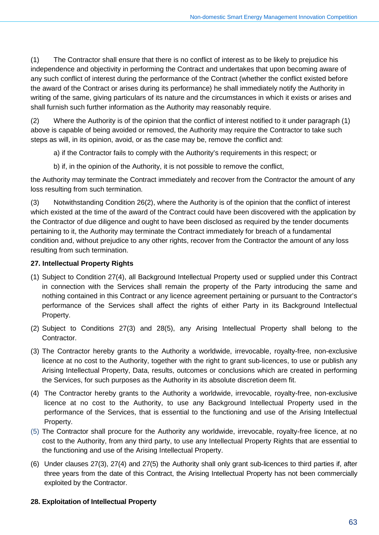(1) The Contractor shall ensure that there is no conflict of interest as to be likely to prejudice his independence and objectivity in performing the Contract and undertakes that upon becoming aware of any such conflict of interest during the performance of the Contract (whether the conflict existed before the award of the Contract or arises during its performance) he shall immediately notify the Authority in writing of the same, giving particulars of its nature and the circumstances in which it exists or arises and shall furnish such further information as the Authority may reasonably require.

(2) Where the Authority is of the opinion that the conflict of interest notified to it under paragraph (1) above is capable of being avoided or removed, the Authority may require the Contractor to take such steps as will, in its opinion, avoid, or as the case may be, remove the conflict and:

a) if the Contractor fails to comply with the Authority's requirements in this respect; or

b) if, in the opinion of the Authority, it is not possible to remove the conflict,

the Authority may terminate the Contract immediately and recover from the Contractor the amount of any loss resulting from such termination.

(3) Notwithstanding Condition 26(2), where the Authority is of the opinion that the conflict of interest which existed at the time of the award of the Contract could have been discovered with the application by the Contractor of due diligence and ought to have been disclosed as required by the tender documents pertaining to it, the Authority may terminate the Contract immediately for breach of a fundamental condition and, without prejudice to any other rights, recover from the Contractor the amount of any loss resulting from such termination.

#### **27. Intellectual Property Rights**

- (1) Subject to Condition 27(4), all Background Intellectual Property used or supplied under this Contract in connection with the Services shall remain the property of the Party introducing the same and nothing contained in this Contract or any licence agreement pertaining or pursuant to the Contractor's performance of the Services shall affect the rights of either Party in its Background Intellectual Property.
- (2) Subject to Conditions 27(3) and 28(5), any Arising Intellectual Property shall belong to the Contractor.
- (3) The Contractor hereby grants to the Authority a worldwide, irrevocable, royalty-free, non-exclusive licence at no cost to the Authority, together with the right to grant sub-licences, to use or publish any Arising Intellectual Property, Data, results, outcomes or conclusions which are created in performing the Services, for such purposes as the Authority in its absolute discretion deem fit.
- (4) The Contractor hereby grants to the Authority a worldwide, irrevocable, royalty-free, non-exclusive licence at no cost to the Authority, to use any Background Intellectual Property used in the performance of the Services, that is essential to the functioning and use of the Arising Intellectual Property.
- (5) The Contractor shall procure for the Authority any worldwide, irrevocable, royalty-free licence, at no cost to the Authority, from any third party, to use any Intellectual Property Rights that are essential to the functioning and use of the Arising Intellectual Property.
- (6) Under clauses 27(3), 27(4) and 27(5) the Authority shall only grant sub-licences to third parties if, after three years from the date of this Contract, the Arising Intellectual Property has not been commercially exploited by the Contractor.

#### **28. Exploitation of Intellectual Property**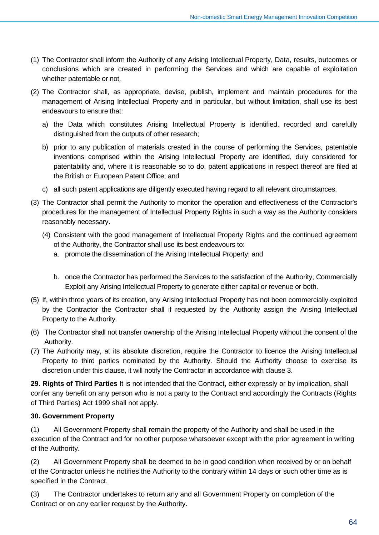- (1) The Contractor shall inform the Authority of any Arising Intellectual Property, Data, results, outcomes or conclusions which are created in performing the Services and which are capable of exploitation whether patentable or not.
- (2) The Contractor shall, as appropriate, devise, publish, implement and maintain procedures for the management of Arising Intellectual Property and in particular, but without limitation, shall use its best endeavours to ensure that:
	- a) the Data which constitutes Arising Intellectual Property is identified, recorded and carefully distinguished from the outputs of other research;
	- b) prior to any publication of materials created in the course of performing the Services, patentable inventions comprised within the Arising Intellectual Property are identified, duly considered for patentability and, where it is reasonable so to do, patent applications in respect thereof are filed at the British or European Patent Office; and
	- c) all such patent applications are diligently executed having regard to all relevant circumstances.
- (3) The Contractor shall permit the Authority to monitor the operation and effectiveness of the Contractor's procedures for the management of Intellectual Property Rights in such a way as the Authority considers reasonably necessary.
	- (4) Consistent with the good management of Intellectual Property Rights and the continued agreement of the Authority, the Contractor shall use its best endeavours to:
		- a. promote the dissemination of the Arising Intellectual Property; and
		- b. once the Contractor has performed the Services to the satisfaction of the Authority, Commercially Exploit any Arising Intellectual Property to generate either capital or revenue or both.
- (5) If, within three years of its creation, any Arising Intellectual Property has not been commercially exploited by the Contractor the Contractor shall if requested by the Authority assign the Arising Intellectual Property to the Authority.
- (6) The Contractor shall not transfer ownership of the Arising Intellectual Property without the consent of the Authority.
- (7) The Authority may, at its absolute discretion, require the Contractor to licence the Arising Intellectual Property to third parties nominated by the Authority. Should the Authority choose to exercise its discretion under this clause, it will notify the Contractor in accordance with clause 3.

**29. Rights of Third Parties** It is not intended that the Contract, either expressly or by implication, shall confer any benefit on any person who is not a party to the Contract and accordingly the Contracts (Rights of Third Parties) Act 1999 shall not apply.

#### **30. Government Property**

(1) All Government Property shall remain the property of the Authority and shall be used in the execution of the Contract and for no other purpose whatsoever except with the prior agreement in writing of the Authority.

(2) All Government Property shall be deemed to be in good condition when received by or on behalf of the Contractor unless he notifies the Authority to the contrary within 14 days or such other time as is specified in the Contract.

(3) The Contractor undertakes to return any and all Government Property on completion of the Contract or on any earlier request by the Authority.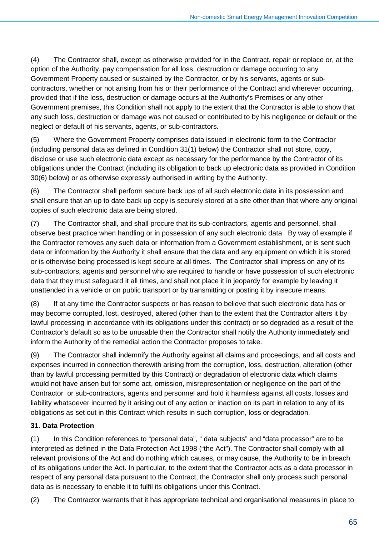(4) The Contractor shall, except as otherwise provided for in the Contract, repair or replace or, at the option of the Authority, pay compensation for all loss, destruction or damage occurring to any Government Property caused or sustained by the Contractor, or by his servants, agents or subcontractors, whether or not arising from his or their performance of the Contract and wherever occurring, provided that if the loss, destruction or damage occurs at the Authority's Premises or any other Government premises, this Condition shall not apply to the extent that the Contractor is able to show that any such loss, destruction or damage was not caused or contributed to by his negligence or default or the neglect or default of his servants, agents, or sub-contractors.

(5) Where the Government Property comprises data issued in electronic form to the Contractor (including personal data as defined in Condition 31(1) below) the Contractor shall not store, copy, disclose or use such electronic data except as necessary for the performance by the Contractor of its obligations under the Contract (including its obligation to back up electronic data as provided in Condition 30(6) below) or as otherwise expressly authorised in writing by the Authority.

(6) The Contractor shall perform secure back ups of all such electronic data in its possession and shall ensure that an up to date back up copy is securely stored at a site other than that where any original copies of such electronic data are being stored.

(7) The Contractor shall, and shall procure that its sub-contractors, agents and personnel, shall observe best practice when handling or in possession of any such electronic data. By way of example if the Contractor removes any such data or information from a Government establishment, or is sent such data or information by the Authority it shall ensure that the data and any equipment on which it is stored or is otherwise being processed is kept secure at all times. The Contractor shall impress on any of its sub-contractors, agents and personnel who are required to handle or have possession of such electronic data that they must safeguard it all times, and shall not place it in jeopardy for example by leaving it unattended in a vehicle or on public transport or by transmitting or posting it by insecure means.

(8) If at any time the Contractor suspects or has reason to believe that such electronic data has or may become corrupted, lost, destroyed, altered (other than to the extent that the Contractor alters it by lawful processing in accordance with its obligations under this contract) or so degraded as a result of the Contractor's default so as to be unusable then the Contractor shall notify the Authority immediately and inform the Authority of the remedial action the Contractor proposes to take.

(9) The Contractor shall indemnify the Authority against all claims and proceedings, and all costs and expenses incurred in connection therewith arising from the corruption, loss, destruction, alteration (other than by lawful processing permitted by this Contract) or degradation of electronic data which claims would not have arisen but for some act, omission, misrepresentation or negligence on the part of the Contractor or sub-contractors, agents and personnel and hold it harmless against all costs, losses and liability whatsoever incurred by it arising out of any action or inaction on its part in relation to any of its obligations as set out in this Contract which results in such corruption, loss or degradation.

## **31. Data Protection**

(1) In this Condition references to "personal data", " data subjects" and "data processor" are to be interpreted as defined in the Data Protection Act 1998 ("the Act"). The Contractor shall comply with all relevant provisions of the Act and do nothing which causes, or may cause, the Authority to be in breach of its obligations under the Act. In particular, to the extent that the Contractor acts as a data processor in respect of any personal data pursuant to the Contract, the Contractor shall only process such personal data as is necessary to enable it to fulfil its obligations under this Contract.

(2) The Contractor warrants that it has appropriate technical and organisational measures in place to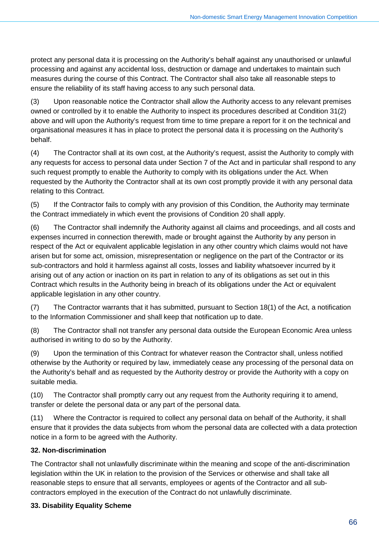protect any personal data it is processing on the Authority's behalf against any unauthorised or unlawful processing and against any accidental loss, destruction or damage and undertakes to maintain such measures during the course of this Contract. The Contractor shall also take all reasonable steps to ensure the reliability of its staff having access to any such personal data.

(3) Upon reasonable notice the Contractor shall allow the Authority access to any relevant premises owned or controlled by it to enable the Authority to inspect its procedures described at Condition 31(2) above and will upon the Authority's request from time to time prepare a report for it on the technical and organisational measures it has in place to protect the personal data it is processing on the Authority's behalf.

(4) The Contractor shall at its own cost, at the Authority's request, assist the Authority to comply with any requests for access to personal data under Section 7 of the Act and in particular shall respond to any such request promptly to enable the Authority to comply with its obligations under the Act. When requested by the Authority the Contractor shall at its own cost promptly provide it with any personal data relating to this Contract.

(5) If the Contractor fails to comply with any provision of this Condition, the Authority may terminate the Contract immediately in which event the provisions of Condition 20 shall apply.

(6) The Contractor shall indemnify the Authority against all claims and proceedings, and all costs and expenses incurred in connection therewith, made or brought against the Authority by any person in respect of the Act or equivalent applicable legislation in any other country which claims would not have arisen but for some act, omission, misrepresentation or negligence on the part of the Contractor or its sub-contractors and hold it harmless against all costs, losses and liability whatsoever incurred by it arising out of any action or inaction on its part in relation to any of its obligations as set out in this Contract which results in the Authority being in breach of its obligations under the Act or equivalent applicable legislation in any other country.

(7) The Contractor warrants that it has submitted, pursuant to Section 18(1) of the Act, a notification to the Information Commissioner and shall keep that notification up to date.

(8) The Contractor shall not transfer any personal data outside the European Economic Area unless authorised in writing to do so by the Authority.

(9) Upon the termination of this Contract for whatever reason the Contractor shall, unless notified otherwise by the Authority or required by law, immediately cease any processing of the personal data on the Authority's behalf and as requested by the Authority destroy or provide the Authority with a copy on suitable media.

(10) The Contractor shall promptly carry out any request from the Authority requiring it to amend, transfer or delete the personal data or any part of the personal data.

(11) Where the Contractor is required to collect any personal data on behalf of the Authority, it shall ensure that it provides the data subjects from whom the personal data are collected with a data protection notice in a form to be agreed with the Authority.

### **32. Non-discrimination**

The Contractor shall not unlawfully discriminate within the meaning and scope of the anti-discrimination legislation within the UK in relation to the provision of the Services or otherwise and shall take all reasonable steps to ensure that all servants, employees or agents of the Contractor and all subcontractors employed in the execution of the Contract do not unlawfully discriminate.

#### **33. Disability Equality Scheme**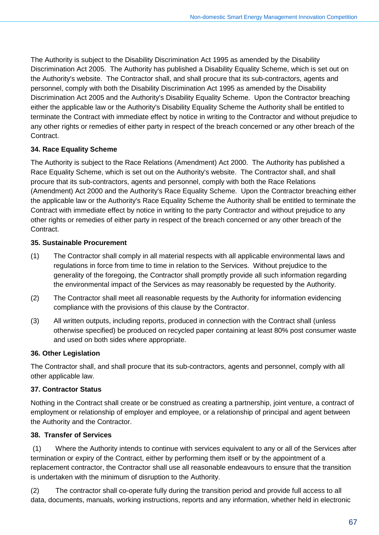The Authority is subject to the Disability Discrimination Act 1995 as amended by the Disability Discrimination Act 2005. The Authority has published a Disability Equality Scheme, which is set out on the Authority's website. The Contractor shall, and shall procure that its sub-contractors, agents and personnel, comply with both the Disability Discrimination Act 1995 as amended by the Disability Discrimination Act 2005 and the Authority's Disability Equality Scheme. Upon the Contractor breaching either the applicable law or the Authority's Disability Equality Scheme the Authority shall be entitled to terminate the Contract with immediate effect by notice in writing to the Contractor and without prejudice to any other rights or remedies of either party in respect of the breach concerned or any other breach of the Contract.

## **34. Race Equality Scheme**

The Authority is subject to the Race Relations (Amendment) Act 2000. The Authority has published a Race Equality Scheme, which is set out on the Authority's website. The Contractor shall, and shall procure that its sub-contractors, agents and personnel, comply with both the Race Relations (Amendment) Act 2000 and the Authority's Race Equality Scheme. Upon the Contractor breaching either the applicable law or the Authority's Race Equality Scheme the Authority shall be entitled to terminate the Contract with immediate effect by notice in writing to the party Contractor and without prejudice to any other rights or remedies of either party in respect of the breach concerned or any other breach of the **Contract.** 

### **35. Sustainable Procurement**

- (1) The Contractor shall comply in all material respects with all applicable environmental laws and regulations in force from time to time in relation to the Services. Without prejudice to the generality of the foregoing, the Contractor shall promptly provide all such information regarding the environmental impact of the Services as may reasonably be requested by the Authority.
- (2) The Contractor shall meet all reasonable requests by the Authority for information evidencing compliance with the provisions of this clause by the Contractor.
- (3) All written outputs, including reports, produced in connection with the Contract shall (unless otherwise specified) be produced on recycled paper containing at least 80% post consumer waste and used on both sides where appropriate.

### **36. Other Legislation**

The Contractor shall, and shall procure that its sub-contractors, agents and personnel, comply with all other applicable law.

## **37. Contractor Status**

Nothing in the Contract shall create or be construed as creating a partnership, joint venture, a contract of employment or relationship of employer and employee, or a relationship of principal and agent between the Authority and the Contractor.

## **38. Transfer of Services**

(1) Where the Authority intends to continue with services equivalent to any or all of the Services after termination or expiry of the Contract, either by performing them itself or by the appointment of a replacement contractor, the Contractor shall use all reasonable endeavours to ensure that the transition is undertaken with the minimum of disruption to the Authority.

(2) The contractor shall co-operate fully during the transition period and provide full access to all data, documents, manuals, working instructions, reports and any information, whether held in electronic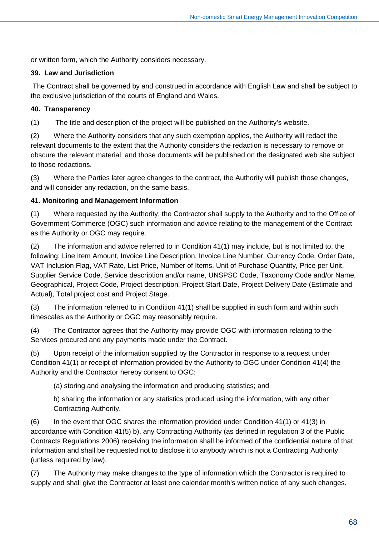or written form, which the Authority considers necessary.

#### **39. Law and Jurisdiction**

The Contract shall be governed by and construed in accordance with English Law and shall be subject to the exclusive jurisdiction of the courts of England and Wales.

#### **40. Transparency**

(1) The title and description of the project will be published on the Authority's website.

(2) Where the Authority considers that any such exemption applies, the Authority will redact the relevant documents to the extent that the Authority considers the redaction is necessary to remove or obscure the relevant material, and those documents will be published on the designated web site subject to those redactions.

(3) Where the Parties later agree changes to the contract, the Authority will publish those changes, and will consider any redaction, on the same basis.

#### **41. Monitoring and Management Information**

(1) Where requested by the Authority, the Contractor shall supply to the Authority and to the Office of Government Commerce (OGC) such information and advice relating to the management of the Contract as the Authority or OGC may require.

(2) The information and advice referred to in Condition 41(1) may include, but is not limited to, the following: Line Item Amount, Invoice Line Description, Invoice Line Number, Currency Code, Order Date, VAT Inclusion Flag, VAT Rate, List Price, Number of Items, Unit of Purchase Quantity, Price per Unit, Supplier Service Code, Service description and/or name, UNSPSC Code, Taxonomy Code and/or Name, Geographical, Project Code, Project description, Project Start Date, Project Delivery Date (Estimate and Actual), Total project cost and Project Stage.

(3) The information referred to in Condition 41(1) shall be supplied in such form and within such timescales as the Authority or OGC may reasonably require.

(4) The Contractor agrees that the Authority may provide OGC with information relating to the Services procured and any payments made under the Contract.

(5) Upon receipt of the information supplied by the Contractor in response to a request under Condition 41(1) or receipt of information provided by the Authority to OGC under Condition 41(4) the Authority and the Contractor hereby consent to OGC:

(a) storing and analysing the information and producing statistics; and

b) sharing the information or any statistics produced using the information, with any other Contracting Authority.

(6) In the event that OGC shares the information provided under Condition 41(1) or 41(3) in accordance with Condition 41(5) b), any Contracting Authority (as defined in regulation 3 of the Public Contracts Regulations 2006) receiving the information shall be informed of the confidential nature of that information and shall be requested not to disclose it to anybody which is not a Contracting Authority (unless required by law).

(7) The Authority may make changes to the type of information which the Contractor is required to supply and shall give the Contractor at least one calendar month's written notice of any such changes.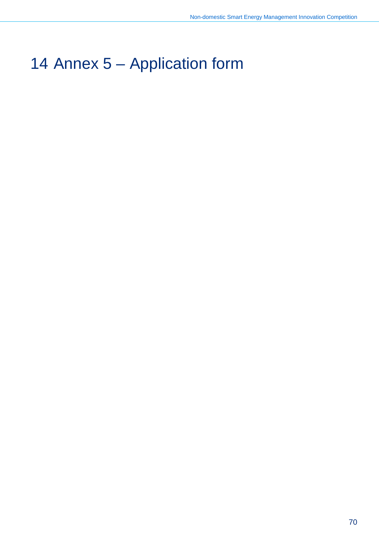# Annex 5 – Application form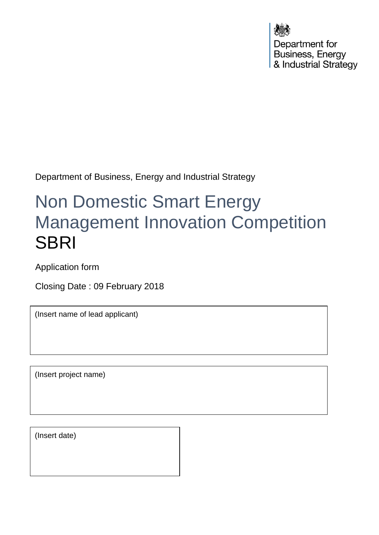Department for Business, Energy & Industrial Strategy

Department of Business, Energy and Industrial Strategy

# Non Domestic Smart Energy Management Innovation Competition **SBRI**

Application form

Closing Date : 09 February 2018

(Insert name of lead applicant)

(Insert project name)

(Insert date)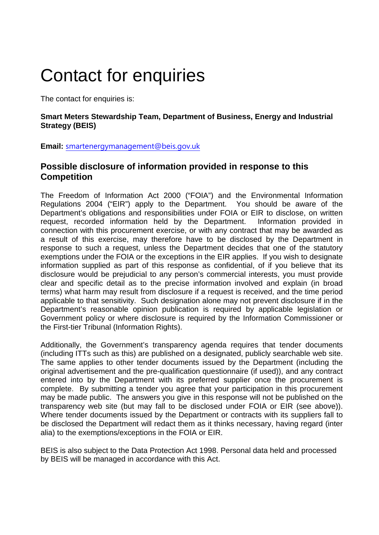# Contact for enquiries

The contact for enquiries is:

#### **Smart Meters Stewardship Team, Department of Business, Energy and Industrial Strategy (BEIS)**

**Email:** [smartenergymanagement@beis.gov.uk](mailto:smartenergymanagement@beis.gov.uk)

#### **Possible disclosure of information provided in response to this Competition**

The Freedom of Information Act 2000 ("FOIA") and the Environmental Information Regulations 2004 ("EIR") apply to the Department. You should be aware of the Department's obligations and responsibilities under FOIA or EIR to disclose, on written request, recorded information held by the Department. Information provided in connection with this procurement exercise, or with any contract that may be awarded as a result of this exercise, may therefore have to be disclosed by the Department in response to such a request, unless the Department decides that one of the statutory exemptions under the FOIA or the exceptions in the EIR applies. If you wish to designate information supplied as part of this response as confidential, of if you believe that its disclosure would be prejudicial to any person's commercial interests, you must provide clear and specific detail as to the precise information involved and explain (in broad terms) what harm may result from disclosure if a request is received, and the time period applicable to that sensitivity. Such designation alone may not prevent disclosure if in the Department's reasonable opinion publication is required by applicable legislation or Government policy or where disclosure is required by the Information Commissioner or the First-tier Tribunal (Information Rights).

Additionally, the Government's transparency agenda requires that tender documents (including ITTs such as this) are published on a designated, publicly searchable web site. The same applies to other tender documents issued by the Department (including the original advertisement and the pre-qualification questionnaire (if used)), and any contract entered into by the Department with its preferred supplier once the procurement is complete. By submitting a tender you agree that your participation in this procurement may be made public. The answers you give in this response will not be published on the transparency web site (but may fall to be disclosed under FOIA or EIR (see above)). Where tender documents issued by the Department or contracts with its suppliers fall to be disclosed the Department will redact them as it thinks necessary, having regard (inter alia) to the exemptions/exceptions in the FOIA or EIR.

BEIS is also subject to the Data Protection Act 1998. Personal data held and processed by BEIS will be managed in accordance with this Act.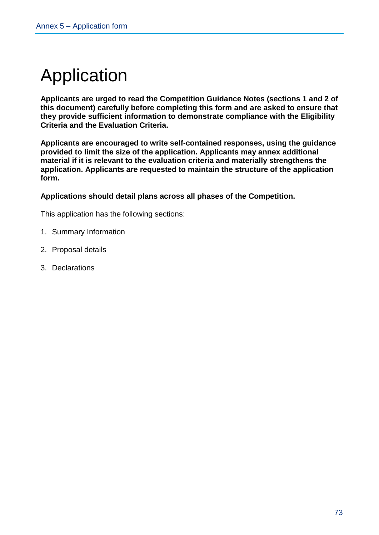# Application

**Applicants are urged to read the Competition Guidance Notes (sections [1](#page-5-0) and [2](#page-19-0) of this document) carefully before completing this form and are asked to ensure that they provide sufficient information to demonstrate compliance with the Eligibility Criteria and the Evaluation Criteria.**

**Applicants are encouraged to write self-contained responses, using the guidance provided to limit the size of the application. Applicants may annex additional material if it is relevant to the evaluation criteria and materially strengthens the application. Applicants are requested to maintain the structure of the application form.**

**Applications should detail plans across all phases of the Competition.** 

This application has the following sections:

- 1. Summary Information
- 2. Proposal details
- 3. Declarations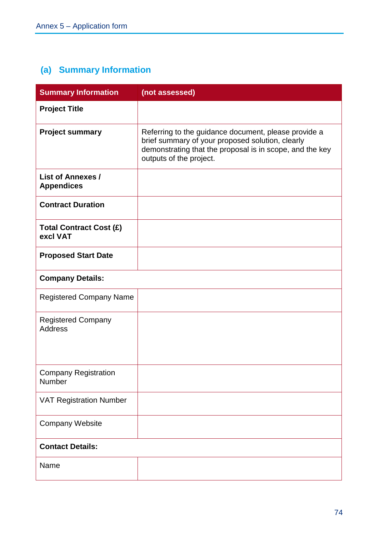# **(a) Summary Information**

| <b>Summary Information</b>                    | (not assessed)                                                                                                                                                                                  |
|-----------------------------------------------|-------------------------------------------------------------------------------------------------------------------------------------------------------------------------------------------------|
| <b>Project Title</b>                          |                                                                                                                                                                                                 |
| <b>Project summary</b>                        | Referring to the guidance document, please provide a<br>brief summary of your proposed solution, clearly<br>demonstrating that the proposal is in scope, and the key<br>outputs of the project. |
| <b>List of Annexes /</b><br><b>Appendices</b> |                                                                                                                                                                                                 |
| <b>Contract Duration</b>                      |                                                                                                                                                                                                 |
| <b>Total Contract Cost (£)</b><br>excl VAT    |                                                                                                                                                                                                 |
| <b>Proposed Start Date</b>                    |                                                                                                                                                                                                 |
| <b>Company Details:</b>                       |                                                                                                                                                                                                 |
| <b>Registered Company Name</b>                |                                                                                                                                                                                                 |
| <b>Registered Company</b><br><b>Address</b>   |                                                                                                                                                                                                 |
| <b>Company Registration</b><br>Number         |                                                                                                                                                                                                 |
| <b>VAT Registration Number</b>                |                                                                                                                                                                                                 |
| <b>Company Website</b>                        |                                                                                                                                                                                                 |
| <b>Contact Details:</b>                       |                                                                                                                                                                                                 |
| Name                                          |                                                                                                                                                                                                 |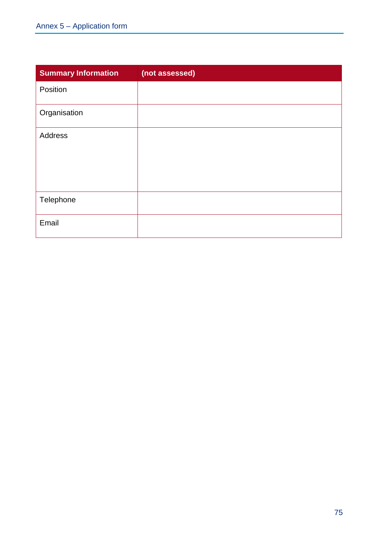| <b>Summary Information</b> | (not assessed) |
|----------------------------|----------------|
| Position                   |                |
| Organisation               |                |
| Address                    |                |
| Telephone                  |                |
| Email                      |                |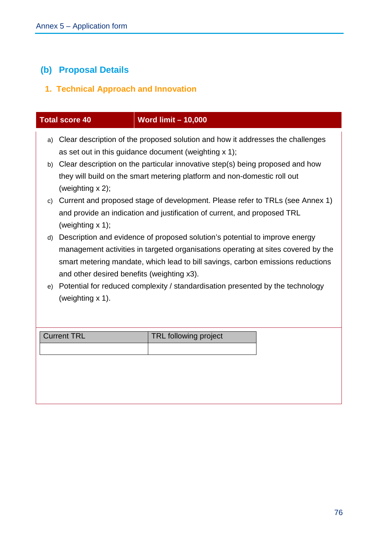# **(b) Proposal Details**

## **1. Technical Approach and Innovation**

|    | <b>Total score 40</b>                                                                                                                                                                                                                                                                             | <b>Word limit - 10,000</b>                                                                                                              |  |
|----|---------------------------------------------------------------------------------------------------------------------------------------------------------------------------------------------------------------------------------------------------------------------------------------------------|-----------------------------------------------------------------------------------------------------------------------------------------|--|
| a) |                                                                                                                                                                                                                                                                                                   | Clear description of the proposed solution and how it addresses the challenges<br>as set out in this guidance document (weighting x 1); |  |
|    | b) Clear description on the particular innovative step(s) being proposed and how<br>they will build on the smart metering platform and non-domestic roll out<br>(weighting $x$ 2);                                                                                                                |                                                                                                                                         |  |
| C) | Current and proposed stage of development. Please refer to TRLs (see Annex 1)<br>and provide an indication and justification of current, and proposed TRL<br>(weighting $x$ 1);                                                                                                                   |                                                                                                                                         |  |
| d) | Description and evidence of proposed solution's potential to improve energy<br>management activities in targeted organisations operating at sites covered by the<br>smart metering mandate, which lead to bill savings, carbon emissions reductions<br>and other desired benefits (weighting x3). |                                                                                                                                         |  |
| e) | (weighting x 1).                                                                                                                                                                                                                                                                                  | Potential for reduced complexity / standardisation presented by the technology                                                          |  |
|    | <b>Current TRL</b>                                                                                                                                                                                                                                                                                | <b>TRL following project</b>                                                                                                            |  |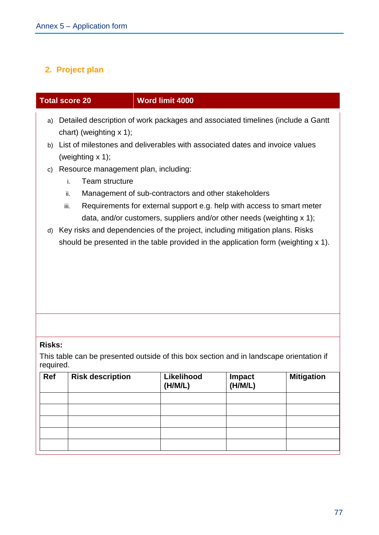#### **2. Project plan**

#### **Total score 20 Word limit 4000**

- a) Detailed description of work packages and associated timelines (include a Gantt chart) (weighting x 1);
- b) List of milestones and deliverables with associated dates and invoice values (weighting x 1);
- c) Resource management plan, including:
	- i. Team structure
	- ii. Management of sub-contractors and other stakeholders
	- iii. Requirements for external support e.g. help with access to smart meter data, and/or customers, suppliers and/or other needs (weighting x 1);
- d) Key risks and dependencies of the project, including mitigation plans. Risks should be presented in the table provided in the application form (weighting x 1).

#### **Risks:**

This table can be presented outside of this box section and in landscape orientation if required.

| Ref | <b>Risk description</b> | Likelihood<br>(H/M/L) | Impact<br>(H/M/L) | <b>Mitigation</b> |
|-----|-------------------------|-----------------------|-------------------|-------------------|
|     |                         |                       |                   |                   |
|     |                         |                       |                   |                   |
|     |                         |                       |                   |                   |
|     |                         |                       |                   |                   |
|     |                         |                       |                   |                   |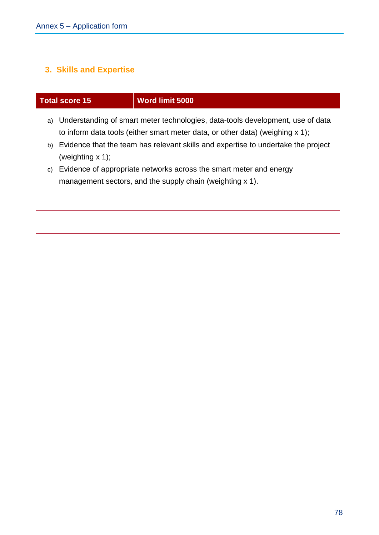# **3. Skills and Expertise**

|          | <b>Total score 15</b> | <b>Word limit 5000</b>                                                                                                                                                                                                                                                                                                                                                                       |
|----------|-----------------------|----------------------------------------------------------------------------------------------------------------------------------------------------------------------------------------------------------------------------------------------------------------------------------------------------------------------------------------------------------------------------------------------|
| a)<br>C) | (weighting $x$ 1);    | Understanding of smart meter technologies, data-tools development, use of data<br>to inform data tools (either smart meter data, or other data) (weighing $x$ 1);<br>b) Evidence that the team has relevant skills and expertise to undertake the project<br>Evidence of appropriate networks across the smart meter and energy<br>management sectors, and the supply chain (weighting x 1). |
|          |                       |                                                                                                                                                                                                                                                                                                                                                                                              |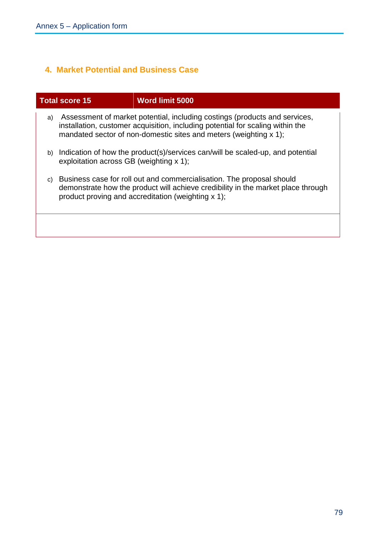### **4. Market Potential and Business Case**

|    | <b>Total score 15</b>                                                                                                        | <b>Word limit 5000</b>                                                                                                                                                                                                            |
|----|------------------------------------------------------------------------------------------------------------------------------|-----------------------------------------------------------------------------------------------------------------------------------------------------------------------------------------------------------------------------------|
| a) |                                                                                                                              | Assessment of market potential, including costings (products and services,<br>installation, customer acquisition, including potential for scaling within the<br>mandated sector of non-domestic sites and meters (weighting x 1); |
|    | b) Indication of how the product(s)/services can/will be scaled-up, and potential<br>exploitation across GB (weighting x 1); |                                                                                                                                                                                                                                   |
| C) |                                                                                                                              | Business case for roll out and commercialisation. The proposal should<br>demonstrate how the product will achieve credibility in the market place through<br>product proving and accreditation (weighting x 1);                   |
|    |                                                                                                                              |                                                                                                                                                                                                                                   |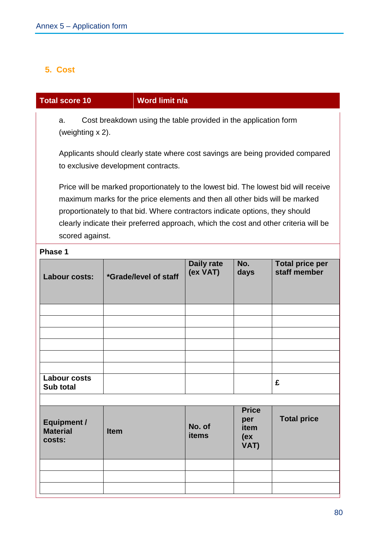#### **5. Cost**

#### **Total score 10 Word limit n/a**

a. Cost breakdown using the table provided in the application form (weighting x 2).

Applicants should clearly state where cost savings are being provided compared to exclusive development contracts.

Price will be marked proportionately to the lowest bid. The lowest bid will receive maximum marks for the price elements and then all other bids will be marked proportionately to that bid. Where contractors indicate options, they should clearly indicate their preferred approach, which the cost and other criteria will be scored against.

#### **Phase 1**

| Labour costs:                                   | *Grade/level of staff | <b>Daily rate</b><br>(ex VAT) | No.<br>days                                 | <b>Total price per</b><br>staff member |
|-------------------------------------------------|-----------------------|-------------------------------|---------------------------------------------|----------------------------------------|
|                                                 |                       |                               |                                             |                                        |
|                                                 |                       |                               |                                             |                                        |
|                                                 |                       |                               |                                             |                                        |
|                                                 |                       |                               |                                             |                                        |
|                                                 |                       |                               |                                             |                                        |
|                                                 |                       |                               |                                             |                                        |
| <b>Labour costs</b><br>Sub total                |                       |                               |                                             | £                                      |
|                                                 |                       |                               |                                             |                                        |
| <b>Equipment /</b><br><b>Material</b><br>costs: | <b>Item</b>           | No. of<br><b>items</b>        | <b>Price</b><br>per<br>item<br>(ex)<br>VAT) | <b>Total price</b>                     |
|                                                 |                       |                               |                                             |                                        |
|                                                 |                       |                               |                                             |                                        |
|                                                 |                       |                               |                                             |                                        |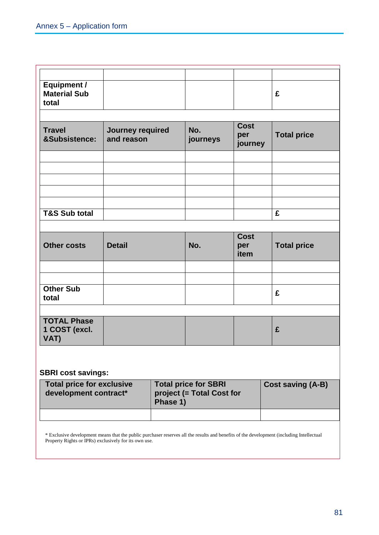|                                |                 |                               | £                  |
|--------------------------------|-----------------|-------------------------------|--------------------|
| Journey required<br>and reason | No.<br>journeys | <b>Cost</b><br>per<br>journey | <b>Total price</b> |
|                                |                 |                               |                    |
|                                |                 |                               |                    |
|                                |                 |                               | £                  |
|                                |                 |                               |                    |
| <b>Detail</b>                  | No.             | per<br>item                   | <b>Total price</b> |
|                                |                 |                               |                    |
|                                |                 |                               | £                  |
|                                |                 |                               |                    |
|                                |                 |                               | £                  |
|                                |                 |                               | <b>Cost</b>        |

#### **SBRI cost savings:**

| <b>Total price for exclusive</b><br>development contract* | <b>Total price for SBRI</b><br>project (= Total Cost for<br>Phase 1) | <b>Cost saving (A-B)</b> |
|-----------------------------------------------------------|----------------------------------------------------------------------|--------------------------|
|                                                           |                                                                      |                          |

\* Exclusive development means that the public purchaser reserves all the results and benefits of the development (including Intellectual Property Rights or IPRs) exclusively for its own use.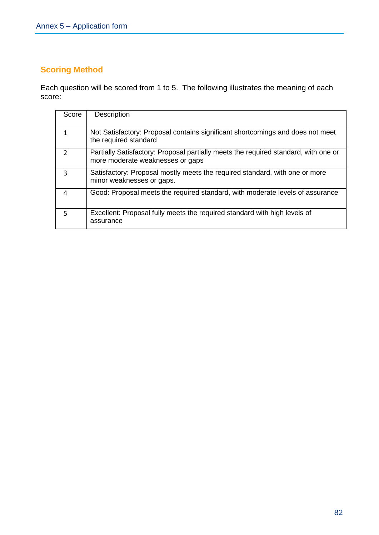## **Scoring Method**

Each question will be scored from 1 to 5. The following illustrates the meaning of each score:

| Score         | <b>Description</b>                                                                                                      |
|---------------|-------------------------------------------------------------------------------------------------------------------------|
| 1             | Not Satisfactory: Proposal contains significant shortcomings and does not meet<br>the required standard                 |
| $\mathcal{P}$ | Partially Satisfactory: Proposal partially meets the required standard, with one or<br>more moderate weaknesses or gaps |
| 3             | Satisfactory: Proposal mostly meets the required standard, with one or more<br>minor weaknesses or gaps.                |
| 4             | Good: Proposal meets the required standard, with moderate levels of assurance                                           |
| 5             | Excellent: Proposal fully meets the required standard with high levels of<br>assurance                                  |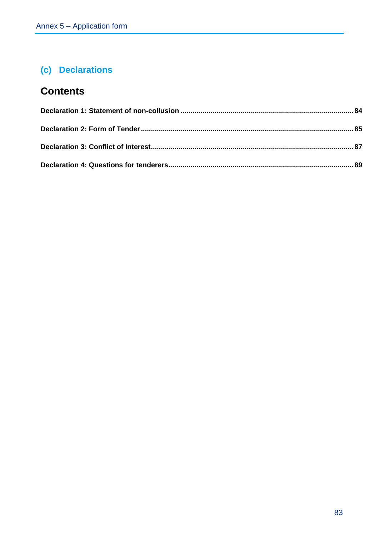# **(c) Declarations**

# **Contents**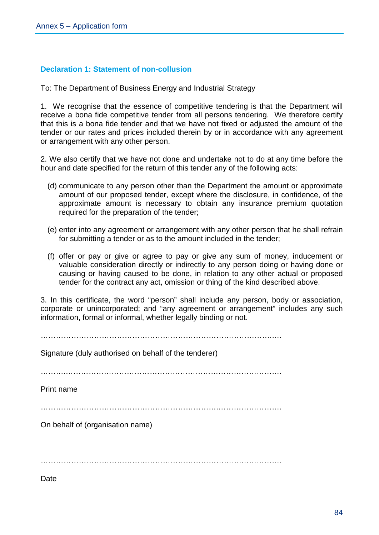#### **Declaration 1: Statement of non-collusion**

To: The Department of Business Energy and Industrial Strategy

1. We recognise that the essence of competitive tendering is that the Department will receive a bona fide competitive tender from all persons tendering. We therefore certify that this is a bona fide tender and that we have not fixed or adjusted the amount of the tender or our rates and prices included therein by or in accordance with any agreement or arrangement with any other person.

2. We also certify that we have not done and undertake not to do at any time before the hour and date specified for the return of this tender any of the following acts:

- (d) communicate to any person other than the Department the amount or approximate amount of our proposed tender, except where the disclosure, in confidence, of the approximate amount is necessary to obtain any insurance premium quotation required for the preparation of the tender;
- (e) enter into any agreement or arrangement with any other person that he shall refrain for submitting a tender or as to the amount included in the tender;
- (f) offer or pay or give or agree to pay or give any sum of money, inducement or valuable consideration directly or indirectly to any person doing or having done or causing or having caused to be done, in relation to any other actual or proposed tender for the contract any act, omission or thing of the kind described above.

3. In this certificate, the word "person" shall include any person, body or association, corporate or unincorporated; and "any agreement or arrangement" includes any such information, formal or informal, whether legally binding or not.

 $\mathcal{L}^{(n)}$ 

Signature (duly authorised on behalf of the tenderer)

……….………………………………………………………………………….

Print name

…………………………………………………………….…………………….

On behalf of (organisation name)

…………………………………………………………………….…………….

**Date**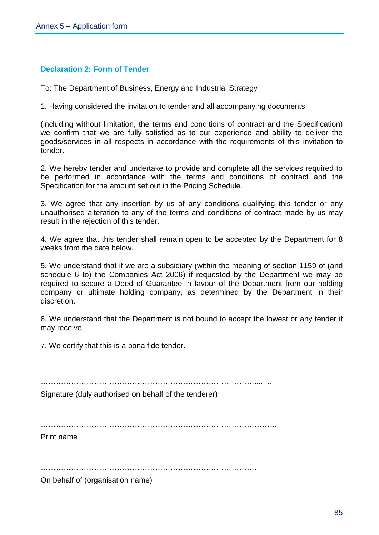#### **Declaration 2: Form of Tender**

To: The Department of Business, Energy and Industrial Strategy

1. Having considered the invitation to tender and all accompanying documents

(including without limitation, the terms and conditions of contract and the Specification) we confirm that we are fully satisfied as to our experience and ability to deliver the goods/services in all respects in accordance with the requirements of this invitation to tender.

2. We hereby tender and undertake to provide and complete all the services required to be performed in accordance with the terms and conditions of contract and the Specification for the amount set out in the Pricing Schedule.

3. We agree that any insertion by us of any conditions qualifying this tender or any unauthorised alteration to any of the terms and conditions of contract made by us may result in the rejection of this tender.

4. We agree that this tender shall remain open to be accepted by the Department for 8 weeks from the date below.

5. We understand that if we are a subsidiary (within the meaning of section 1159 of (and schedule 6 to) the Companies Act 2006) if requested by the Department we may be required to secure a Deed of Guarantee in favour of the Department from our holding company or ultimate holding company, as determined by the Department in their discretion.

6. We understand that the Department is not bound to accept the lowest or any tender it may receive.

7. We certify that this is a bona fide tender.

Signature (duly authorised on behalf of the tenderer)

Print name

………………………………………………………………………….

On behalf of (organisation name)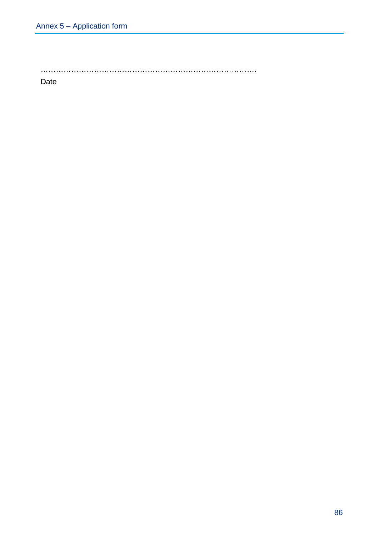………………………………………………………………………….

Date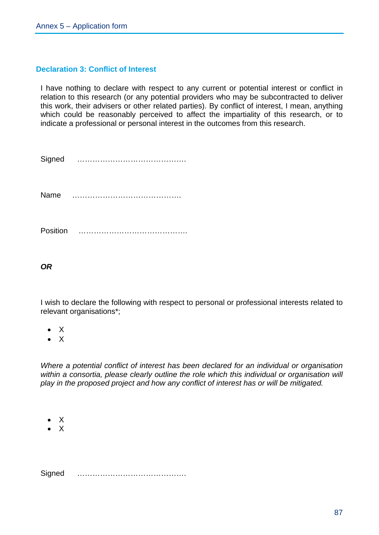#### **Declaration 3: Conflict of Interest**

I have nothing to declare with respect to any current or potential interest or conflict in relation to this research (or any potential providers who may be subcontracted to deliver this work, their advisers or other related parties). By conflict of interest, I mean, anything which could be reasonably perceived to affect the impartiality of this research, or to indicate a professional or personal interest in the outcomes from this research.

| Signed | . |
|--------|---|
| Name   | . |

Position …………………………………….

*OR*

I wish to declare the following with respect to personal or professional interests related to relevant organisations\*;

- X
- X

*Where a potential conflict of interest has been declared for an individual or organisation within a consortia, please clearly outline the role which this individual or organisation will play in the proposed project and how any conflict of interest has or will be mitigated.*

- $\overline{X}$
- $\mathsf{\chi}$

Signed …………………………………….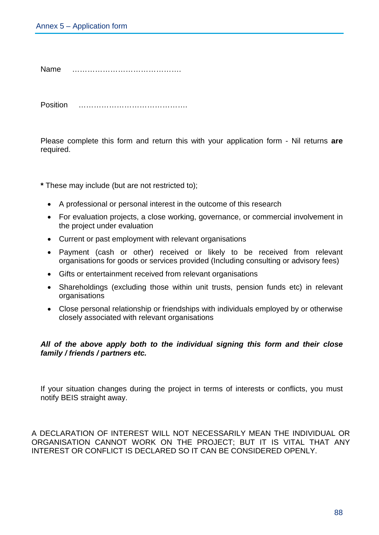Name …………………………………….

Position …………………………………….

Please complete this form and return this with your application form - Nil returns **are** required.

**\*** These may include (but are not restricted to);

- A professional or personal interest in the outcome of this research
- For evaluation projects, a close working, governance, or commercial involvement in the project under evaluation
- Current or past employment with relevant organisations
- Payment (cash or other) received or likely to be received from relevant organisations for goods or services provided (Including consulting or advisory fees)
- Gifts or entertainment received from relevant organisations
- Shareholdings (excluding those within unit trusts, pension funds etc) in relevant organisations
- Close personal relationship or friendships with individuals employed by or otherwise closely associated with relevant organisations

#### *All of the above apply both to the individual signing this form and their close family / friends / partners etc.*

If your situation changes during the project in terms of interests or conflicts, you must notify BEIS straight away.

A DECLARATION OF INTEREST WILL NOT NECESSARILY MEAN THE INDIVIDUAL OR ORGANISATION CANNOT WORK ON THE PROJECT; BUT IT IS VITAL THAT ANY INTEREST OR CONFLICT IS DECLARED SO IT CAN BE CONSIDERED OPENLY.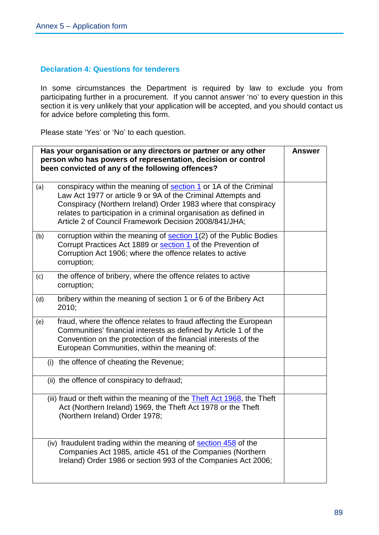#### **Declaration 4: Questions for tenderers**

In some circumstances the Department is required by law to exclude you from participating further in a procurement. If you cannot answer 'no' to every question in this section it is very unlikely that your application will be accepted, and you should contact us for advice before completing this form.

Please state 'Yes' or 'No' to each question.

| Has your organisation or any directors or partner or any other<br>person who has powers of representation, decision or control<br>been convicted of any of the following offences? |                                                                                                                                                                                                                                                                                                                                         |  |
|------------------------------------------------------------------------------------------------------------------------------------------------------------------------------------|-----------------------------------------------------------------------------------------------------------------------------------------------------------------------------------------------------------------------------------------------------------------------------------------------------------------------------------------|--|
| (a)                                                                                                                                                                                | conspiracy within the meaning of <b>section 1</b> or 1A of the Criminal<br>Law Act 1977 or article 9 or 9A of the Criminal Attempts and<br>Conspiracy (Northern Ireland) Order 1983 where that conspiracy<br>relates to participation in a criminal organisation as defined in<br>Article 2 of Council Framework Decision 2008/841/JHA; |  |
| (b)                                                                                                                                                                                | corruption within the meaning of $section 1(2)$ of the Public Bodies<br>Corrupt Practices Act 1889 or section 1 of the Prevention of<br>Corruption Act 1906; where the offence relates to active<br>corruption;                                                                                                                         |  |
| (c)                                                                                                                                                                                | the offence of bribery, where the offence relates to active<br>corruption;                                                                                                                                                                                                                                                              |  |
| (d)                                                                                                                                                                                | bribery within the meaning of section 1 or 6 of the Bribery Act<br>2010;                                                                                                                                                                                                                                                                |  |
| (e)                                                                                                                                                                                | fraud, where the offence relates to fraud affecting the European<br>Communities' financial interests as defined by Article 1 of the<br>Convention on the protection of the financial interests of the<br>European Communities, within the meaning of:                                                                                   |  |
|                                                                                                                                                                                    | (i) the offence of cheating the Revenue;                                                                                                                                                                                                                                                                                                |  |
|                                                                                                                                                                                    | (ii) the offence of conspiracy to defraud;                                                                                                                                                                                                                                                                                              |  |
|                                                                                                                                                                                    | (iii) fraud or theft within the meaning of the <b>Theft Act 1968</b> , the Theft<br>Act (Northern Ireland) 1969, the Theft Act 1978 or the Theft<br>(Northern Ireland) Order 1978;                                                                                                                                                      |  |
|                                                                                                                                                                                    | (iv) fraudulent trading within the meaning of section 458 of the<br>Companies Act 1985, article 451 of the Companies (Northern<br>Ireland) Order 1986 or section 993 of the Companies Act 2006;                                                                                                                                         |  |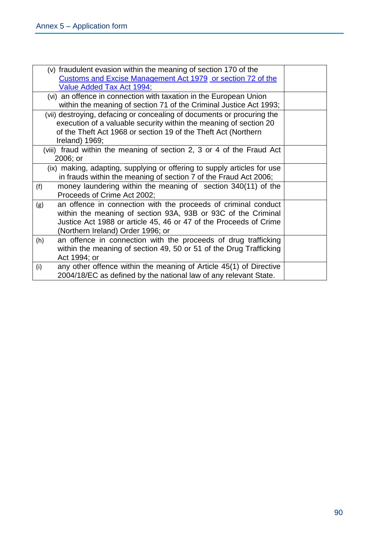| (v) fraudulent evasion within the meaning of section 170 of the           |  |  |
|---------------------------------------------------------------------------|--|--|
| Customs and Excise Management Act 1979 or section 72 of the               |  |  |
| Value Added Tax Act 1994;                                                 |  |  |
| (vi) an offence in connection with taxation in the European Union         |  |  |
| within the meaning of section 71 of the Criminal Justice Act 1993;        |  |  |
| (vii) destroying, defacing or concealing of documents or procuring the    |  |  |
| execution of a valuable security within the meaning of section 20         |  |  |
| of the Theft Act 1968 or section 19 of the Theft Act (Northern            |  |  |
| Ireland) $1969;$                                                          |  |  |
| (viii) fraud within the meaning of section 2, 3 or 4 of the Fraud Act     |  |  |
| 2006; or                                                                  |  |  |
| (ix) making, adapting, supplying or offering to supply articles for use   |  |  |
| in frauds within the meaning of section 7 of the Fraud Act 2006;          |  |  |
| money laundering within the meaning of section 340(11) of the<br>(f)      |  |  |
| Proceeds of Crime Act 2002;                                               |  |  |
| an offence in connection with the proceeds of criminal conduct<br>(g)     |  |  |
| within the meaning of section 93A, 93B or 93C of the Criminal             |  |  |
| Justice Act 1988 or article 45, 46 or 47 of the Proceeds of Crime         |  |  |
| (Northern Ireland) Order 1996; or                                         |  |  |
| an offence in connection with the proceeds of drug trafficking<br>(h)     |  |  |
| within the meaning of section 49, 50 or 51 of the Drug Trafficking        |  |  |
| Act 1994; or                                                              |  |  |
| any other offence within the meaning of Article 45(1) of Directive<br>(i) |  |  |
| 2004/18/EC as defined by the national law of any relevant State.          |  |  |